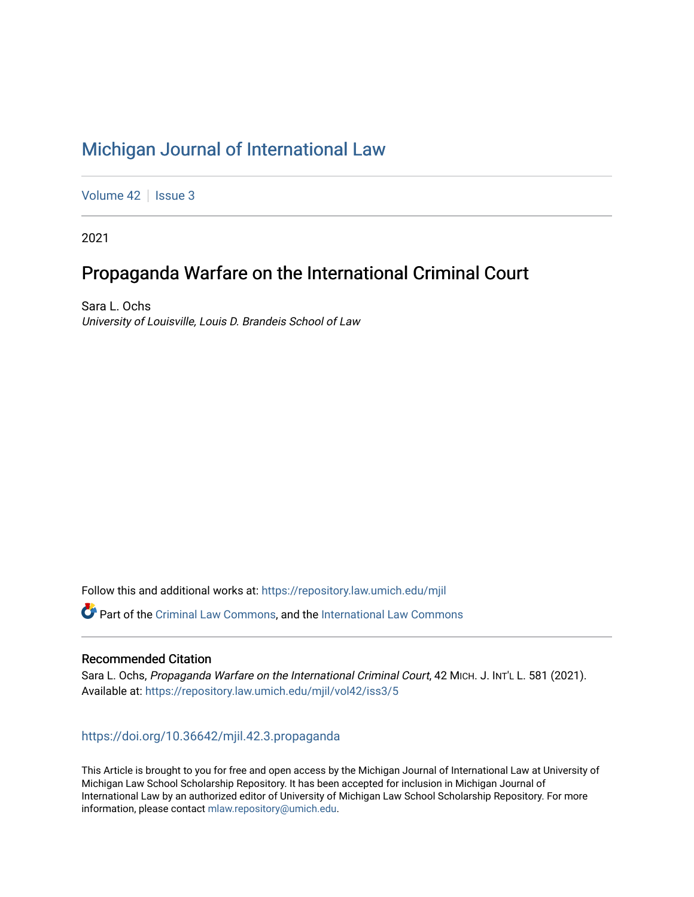# [Michigan Journal of International Law](https://repository.law.umich.edu/mjil)

[Volume 42](https://repository.law.umich.edu/mjil/vol42) | [Issue 3](https://repository.law.umich.edu/mjil/vol42/iss3)

2021

## Propaganda Warfare on the International Criminal Court

Sara L. Ochs University of Louisville, Louis D. Brandeis School of Law

Follow this and additional works at: [https://repository.law.umich.edu/mjil](https://repository.law.umich.edu/mjil?utm_source=repository.law.umich.edu%2Fmjil%2Fvol42%2Fiss3%2F5&utm_medium=PDF&utm_campaign=PDFCoverPages) 

Part of the [Criminal Law Commons,](http://network.bepress.com/hgg/discipline/912?utm_source=repository.law.umich.edu%2Fmjil%2Fvol42%2Fiss3%2F5&utm_medium=PDF&utm_campaign=PDFCoverPages) and the [International Law Commons](http://network.bepress.com/hgg/discipline/609?utm_source=repository.law.umich.edu%2Fmjil%2Fvol42%2Fiss3%2F5&utm_medium=PDF&utm_campaign=PDFCoverPages) 

#### Recommended Citation

Sara L. Ochs, Propaganda Warfare on the International Criminal Court, 42 MICH. J. INT'L L. 581 (2021). Available at: [https://repository.law.umich.edu/mjil/vol42/iss3/5](https://repository.law.umich.edu/mjil/vol42/iss3/5?utm_source=repository.law.umich.edu%2Fmjil%2Fvol42%2Fiss3%2F5&utm_medium=PDF&utm_campaign=PDFCoverPages) 

#### <https://doi.org/10.36642/mjil.42.3.propaganda>

This Article is brought to you for free and open access by the Michigan Journal of International Law at University of Michigan Law School Scholarship Repository. It has been accepted for inclusion in Michigan Journal of International Law by an authorized editor of University of Michigan Law School Scholarship Repository. For more information, please contact [mlaw.repository@umich.edu](mailto:mlaw.repository@umich.edu).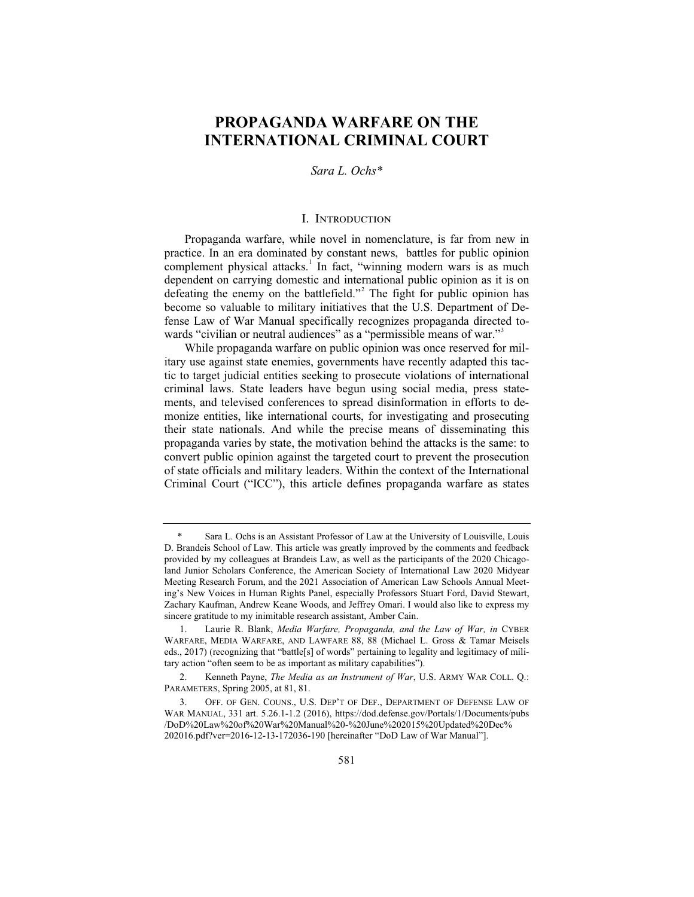### **PROPAGANDA WARFARE ON THE INTERNATIONAL CRIMINAL COURT**

#### *Sara L. Ochs\**

#### I. Introduction

Propaganda warfare, while novel in nomenclature, is far from new in practice. In an era dominated by constant news, battles for public opinion complement physical attacks.<sup>1</sup> In fact, "winning modern wars is as much dependent on carrying domestic and international public opinion as it is on defeating the enemy on the battlefield."<sup>2</sup> The fight for public opinion has become so valuable to military initiatives that the U.S. Department of Defense Law of War Manual specifically recognizes propaganda directed towards "civilian or neutral audiences" as a "permissible means of war."<sup>3</sup>

While propaganda warfare on public opinion was once reserved for military use against state enemies, governments have recently adapted this tactic to target judicial entities seeking to prosecute violations of international criminal laws. State leaders have begun using social media, press statements, and televised conferences to spread disinformation in efforts to demonize entities, like international courts, for investigating and prosecuting their state nationals. And while the precise means of disseminating this propaganda varies by state, the motivation behind the attacks is the same: to convert public opinion against the targeted court to prevent the prosecution of state officials and military leaders. Within the context of the International Criminal Court ("ICC"), this article defines propaganda warfare as states

Sara L. Ochs is an Assistant Professor of Law at the University of Louisville, Louis D. Brandeis School of Law. This article was greatly improved by the comments and feedback provided by my colleagues at Brandeis Law, as well as the participants of the 2020 Chicagoland Junior Scholars Conference, the American Society of International Law 2020 Midyear Meeting Research Forum, and the 2021 Association of American Law Schools Annual Meeting's New Voices in Human Rights Panel, especially Professors Stuart Ford, David Stewart, Zachary Kaufman, Andrew Keane Woods, and Jeffrey Omari. I would also like to express my sincere gratitude to my inimitable research assistant, Amber Cain.

<sup>1.</sup> Laurie R. Blank, *Media Warfare, Propaganda, and the Law of War, in* CYBER WARFARE, MEDIA WARFARE, AND LAWFARE 88, 88 (Michael L. Gross & Tamar Meisels eds., 2017) (recognizing that "battle[s] of words" pertaining to legality and legitimacy of military action "often seem to be as important as military capabilities").

<sup>2.</sup> Kenneth Payne, *The Media as an Instrument of War*, U.S. ARMY WAR COLL. Q.: PARAMETERS, Spring 2005, at 81, 81.

<sup>3.</sup> OFF. OF GEN. COUNS., U.S. DEP'T OF DEF., DEPARTMENT OF DEFENSE LAW OF WAR MANUAL, 331 art. 5.26.1-1.2 (2016), https://dod.defense.gov/Portals/1/Documents/pubs /DoD%20Law%20of%20War%20Manual%20-%20June%202015%20Updated%20Dec% 202016.pdf?ver=2016-12-13-172036-190 [hereinafter "DoD Law of War Manual"].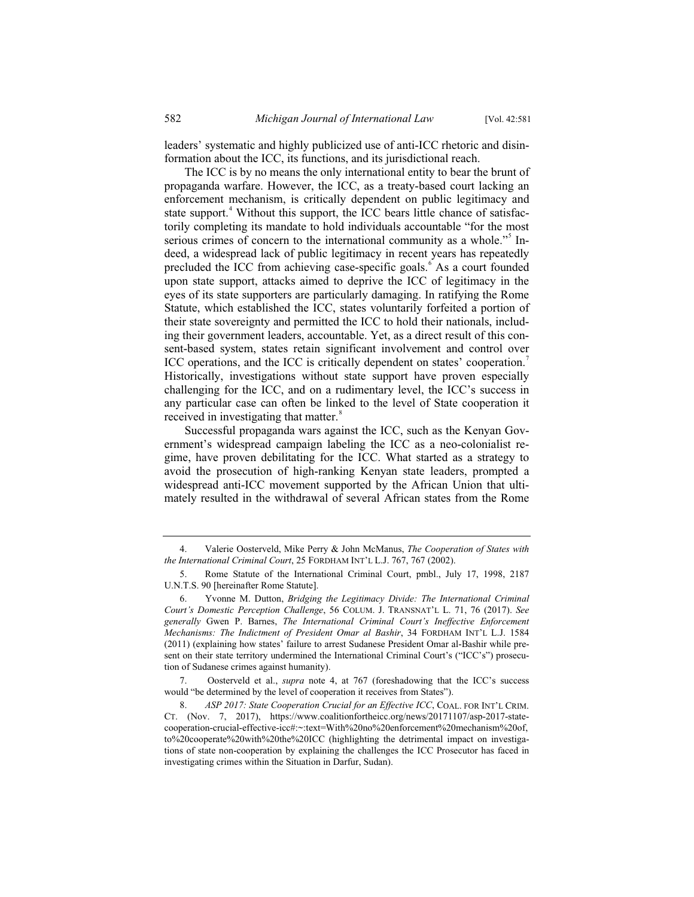leaders' systematic and highly publicized use of anti-ICC rhetoric and disinformation about the ICC, its functions, and its jurisdictional reach.

The ICC is by no means the only international entity to bear the brunt of propaganda warfare. However, the ICC, as a treaty-based court lacking an enforcement mechanism, is critically dependent on public legitimacy and state support.<sup>4</sup> Without this support, the ICC bears little chance of satisfactorily completing its mandate to hold individuals accountable "for the most serious crimes of concern to the international community as a whole."<sup>5</sup> Indeed, a widespread lack of public legitimacy in recent years has repeatedly precluded the ICC from achieving case-specific goals.<sup>6</sup> As a court founded upon state support, attacks aimed to deprive the ICC of legitimacy in the eyes of its state supporters are particularly damaging. In ratifying the Rome Statute, which established the ICC, states voluntarily forfeited a portion of their state sovereignty and permitted the ICC to hold their nationals, including their government leaders, accountable. Yet, as a direct result of this consent-based system, states retain significant involvement and control over ICC operations, and the ICC is critically dependent on states' cooperation.<sup>7</sup> Historically, investigations without state support have proven especially challenging for the ICC, and on a rudimentary level, the ICC's success in any particular case can often be linked to the level of State cooperation it received in investigating that matter.<sup>8</sup>

Successful propaganda wars against the ICC, such as the Kenyan Government's widespread campaign labeling the ICC as a neo-colonialist regime, have proven debilitating for the ICC. What started as a strategy to avoid the prosecution of high-ranking Kenyan state leaders, prompted a widespread anti-ICC movement supported by the African Union that ultimately resulted in the withdrawal of several African states from the Rome

<sup>4.</sup> Valerie Oosterveld, Mike Perry & John McManus, *The Cooperation of States with the International Criminal Court*, 25 FORDHAM INT'L L.J. 767, 767 (2002).

<sup>5.</sup> Rome Statute of the International Criminal Court, pmbl., July 17, 1998, 2187 U.N.T.S. 90 [hereinafter Rome Statute].

<sup>6.</sup> Yvonne M. Dutton, *Bridging the Legitimacy Divide: The International Criminal Court's Domestic Perception Challenge*, 56 COLUM. J. TRANSNAT'L L. 71, 76 (2017). *See generally* Gwen P. Barnes, *The International Criminal Court's Ineffective Enforcement Mechanisms: The Indictment of President Omar al Bashir*, 34 FORDHAM INT'L L.J. 1584 (2011) (explaining how states' failure to arrest Sudanese President Omar al-Bashir while present on their state territory undermined the International Criminal Court's ("ICC's") prosecution of Sudanese crimes against humanity).

<sup>7.</sup> Oosterveld et al., *supra* note 4, at 767 (foreshadowing that the ICC's success would "be determined by the level of cooperation it receives from States").

<sup>8.</sup> *ASP 2017: State Cooperation Crucial for an Effective ICC*, COAL. FOR INT'L CRIM. CT. (Nov. 7, 2017), https://www.coalitionfortheicc.org/news/20171107/asp-2017-statecooperation-crucial-effective-icc#:~:text=With%20no%20enforcement%20mechanism%20of, to%20cooperate%20with%20the%20ICC (highlighting the detrimental impact on investigations of state non-cooperation by explaining the challenges the ICC Prosecutor has faced in investigating crimes within the Situation in Darfur, Sudan).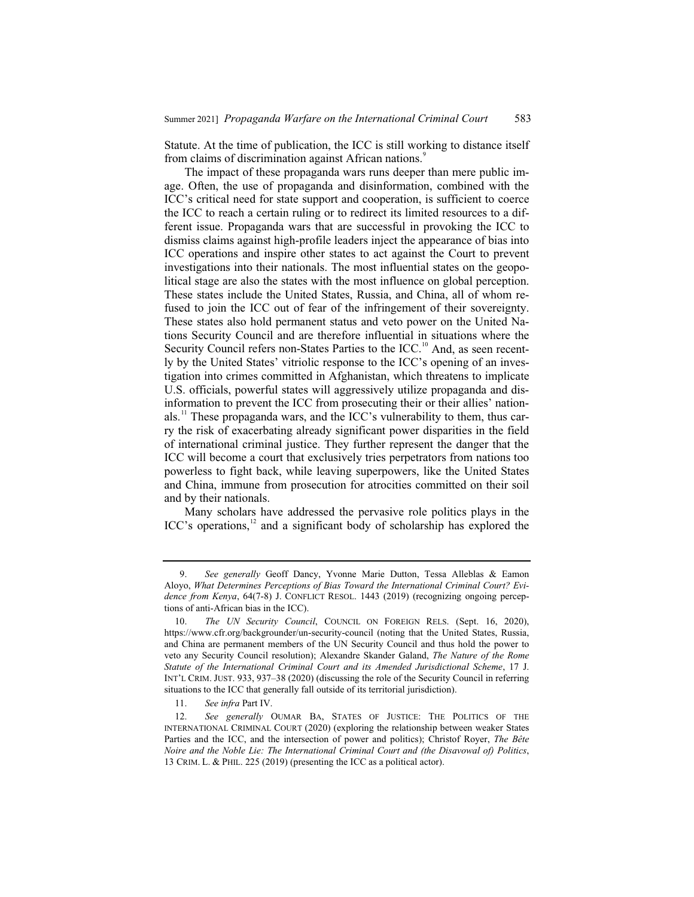Statute. At the time of publication, the ICC is still working to distance itself from claims of discrimination against African nations.<sup>9</sup>

The impact of these propaganda wars runs deeper than mere public image. Often, the use of propaganda and disinformation, combined with the ICC's critical need for state support and cooperation, is sufficient to coerce the ICC to reach a certain ruling or to redirect its limited resources to a different issue. Propaganda wars that are successful in provoking the ICC to dismiss claims against high-profile leaders inject the appearance of bias into ICC operations and inspire other states to act against the Court to prevent investigations into their nationals. The most influential states on the geopolitical stage are also the states with the most influence on global perception. These states include the United States, Russia, and China, all of whom refused to join the ICC out of fear of the infringement of their sovereignty. These states also hold permanent status and veto power on the United Nations Security Council and are therefore influential in situations where the Security Council refers non-States Parties to the ICC.<sup>10</sup> And, as seen recently by the United States' vitriolic response to the ICC's opening of an investigation into crimes committed in Afghanistan, which threatens to implicate U.S. officials, powerful states will aggressively utilize propaganda and disinformation to prevent the ICC from prosecuting their or their allies' nationals.<sup>11</sup> These propaganda wars, and the ICC's vulnerability to them, thus carry the risk of exacerbating already significant power disparities in the field of international criminal justice. They further represent the danger that the ICC will become a court that exclusively tries perpetrators from nations too powerless to fight back, while leaving superpowers, like the United States and China, immune from prosecution for atrocities committed on their soil and by their nationals.

Many scholars have addressed the pervasive role politics plays in the ICC's operations,<sup>12</sup> and a significant body of scholarship has explored the

<sup>9.</sup> *See generally* Geoff Dancy, Yvonne Marie Dutton, Tessa Alleblas & Eamon Aloyo, *What Determines Perceptions of Bias Toward the International Criminal Court? Evidence from Kenya*, 64(7-8) J. CONFLICT RESOL. 1443 (2019) (recognizing ongoing perceptions of anti-African bias in the ICC).

<sup>10.</sup> *The UN Security Council*, COUNCIL ON FOREIGN RELS. (Sept. 16, 2020), https://www.cfr.org/backgrounder/un-security-council (noting that the United States, Russia, and China are permanent members of the UN Security Council and thus hold the power to veto any Security Council resolution); Alexandre Skander Galand, *The Nature of the Rome Statute of the International Criminal Court and its Amended Jurisdictional Scheme*, 17 J. INT'L CRIM. JUST. 933, 937–38 (2020) (discussing the role of the Security Council in referring situations to the ICC that generally fall outside of its territorial jurisdiction).

<sup>11.</sup> *See infra* Part IV.

<sup>12.</sup> *See generally* OUMAR BA, STATES OF JUSTICE: THE POLITICS OF THE INTERNATIONAL CRIMINAL COURT (2020) (exploring the relationship between weaker States Parties and the ICC, and the intersection of power and politics); Christof Royer, *The Bête Noire and the Noble Lie: The International Criminal Court and (the Disavowal of) Politics*, 13 CRIM. L. & PHIL. 225 (2019) (presenting the ICC as a political actor).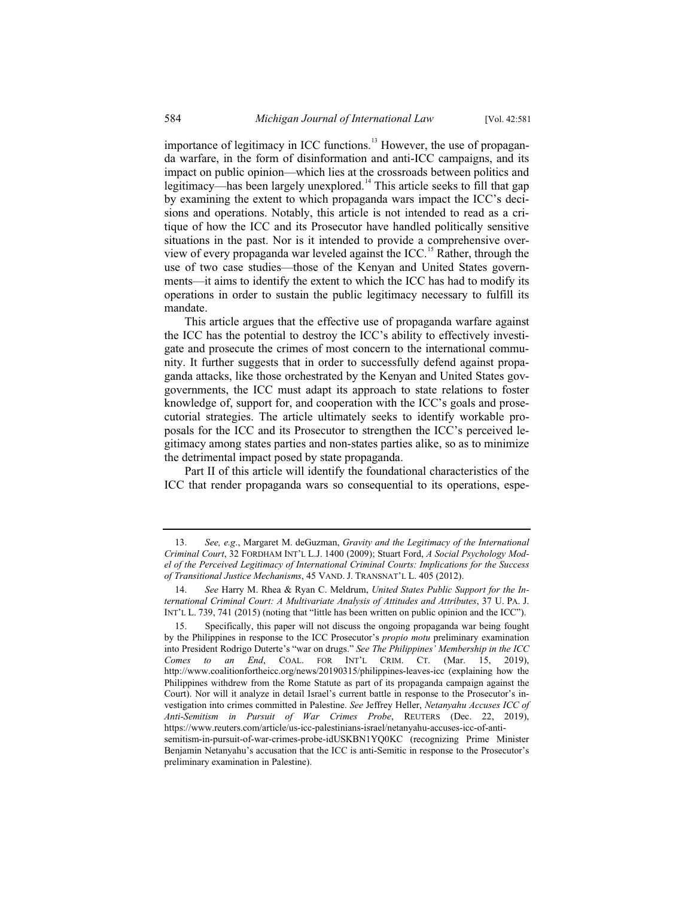importance of legitimacy in ICC functions.<sup>13</sup> However, the use of propaganda warfare, in the form of disinformation and anti-ICC campaigns, and its impact on public opinion—which lies at the crossroads between politics and legitimacy—has been largely unexplored.<sup>14</sup> This article seeks to fill that gap by examining the extent to which propaganda wars impact the ICC's decisions and operations. Notably, this article is not intended to read as a critique of how the ICC and its Prosecutor have handled politically sensitive situations in the past. Nor is it intended to provide a comprehensive overview of every propaganda war leveled against the ICC.<sup>15</sup> Rather, through the use of two case studies—those of the Kenyan and United States governments—it aims to identify the extent to which the ICC has had to modify its operations in order to sustain the public legitimacy necessary to fulfill its mandate.

This article argues that the effective use of propaganda warfare against the ICC has the potential to destroy the ICC's ability to effectively investigate and prosecute the crimes of most concern to the international community. It further suggests that in order to successfully defend against propaganda attacks, like those orchestrated by the Kenyan and United States govgovernments, the ICC must adapt its approach to state relations to foster knowledge of, support for, and cooperation with the ICC's goals and prosecutorial strategies. The article ultimately seeks to identify workable proposals for the ICC and its Prosecutor to strengthen the ICC's perceived legitimacy among states parties and non-states parties alike, so as to minimize the detrimental impact posed by state propaganda.

Part II of this article will identify the foundational characteristics of the ICC that render propaganda wars so consequential to its operations, espe-

<sup>13.</sup> *See, e.g*., Margaret M. deGuzman, *Gravity and the Legitimacy of the International Criminal Court*, 32 FORDHAM INT'L L.J. 1400 (2009); Stuart Ford, *A Social Psychology Model of the Perceived Legitimacy of International Criminal Courts: Implications for the Success of Transitional Justice Mechanisms*, 45 VAND. J. TRANSNAT'L L. 405 (2012).

<sup>14.</sup> *See* Harry M. Rhea & Ryan C. Meldrum, *United States Public Support for the International Criminal Court: A Multivariate Analysis of Attitudes and Attributes*, 37 U. PA. J. INT'L L. 739, 741 (2015) (noting that "little has been written on public opinion and the ICC").

<sup>15.</sup> Specifically, this paper will not discuss the ongoing propaganda war being fought by the Philippines in response to the ICC Prosecutor's *propio motu* preliminary examination into President Rodrigo Duterte's "war on drugs." *See The Philippines' Membership in the ICC Comes to an End*, COAL. FOR INT'L CRIM. CT. (Mar. 15, 2019), http://www.coalitionfortheicc.org/news/20190315/philippines-leaves-icc (explaining how the Philippines withdrew from the Rome Statute as part of its propaganda campaign against the Court). Nor will it analyze in detail Israel's current battle in response to the Prosecutor's investigation into crimes committed in Palestine. *See* Jeffrey Heller, *Netanyahu Accuses ICC of Anti-Semitism in Pursuit of War Crimes Probe*, REUTERS (Dec. 22, 2019), https://www.reuters.com/article/us-icc-palestinians-israel/netanyahu-accuses-icc-of-anti-

semitism-in-pursuit-of-war-crimes-probe-idUSKBN1YQ0KC (recognizing Prime Minister Benjamin Netanyahu's accusation that the ICC is anti-Semitic in response to the Prosecutor's preliminary examination in Palestine).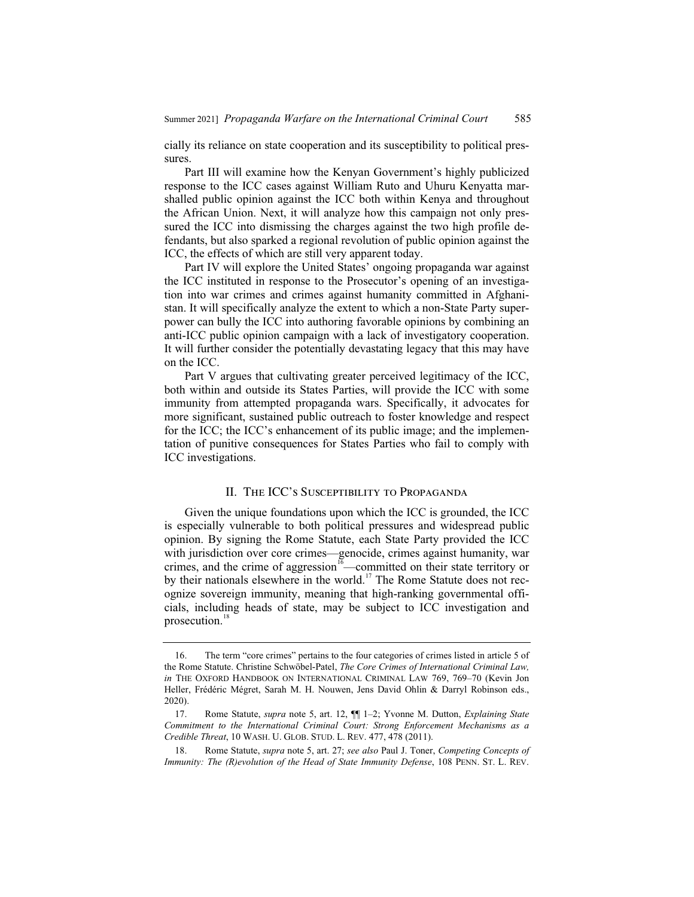cially its reliance on state cooperation and its susceptibility to political pressures.

Part III will examine how the Kenyan Government's highly publicized response to the ICC cases against William Ruto and Uhuru Kenyatta marshalled public opinion against the ICC both within Kenya and throughout the African Union. Next, it will analyze how this campaign not only pressured the ICC into dismissing the charges against the two high profile defendants, but also sparked a regional revolution of public opinion against the ICC, the effects of which are still very apparent today.

Part IV will explore the United States' ongoing propaganda war against the ICC instituted in response to the Prosecutor's opening of an investigation into war crimes and crimes against humanity committed in Afghanistan. It will specifically analyze the extent to which a non-State Party superpower can bully the ICC into authoring favorable opinions by combining an anti-ICC public opinion campaign with a lack of investigatory cooperation. It will further consider the potentially devastating legacy that this may have on the ICC.

Part V argues that cultivating greater perceived legitimacy of the ICC, both within and outside its States Parties, will provide the ICC with some immunity from attempted propaganda wars. Specifically, it advocates for more significant, sustained public outreach to foster knowledge and respect for the ICC; the ICC's enhancement of its public image; and the implementation of punitive consequences for States Parties who fail to comply with ICC investigations.

#### II. The ICC's Susceptibility to Propaganda

Given the unique foundations upon which the ICC is grounded, the ICC is especially vulnerable to both political pressures and widespread public opinion. By signing the Rome Statute, each State Party provided the ICC with jurisdiction over core crimes—genocide, crimes against humanity, war crimes, and the crime of aggression $16$ —committed on their state territory or by their nationals elsewhere in the world.<sup>17</sup> The Rome Statute does not recognize sovereign immunity, meaning that high-ranking governmental officials, including heads of state, may be subject to ICC investigation and prosecution.<sup>18</sup>

<sup>16.</sup> The term "core crimes" pertains to the four categories of crimes listed in article 5 of the Rome Statute. Christine Schwöbel-Patel, *The Core Crimes of International Criminal Law, in* THE OXFORD HANDBOOK ON INTERNATIONAL CRIMINAL LAW 769, 769–70 (Kevin Jon Heller, Frédéric Mégret, Sarah M. H. Nouwen, Jens David Ohlin & Darryl Robinson eds., 2020).

<sup>17.</sup> Rome Statute, *supra* note 5, art. 12, ¶¶ 1–2; Yvonne M. Dutton, *Explaining State Commitment to the International Criminal Court: Strong Enforcement Mechanisms as a Credible Threat*, 10 WASH. U. GLOB. STUD. L. REV. 477, 478 (2011).

<sup>18.</sup> Rome Statute, *supra* note 5, art. 27; *see also* Paul J. Toner, *Competing Concepts of Immunity: The (R)evolution of the Head of State Immunity Defense*, 108 PENN. ST. L. REV.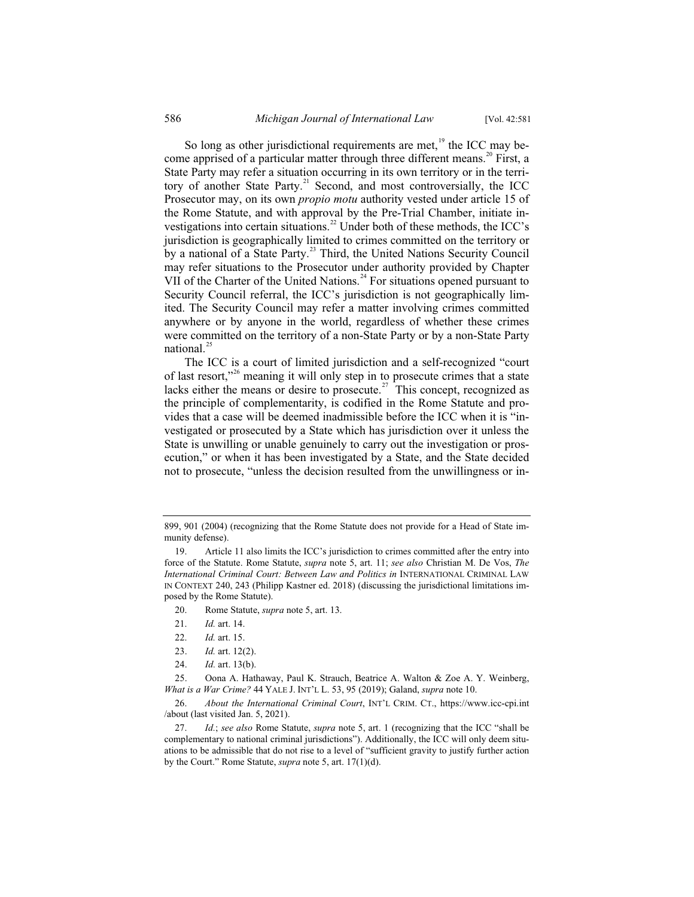So long as other jurisdictional requirements are met, $19$  the ICC may become apprised of a particular matter through three different means.<sup>20</sup> First, a State Party may refer a situation occurring in its own territory or in the territory of another State Party.<sup>21</sup> Second, and most controversially, the ICC Prosecutor may, on its own *propio motu* authority vested under article 15 of the Rome Statute, and with approval by the Pre-Trial Chamber, initiate investigations into certain situations.<sup>22</sup> Under both of these methods, the ICC's jurisdiction is geographically limited to crimes committed on the territory or by a national of a State Party.<sup>23</sup> Third, the United Nations Security Council may refer situations to the Prosecutor under authority provided by Chapter VII of the Charter of the United Nations.<sup>24</sup> For situations opened pursuant to Security Council referral, the ICC's jurisdiction is not geographically limited. The Security Council may refer a matter involving crimes committed anywhere or by anyone in the world, regardless of whether these crimes were committed on the territory of a non-State Party or by a non-State Party national. $^{25}$ 

The ICC is a court of limited jurisdiction and a self-recognized "court of last resort,"<sup>26</sup> meaning it will only step in to prosecute crimes that a state lacks either the means or desire to prosecute.<sup>27</sup> This concept, recognized as the principle of complementarity, is codified in the Rome Statute and provides that a case will be deemed inadmissible before the ICC when it is "investigated or prosecuted by a State which has jurisdiction over it unless the State is unwilling or unable genuinely to carry out the investigation or prosecution," or when it has been investigated by a State, and the State decided not to prosecute, "unless the decision resulted from the unwillingness or in-

- 20. Rome Statute, *supra* note 5, art. 13.
- 21. *Id.* art. 14.
- 22. *Id.* art. 15.
- 23. *Id.* art. 12(2).
- 24. *Id.* art. 13(b).

<sup>899, 901 (2004) (</sup>recognizing that the Rome Statute does not provide for a Head of State immunity defense).

<sup>19.</sup> Article 11 also limits the ICC's jurisdiction to crimes committed after the entry into force of the Statute. Rome Statute, *supra* note 5, art. 11; *see also* Christian M. De Vos, *The International Criminal Court: Between Law and Politics in* INTERNATIONAL CRIMINAL LAW IN CONTEXT 240, 243 (Philipp Kastner ed. 2018) (discussing the jurisdictional limitations imposed by the Rome Statute).

<sup>25.</sup> Oona A. Hathaway, Paul K. Strauch, Beatrice A. Walton & Zoe A. Y. Weinberg, *What is a War Crime?* 44 YALE J. INT'L L. 53, 95 (2019); Galand, *supra* note 10.

<sup>26.</sup> *About the International Criminal Court*, INT'L CRIM. CT., https://www.icc-cpi.int /about (last visited Jan. 5, 2021).

<sup>27.</sup> *Id.*; *see also* Rome Statute, *supra* note 5, art. 1 (recognizing that the ICC "shall be complementary to national criminal jurisdictions"). Additionally, the ICC will only deem situations to be admissible that do not rise to a level of "sufficient gravity to justify further action by the Court." Rome Statute, *supra* note 5, art. 17(1)(d).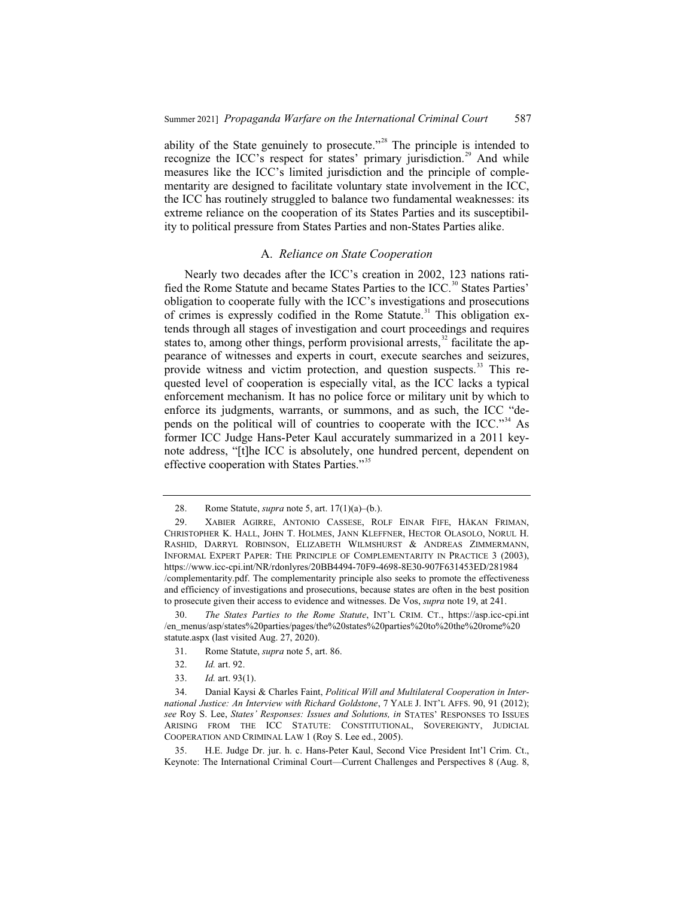ability of the State genuinely to prosecute."<sup>28</sup> The principle is intended to recognize the ICC's respect for states' primary jurisdiction.<sup>29</sup> And while measures like the ICC's limited jurisdiction and the principle of complementarity are designed to facilitate voluntary state involvement in the ICC, the ICC has routinely struggled to balance two fundamental weaknesses: its extreme reliance on the cooperation of its States Parties and its susceptibility to political pressure from States Parties and non-States Parties alike.

#### A. *Reliance on State Cooperation*

Nearly two decades after the ICC's creation in 2002, 123 nations ratified the Rome Statute and became States Parties to the ICC.<sup>30</sup> States Parties' obligation to cooperate fully with the ICC's investigations and prosecutions of crimes is expressly codified in the Rome Statute. $31$  This obligation extends through all stages of investigation and court proceedings and requires states to, among other things, perform provisional arrests, $32$  facilitate the appearance of witnesses and experts in court, execute searches and seizures, provide witness and victim protection, and question suspects.<sup>33</sup> This requested level of cooperation is especially vital, as the ICC lacks a typical enforcement mechanism. It has no police force or military unit by which to enforce its judgments, warrants, or summons, and as such, the ICC "depends on the political will of countries to cooperate with the ICC."<sup>34</sup> As former ICC Judge Hans-Peter Kaul accurately summarized in a 2011 keynote address, "[t]he ICC is absolutely, one hundred percent, dependent on effective cooperation with States Parties."<sup>35</sup>

- 31. Rome Statute, *supra* note 5, art. 86.
- 32. *Id.* art. 92.
- 33. *Id.* art. 93(1).

<sup>28.</sup> Rome Statute, *supra* note 5, art. 17(1)(a)–(b.).

<sup>29.</sup> XABIER AGIRRE, ANTONIO CASSESE, ROLF EINAR FIFE, HÅKAN FRIMAN, CHRISTOPHER K. HALL, JOHN T. HOLMES, JANN KLEFFNER, HECTOR OLASOLO, NORUL H. RASHID, DARRYL ROBINSON, ELIZABETH WILMSHURST & ANDREAS ZIMMERMANN, INFORMAL EXPERT PAPER: THE PRINCIPLE OF COMPLEMENTARITY IN PRACTICE 3 (2003), https://www.icc-cpi.int/NR/rdonlyres/20BB4494-70F9-4698-8E30-907F631453ED/281984 /complementarity.pdf. The complementarity principle also seeks to promote the effectiveness and efficiency of investigations and prosecutions, because states are often in the best position to prosecute given their access to evidence and witnesses. De Vos, *supra* note 19, at 241.

<sup>30.</sup> *The States Parties to the Rome Statute*, INT'L CRIM. CT., https://asp.icc-cpi.int /en\_menus/asp/states%20parties/pages/the%20states%20parties%20to%20the%20rome%20 statute.aspx (last visited Aug. 27, 2020).

<sup>34.</sup> Danial Kaysi & Charles Faint, *Political Will and Multilateral Cooperation in International Justice: An Interview with Richard Goldstone*, 7 YALE J. INT'L AFFS. 90, 91 (2012); *see* Roy S. Lee, *States' Responses: Issues and Solutions, in* STATES' RESPONSES TO ISSUES ARISING FROM THE ICC STATUTE: CONSTITUTIONAL, SOVEREIGNTY, JUDICIAL COOPERATION AND CRIMINAL LAW 1 (Roy S. Lee ed., 2005).

<sup>35.</sup> H.E. Judge Dr. jur. h. c. Hans-Peter Kaul, Second Vice President Int'l Crim. Ct., Keynote: The International Criminal Court—Current Challenges and Perspectives 8 (Aug. 8,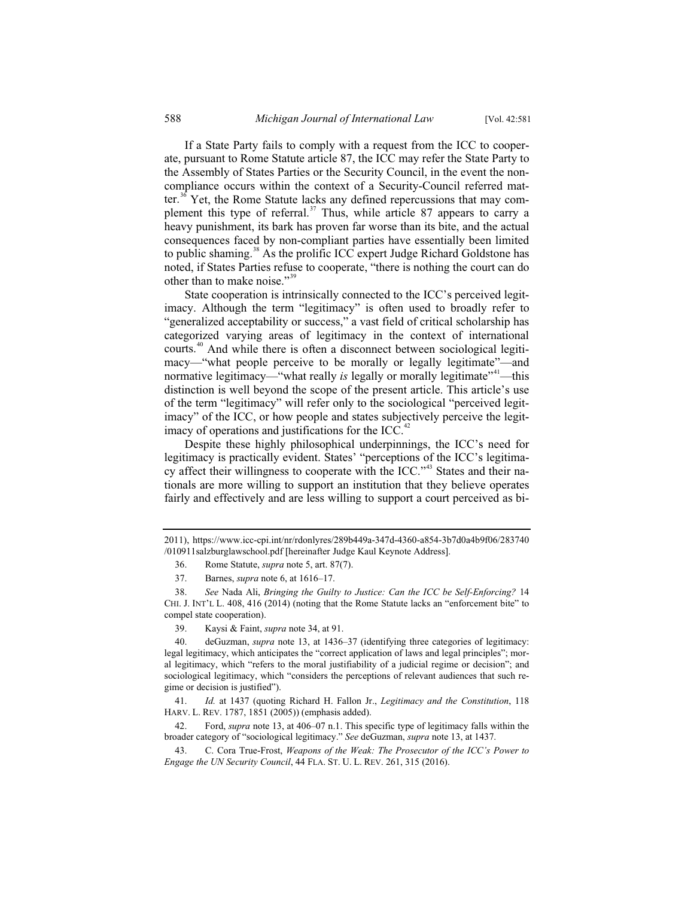If a State Party fails to comply with a request from the ICC to cooperate, pursuant to Rome Statute article 87, the ICC may refer the State Party to the Assembly of States Parties or the Security Council, in the event the noncompliance occurs within the context of a Security-Council referred matter.<sup>36</sup> Yet, the Rome Statute lacks any defined repercussions that may complement this type of referral.<sup>37</sup> Thus, while article 87 appears to carry a heavy punishment, its bark has proven far worse than its bite, and the actual consequences faced by non-compliant parties have essentially been limited to public shaming.<sup>38</sup> As the prolific ICC expert Judge Richard Goldstone has noted, if States Parties refuse to cooperate, "there is nothing the court can do other than to make noise."<sup>39</sup>

State cooperation is intrinsically connected to the ICC's perceived legitimacy. Although the term "legitimacy" is often used to broadly refer to "generalized acceptability or success," a vast field of critical scholarship has categorized varying areas of legitimacy in the context of international courts.<sup>40</sup> And while there is often a disconnect between sociological legitimacy—"what people perceive to be morally or legally legitimate"—and normative legitimacy—"what really *is* legally or morally legitimate"<sup>41</sup>—this distinction is well beyond the scope of the present article. This article's use of the term "legitimacy" will refer only to the sociological "perceived legitimacy" of the ICC, or how people and states subjectively perceive the legitimacy of operations and justifications for the ICC. $4$ 

Despite these highly philosophical underpinnings, the ICC's need for legitimacy is practically evident. States' "perceptions of the ICC's legitimacy affect their willingness to cooperate with the ICC."<sup>43</sup> States and their nationals are more willing to support an institution that they believe operates fairly and effectively and are less willing to support a court perceived as bi-

<sup>2011),</sup> https://www.icc-cpi.int/nr/rdonlyres/289b449a-347d-4360-a854-3b7d0a4b9f06/283740 /010911salzburglawschool.pdf [hereinafter Judge Kaul Keynote Address].

<sup>36.</sup> Rome Statute, *supra* note 5, art. 87(7).

<sup>37.</sup> Barnes, *supra* note 6, at 1616–17.

<sup>38.</sup> *See* Nada Ali, *Bringing the Guilty to Justice: Can the ICC be Self-Enforcing?* 14 CHI. J. INT'L L. 408, 416 (2014) (noting that the Rome Statute lacks an "enforcement bite" to compel state cooperation).

<sup>39.</sup> Kaysi & Faint, *supra* note 34, at 91.

<sup>40.</sup> deGuzman, *supra* note 13, at 1436–37 (identifying three categories of legitimacy: legal legitimacy, which anticipates the "correct application of laws and legal principles"; moral legitimacy, which "refers to the moral justifiability of a judicial regime or decision"; and sociological legitimacy, which "considers the perceptions of relevant audiences that such regime or decision is justified").

<sup>41.</sup> *Id.* at 1437 (quoting Richard H. Fallon Jr., *Legitimacy and the Constitution*, 118 HARV. L. REV. 1787, 1851 (2005)) (emphasis added).

<sup>42.</sup> Ford, *supra* note 13, at 406–07 n.1. This specific type of legitimacy falls within the broader category of "sociological legitimacy." *See* deGuzman, *supra* note 13, at 1437.

<sup>43.</sup> C. Cora True-Frost, *Weapons of the Weak: The Prosecutor of the ICC's Power to Engage the UN Security Council*, 44 FLA. ST. U. L. REV. 261, 315 (2016).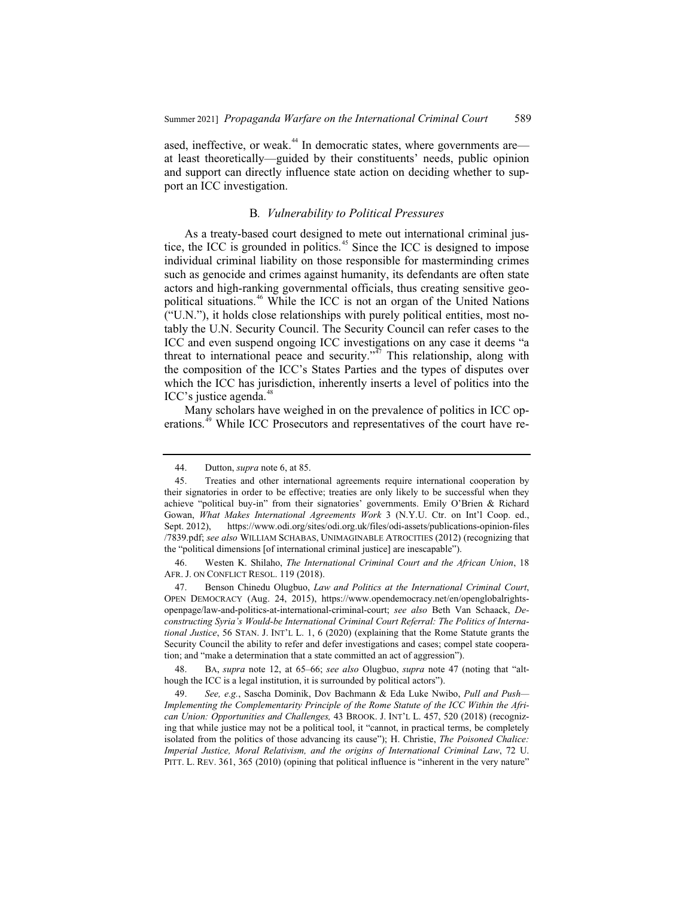ased, ineffective, or weak.<sup>44</sup> In democratic states, where governments are at least theoretically—guided by their constituents' needs, public opinion and support can directly influence state action on deciding whether to support an ICC investigation.

#### B*. Vulnerability to Political Pressures*

As a treaty-based court designed to mete out international criminal justice, the ICC is grounded in politics.<sup> $45$ </sup> Since the ICC is designed to impose individual criminal liability on those responsible for masterminding crimes such as genocide and crimes against humanity, its defendants are often state actors and high-ranking governmental officials, thus creating sensitive geopolitical situations.<sup>46</sup> While the ICC is not an organ of the United Nations ("U.N."), it holds close relationships with purely political entities, most notably the U.N. Security Council. The Security Council can refer cases to the ICC and even suspend ongoing ICC investigations on any case it deems "a threat to international peace and security."<sup> $\bar{A}$ </sup> This relationship, along with the composition of the ICC's States Parties and the types of disputes over which the ICC has jurisdiction, inherently inserts a level of politics into the  $\text{ICC's justice agenda.}^{48}$ 

Many scholars have weighed in on the prevalence of politics in ICC operations.<sup>49</sup> While ICC Prosecutors and representatives of the court have re-

<sup>44.</sup> Dutton, *supra* note 6, at 85.

<sup>45.</sup> Treaties and other international agreements require international cooperation by their signatories in order to be effective; treaties are only likely to be successful when they achieve "political buy-in" from their signatories' governments. Emily O'Brien & Richard Gowan, *What Makes International Agreements Work* 3 (N.Y.U. Ctr. on Int'l Coop. ed., Sept. 2012), https://www.odi.org/sites/odi.org.uk/files/odi-assets/publications-opinion-files /7839.pdf; *see also* WILLIAM SCHABAS, UNIMAGINABLE ATROCITIES (2012) (recognizing that the "political dimensions [of international criminal justice] are inescapable").

<sup>46.</sup> Westen K. Shilaho, *The International Criminal Court and the African Union*, 18 AFR. J. ON CONFLICT RESOL. 119 (2018).

<sup>47.</sup> Benson Chinedu Olugbuo, *Law and Politics at the International Criminal Court*, OPEN DEMOCRACY (Aug. 24, 2015), https://www.opendemocracy.net/en/openglobalrightsopenpage/law-and-politics-at-international-criminal-court; *see also* Beth Van Schaack, *Deconstructing Syria's Would-be International Criminal Court Referral: The Politics of International Justice*, 56 STAN. J. INT'L L. 1, 6 (2020) (explaining that the Rome Statute grants the Security Council the ability to refer and defer investigations and cases; compel state cooperation; and "make a determination that a state committed an act of aggression").

<sup>48.</sup> BA, *supra* note 12, at 65–66; *see also* Olugbuo, *supra* note 47 (noting that "although the ICC is a legal institution, it is surrounded by political actors").

<sup>49.</sup> *See, e.g.*, Sascha Dominik, Dov Bachmann & Eda Luke Nwibo, *Pull and Push— Implementing the Complementarity Principle of the Rome Statute of the ICC Within the African Union: Opportunities and Challenges,* 43 BROOK. J. INT'L L. 457, 520 (2018) (recognizing that while justice may not be a political tool, it "cannot, in practical terms, be completely isolated from the politics of those advancing its cause"); H. Christie, *The Poisoned Chalice: Imperial Justice, Moral Relativism, and the origins of International Criminal Law*, 72 U. PITT. L. REV. 361, 365 (2010) (opining that political influence is "inherent in the very nature"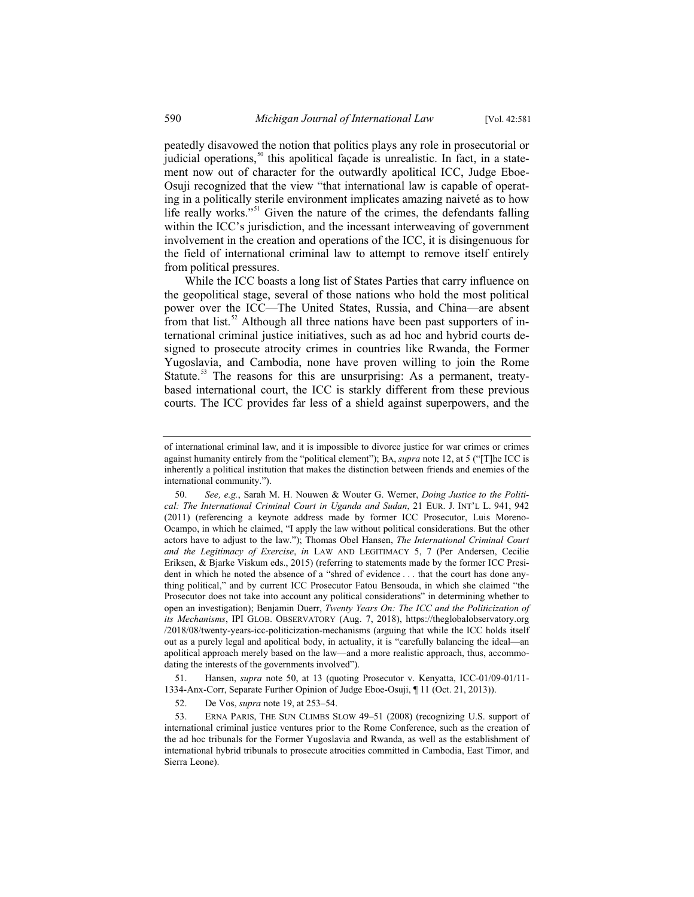peatedly disavowed the notion that politics plays any role in prosecutorial or iudicial operations,<sup>50</sup> this apolitical façade is unrealistic. In fact, in a statement now out of character for the outwardly apolitical ICC, Judge Eboe-Osuji recognized that the view "that international law is capable of operating in a politically sterile environment implicates amazing naiveté as to how life really works."<sup>51</sup> Given the nature of the crimes, the defendants falling within the ICC's jurisdiction, and the incessant interweaving of government involvement in the creation and operations of the ICC, it is disingenuous for the field of international criminal law to attempt to remove itself entirely from political pressures.

While the ICC boasts a long list of States Parties that carry influence on the geopolitical stage, several of those nations who hold the most political power over the ICC—The United States, Russia, and China—are absent from that list.<sup>52</sup> Although all three nations have been past supporters of international criminal justice initiatives, such as ad hoc and hybrid courts designed to prosecute atrocity crimes in countries like Rwanda, the Former Yugoslavia, and Cambodia, none have proven willing to join the Rome Statute.<sup>53</sup> The reasons for this are unsurprising: As a permanent, treatybased international court, the ICC is starkly different from these previous courts. The ICC provides far less of a shield against superpowers, and the

51. Hansen, *supra* note 50, at 13 (quoting Prosecutor v. Kenyatta, ICC-01/09-01/11- 1334-Anx-Corr, Separate Further Opinion of Judge Eboe-Osuji, ¶ 11 (Oct. 21, 2013)).

52. De Vos, *supra* note 19, at 253–54.

53. ERNA PARIS, THE SUN CLIMBS SLOW 49–51 (2008) (recognizing U.S. support of international criminal justice ventures prior to the Rome Conference, such as the creation of the ad hoc tribunals for the Former Yugoslavia and Rwanda, as well as the establishment of international hybrid tribunals to prosecute atrocities committed in Cambodia, East Timor, and Sierra Leone).

of international criminal law, and it is impossible to divorce justice for war crimes or crimes against humanity entirely from the "political element"); BA, *supra* note 12, at 5 ("[T]he ICC is inherently a political institution that makes the distinction between friends and enemies of the international community.").

<sup>50.</sup> *See, e.g.*, Sarah M. H. Nouwen & Wouter G. Werner, *Doing Justice to the Political: The International Criminal Court in Uganda and Sudan*, 21 EUR. J. INT'L L. 941, 942 (2011) (referencing a keynote address made by former ICC Prosecutor, Luis Moreno-Ocampo, in which he claimed, "I apply the law without political considerations. But the other actors have to adjust to the law."); Thomas Obel Hansen, *The International Criminal Court and the Legitimacy of Exercise*, *in* LAW AND LEGITIMACY 5, 7 (Per Andersen, Cecilie Eriksen, & Bjarke Viskum eds., 2015) (referring to statements made by the former ICC President in which he noted the absence of a "shred of evidence . . . that the court has done anything political," and by current ICC Prosecutor Fatou Bensouda, in which she claimed "the Prosecutor does not take into account any political considerations" in determining whether to open an investigation); Benjamin Duerr, *Twenty Years On: The ICC and the Politicization of its Mechanisms*, IPI GLOB. OBSERVATORY (Aug. 7, 2018), https://theglobalobservatory.org /2018/08/twenty-years-icc-politicization-mechanisms (arguing that while the ICC holds itself out as a purely legal and apolitical body, in actuality, it is "carefully balancing the ideal—an apolitical approach merely based on the law—and a more realistic approach, thus, accommodating the interests of the governments involved").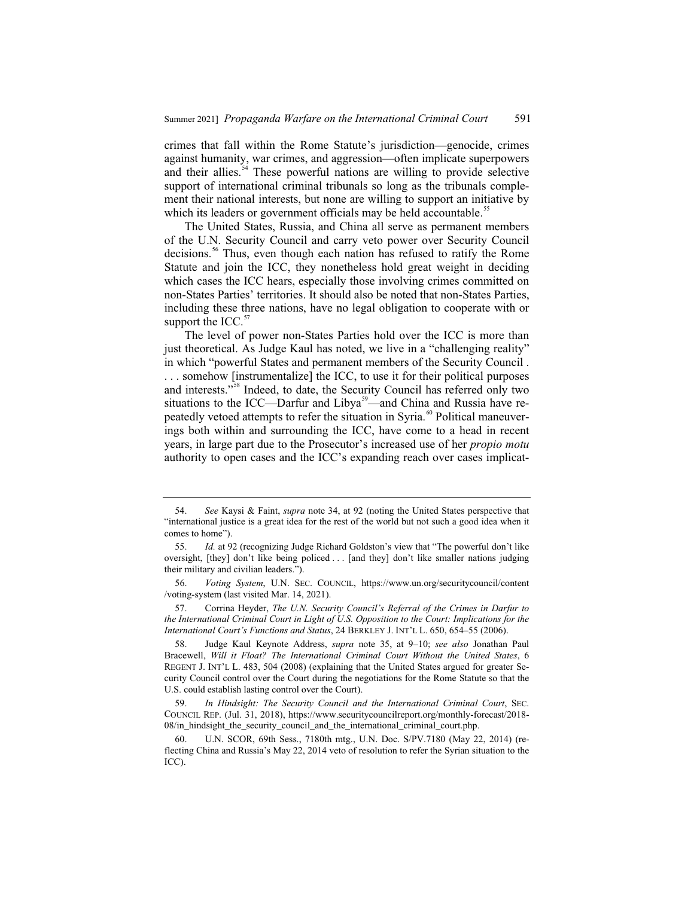crimes that fall within the Rome Statute's jurisdiction—genocide, crimes against humanity, war crimes, and aggression—often implicate superpowers and their allies.<sup>54</sup> These powerful nations are willing to provide selective support of international criminal tribunals so long as the tribunals complement their national interests, but none are willing to support an initiative by which its leaders or government officials may be held accountable.<sup>55</sup>

The United States, Russia, and China all serve as permanent members of the U.N. Security Council and carry veto power over Security Council decisions.<sup>56</sup> Thus, even though each nation has refused to ratify the Rome Statute and join the ICC, they nonetheless hold great weight in deciding which cases the ICC hears, especially those involving crimes committed on non-States Parties' territories. It should also be noted that non-States Parties, including these three nations, have no legal obligation to cooperate with or support the ICC. $57$ 

The level of power non-States Parties hold over the ICC is more than just theoretical. As Judge Kaul has noted, we live in a "challenging reality" in which "powerful States and permanent members of the Security Council . . . . somehow [instrumentalize] the ICC, to use it for their political purposes and interests."<sup>58</sup> Indeed, to date, the Security Council has referred only two situations to the ICC—Darfur and Libya<sup>59</sup>—and China and Russia have repeatedly vetoed attempts to refer the situation in Syria.<sup>60</sup> Political maneuverings both within and surrounding the ICC, have come to a head in recent years, in large part due to the Prosecutor's increased use of her *propio motu* authority to open cases and the ICC's expanding reach over cases implicat-

<sup>54.</sup> *See* Kaysi & Faint, *supra* note 34, at 92 (noting the United States perspective that "international justice is a great idea for the rest of the world but not such a good idea when it comes to home").

<sup>55.</sup> *Id.* at 92 (recognizing Judge Richard Goldston's view that "The powerful don't like oversight, [they] don't like being policed . . . [and they] don't like smaller nations judging their military and civilian leaders.").

<sup>56.</sup> *Voting System*, U.N. SEC. COUNCIL, https://www.un.org/securitycouncil/content /voting-system (last visited Mar. 14, 2021).

<sup>57.</sup> Corrina Heyder, *The U.N. Security Council's Referral of the Crimes in Darfur to the International Criminal Court in Light of U.S. Opposition to the Court: Implications for the International Court's Functions and Status*, 24 BERKLEY J. INT'L L. 650, 654–55 (2006).

<sup>58.</sup> Judge Kaul Keynote Address, *supra* note 35, at 9–10; *see also* Jonathan Paul Bracewell, *Will it Float? The International Criminal Court Without the United States*, 6 REGENT J. INT'L L. 483, 504 (2008) (explaining that the United States argued for greater Security Council control over the Court during the negotiations for the Rome Statute so that the U.S. could establish lasting control over the Court).

<sup>59.</sup> *In Hindsight: The Security Council and the International Criminal Court*, SEC. COUNCIL REP. (Jul. 31, 2018), https://www.securitycouncilreport.org/monthly-forecast/2018- 08/in\_hindsight\_the\_security\_council\_and\_the\_international\_criminal\_court.php.

<sup>60.</sup> U.N. SCOR, 69th Sess., 7180th mtg., U.N. Doc. S/PV.7180 (May 22, 2014) (reflecting China and Russia's May 22, 2014 veto of resolution to refer the Syrian situation to the ICC).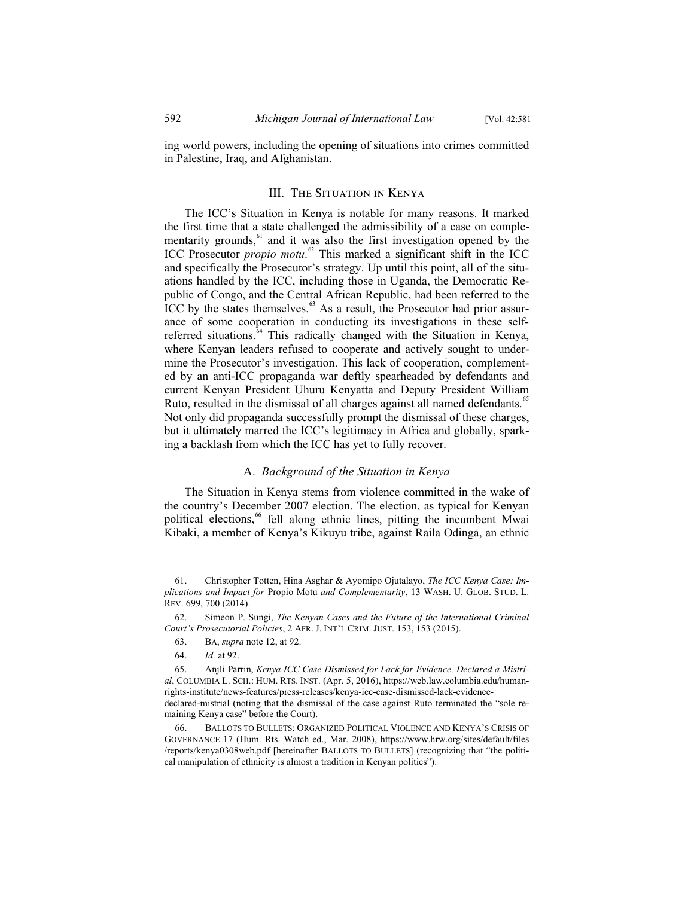ing world powers, including the opening of situations into crimes committed in Palestine, Iraq, and Afghanistan.

#### III. The Situation in Kenya

The ICC's Situation in Kenya is notable for many reasons. It marked the first time that a state challenged the admissibility of a case on complementarity grounds,<sup>61</sup> and it was also the first investigation opened by the ICC Prosecutor *propio motu*. <sup>62</sup> This marked a significant shift in the ICC and specifically the Prosecutor's strategy. Up until this point, all of the situations handled by the ICC, including those in Uganda, the Democratic Republic of Congo, and the Central African Republic, had been referred to the ICC by the states themselves.<sup>63</sup> As a result, the Prosecutor had prior assurance of some cooperation in conducting its investigations in these selfreferred situations.<sup>64</sup> This radically changed with the Situation in Kenya, where Kenyan leaders refused to cooperate and actively sought to undermine the Prosecutor's investigation. This lack of cooperation, complemented by an anti-ICC propaganda war deftly spearheaded by defendants and current Kenyan President Uhuru Kenyatta and Deputy President William Ruto, resulted in the dismissal of all charges against all named defendants.<sup>65</sup> Not only did propaganda successfully prompt the dismissal of these charges, but it ultimately marred the ICC's legitimacy in Africa and globally, sparking a backlash from which the ICC has yet to fully recover.

#### A. *Background of the Situation in Kenya*

The Situation in Kenya stems from violence committed in the wake of the country's December 2007 election. The election, as typical for Kenyan political elections,<sup>66</sup> fell along ethnic lines, pitting the incumbent Mwai Kibaki, a member of Kenya's Kikuyu tribe, against Raila Odinga, an ethnic

<sup>61.</sup> Christopher Totten, Hina Asghar & Ayomipo Ojutalayo, *The ICC Kenya Case: Implications and Impact for* Propio Motu *and Complementarity*, 13 WASH. U. GLOB. STUD. L. REV. 699, 700 (2014).

<sup>62.</sup> Simeon P. Sungi, *The Kenyan Cases and the Future of the International Criminal Court's Prosecutorial Policies*, 2 AFR. J. INT'L CRIM. JUST. 153, 153 (2015).

<sup>63.</sup> BA, *supra* note 12, at 92.

<sup>64.</sup> *Id.* at 92.

<sup>65.</sup> Anjli Parrin, *Kenya ICC Case Dismissed for Lack for Evidence, Declared a Mistrial*, COLUMBIA L. SCH.: HUM. RTS. INST. (Apr. 5, 2016), https://web.law.columbia.edu/humanrights-institute/news-features/press-releases/kenya-icc-case-dismissed-lack-evidencedeclared-mistrial (noting that the dismissal of the case against Ruto terminated the "sole remaining Kenya case" before the Court).

<sup>66.</sup> BALLOTS TO BULLETS: ORGANIZED POLITICAL VIOLENCE AND KENYA'S CRISIS OF GOVERNANCE 17 (Hum. Rts. Watch ed., Mar. 2008), https://www.hrw.org/sites/default/files /reports/kenya0308web.pdf [hereinafter BALLOTS TO BULLETS] (recognizing that "the political manipulation of ethnicity is almost a tradition in Kenyan politics").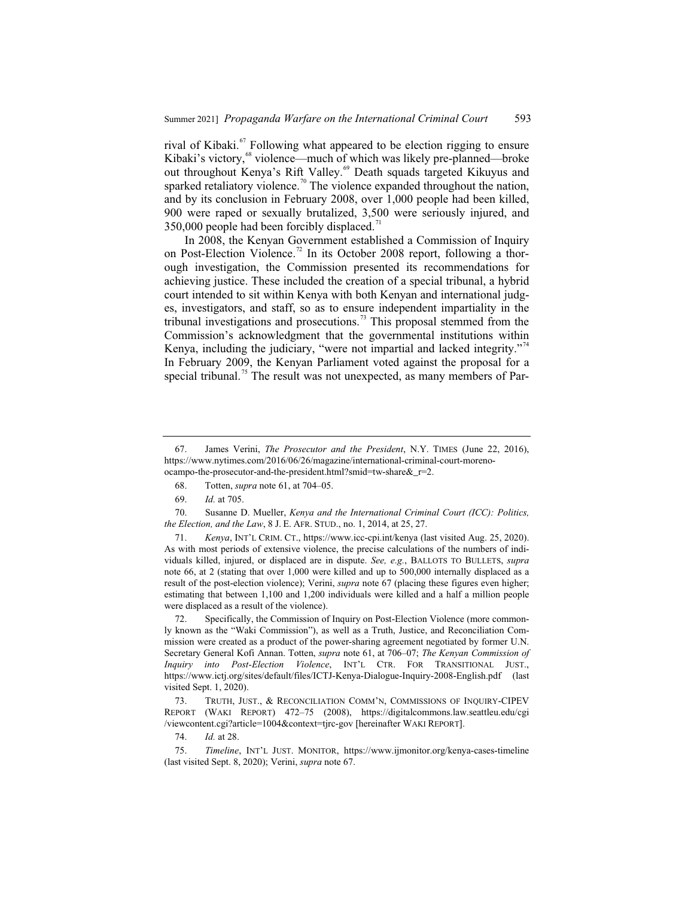rival of Kibaki. $\frac{67}{100}$  Following what appeared to be election rigging to ensure Kibaki's victory,<sup>68</sup> violence—much of which was likely pre-planned—broke out throughout Kenya's Rift Valley.<sup>69</sup> Death squads targeted Kikuyus and sparked retaliatory violence.<sup>70</sup> The violence expanded throughout the nation, and by its conclusion in February 2008, over 1,000 people had been killed, 900 were raped or sexually brutalized, 3,500 were seriously injured, and 350,000 people had been forcibly displaced.<sup>71</sup>

In 2008, the Kenyan Government established a Commission of Inquiry on Post-Election Violence.<sup>72</sup> In its October 2008 report, following a thorough investigation, the Commission presented its recommendations for achieving justice. These included the creation of a special tribunal, a hybrid court intended to sit within Kenya with both Kenyan and international judges, investigators, and staff, so as to ensure independent impartiality in the tribunal investigations and prosecutions.<sup>73</sup> This proposal stemmed from the Commission's acknowledgment that the governmental institutions within Kenya, including the judiciary, "were not impartial and lacked integrity."<sup>4</sup> In February 2009, the Kenyan Parliament voted against the proposal for a special tribunal.<sup>75</sup> The result was not unexpected, as many members of Par-

70. Susanne D. Mueller, *Kenya and the International Criminal Court (ICC): Politics, the Election, and the Law*, 8 J. E. AFR. STUD., no. 1, 2014, at 25, 27.

71. *Kenya*, INT'L CRIM. CT., https://www.icc-cpi.int/kenya (last visited Aug. 25, 2020). As with most periods of extensive violence, the precise calculations of the numbers of individuals killed, injured, or displaced are in dispute. *See, e.g.*, BALLOTS TO BULLETS, *supra* note 66, at 2 (stating that over 1,000 were killed and up to 500,000 internally displaced as a result of the post-election violence); Verini, *supra* note 67 (placing these figures even higher; estimating that between 1,100 and 1,200 individuals were killed and a half a million people were displaced as a result of the violence).

72. Specifically, the Commission of Inquiry on Post-Election Violence (more commonly known as the "Waki Commission"), as well as a Truth, Justice, and Reconciliation Commission were created as a product of the power-sharing agreement negotiated by former U.N. Secretary General Kofi Annan. Totten, *supra* note 61, at 706–07; *The Kenyan Commission of Inquiry into Post-Election Violence*, INT'L CTR. FOR TRANSITIONAL JUST., https://www.ictj.org/sites/default/files/ICTJ-Kenya-Dialogue-Inquiry-2008-English.pdf (last visited Sept. 1, 2020).

73. TRUTH, JUST., & RECONCILIATION COMM'N, COMMISSIONS OF INQUIRY-CIPEV REPORT (WAKI REPORT) 472–75 (2008), https://digitalcommons.law.seattleu.edu/cgi /viewcontent.cgi?article=1004&context=tjrc-gov [hereinafter WAKI REPORT].

74. *Id.* at 28.

<sup>67.</sup> James Verini, *The Prosecutor and the President*, N.Y. TIMES (June 22, 2016), https://www.nytimes.com/2016/06/26/magazine/international-criminal-court-morenoocampo-the-prosecutor-and-the-president.html?smid=tw-share&\_r=2.

<sup>68.</sup> Totten, *supra* note 61, at 704–05.

<sup>69.</sup> *Id.* at 705.

<sup>75.</sup> *Timeline*, INT'L JUST. MONITOR, https://www.ijmonitor.org/kenya-cases-timeline (last visited Sept. 8, 2020); Verini, *supra* note 67.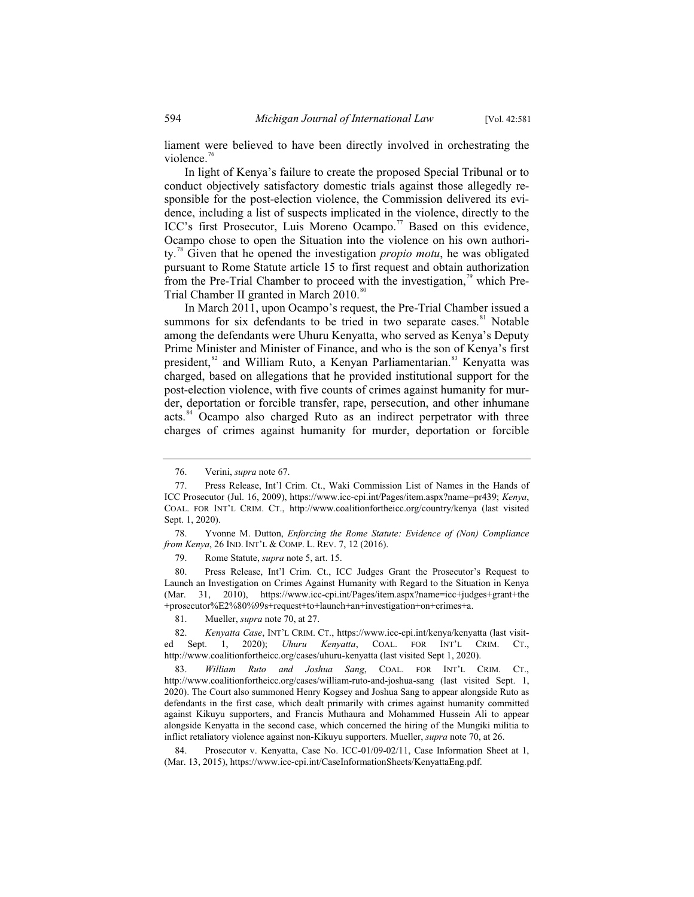liament were believed to have been directly involved in orchestrating the violence. $76$ 

In light of Kenya's failure to create the proposed Special Tribunal or to conduct objectively satisfactory domestic trials against those allegedly responsible for the post-election violence, the Commission delivered its evidence, including a list of suspects implicated in the violence, directly to the ICC's first Prosecutor, Luis Moreno Ocampo.<sup>77</sup> Based on this evidence, Ocampo chose to open the Situation into the violence on his own authority.<sup>78</sup> Given that he opened the investigation *propio motu*, he was obligated pursuant to Rome Statute article 15 to first request and obtain authorization from the Pre-Trial Chamber to proceed with the investigation, $\frac{1}{2}$  which Pre-Trial Chamber II granted in March 2010.<sup>80</sup>

In March 2011, upon Ocampo's request, the Pre-Trial Chamber issued a summons for six defendants to be tried in two separate cases. $81$  Notable among the defendants were Uhuru Kenyatta, who served as Kenya's Deputy Prime Minister and Minister of Finance, and who is the son of Kenya's first president,<sup>82</sup> and William Ruto, a Kenyan Parliamentarian.<sup>83</sup> Kenyatta was charged, based on allegations that he provided institutional support for the post-election violence, with five counts of crimes against humanity for murder, deportation or forcible transfer, rape, persecution, and other inhumane acts.<sup>84</sup> Ocampo also charged Ruto as an indirect perpetrator with three charges of crimes against humanity for murder, deportation or forcible

79. Rome Statute, *supra* note 5, art. 15.

80. Press Release, Int'l Crim. Ct., ICC Judges Grant the Prosecutor's Request to Launch an Investigation on Crimes Against Humanity with Regard to the Situation in Kenya (Mar. 31, 2010), https://www.icc-cpi.int/Pages/item.aspx?name=icc+judges+grant+the +prosecutor%E2%80%99s+request+to+launch+an+investigation+on+crimes+a.

81. Mueller, *supra* note 70, at 27.

82. *Kenyatta Case*, INT'L CRIM. CT., https://www.icc-cpi.int/kenya/kenyatta (last visited Sept. 1, 2020); *Uhuru Kenyatta*, COAL. FOR INT'L CRIM. CT., http://www.coalitionfortheicc.org/cases/uhuru-kenyatta (last visited Sept 1, 2020).

83. *William Ruto and Joshua Sang*, COAL. FOR INT'L CRIM. CT., http://www.coalitionfortheicc.org/cases/william-ruto-and-joshua-sang (last visited Sept. 1, 2020). The Court also summoned Henry Kogsey and Joshua Sang to appear alongside Ruto as defendants in the first case, which dealt primarily with crimes against humanity committed against Kikuyu supporters, and Francis Muthaura and Mohammed Hussein Ali to appear alongside Kenyatta in the second case, which concerned the hiring of the Mungiki militia to inflict retaliatory violence against non-Kikuyu supporters. Mueller, *supra* note 70, at 26.

84. Prosecutor v. Kenyatta, Case No. ICC-01/09-02/11, Case Information Sheet at 1, (Mar. 13, 2015), https://www.icc-cpi.int/CaseInformationSheets/KenyattaEng.pdf.

<sup>76.</sup> Verini, *supra* note 67.

<sup>77.</sup> Press Release, Int'l Crim. Ct., Waki Commission List of Names in the Hands of ICC Prosecutor (Jul. 16, 2009), https://www.icc-cpi.int/Pages/item.aspx?name=pr439; *Kenya*, COAL. FOR INT'L CRIM. CT., http://www.coalitionfortheicc.org/country/kenya (last visited Sept. 1, 2020).

<sup>78.</sup> Yvonne M. Dutton, *Enforcing the Rome Statute: Evidence of (Non) Compliance from Kenya*, 26 IND. INT'L & COMP. L. REV. 7, 12 (2016).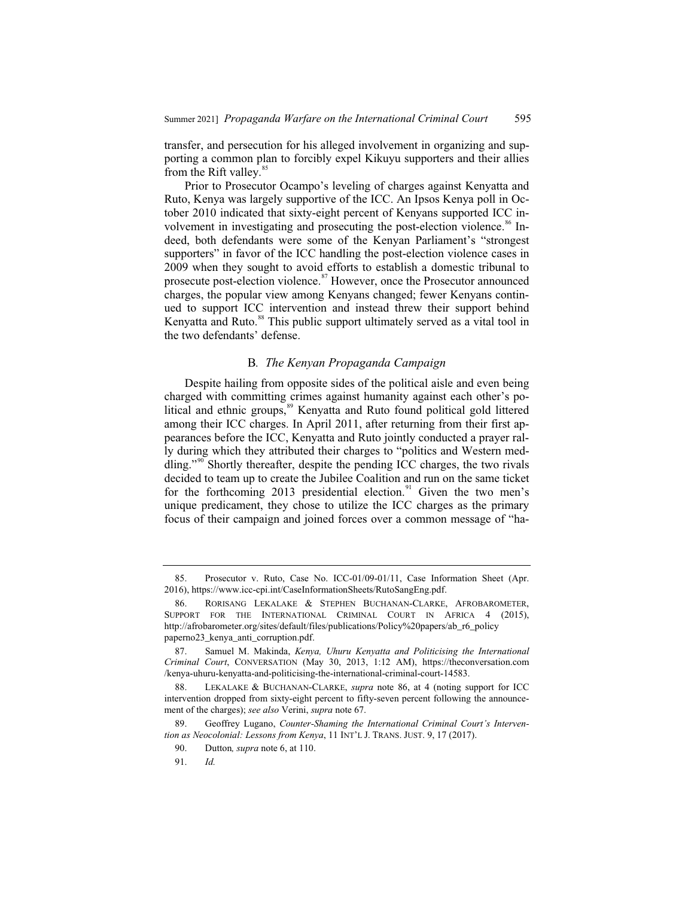transfer, and persecution for his alleged involvement in organizing and supporting a common plan to forcibly expel Kikuyu supporters and their allies from the Rift valley.<sup>85</sup>

Prior to Prosecutor Ocampo's leveling of charges against Kenyatta and Ruto, Kenya was largely supportive of the ICC. An Ipsos Kenya poll in October 2010 indicated that sixty-eight percent of Kenyans supported ICC involvement in investigating and prosecuting the post-election violence.<sup>86</sup> Indeed, both defendants were some of the Kenyan Parliament's "strongest supporters" in favor of the ICC handling the post-election violence cases in 2009 when they sought to avoid efforts to establish a domestic tribunal to prosecute post-election violence.<sup>87</sup> However, once the Prosecutor announced charges, the popular view among Kenyans changed; fewer Kenyans continued to support ICC intervention and instead threw their support behind Kenyatta and Ruto.<sup>88</sup> This public support ultimately served as a vital tool in the two defendants' defense.

#### B*. The Kenyan Propaganda Campaign*

Despite hailing from opposite sides of the political aisle and even being charged with committing crimes against humanity against each other's political and ethnic groups,<sup>89</sup> Kenyatta and Ruto found political gold littered among their ICC charges. In April 2011, after returning from their first appearances before the ICC, Kenyatta and Ruto jointly conducted a prayer rally during which they attributed their charges to "politics and Western meddling."<sup>90</sup> Shortly thereafter, despite the pending ICC charges, the two rivals decided to team up to create the Jubilee Coalition and run on the same ticket for the forthcoming 2013 presidential election. $91$  Given the two men's unique predicament, they chose to utilize the ICC charges as the primary focus of their campaign and joined forces over a common message of "ha-

<sup>85.</sup> Prosecutor v. Ruto, Case No. ICC-01/09-01/11, Case Information Sheet (Apr. 2016), https://www.icc-cpi.int/CaseInformationSheets/RutoSangEng.pdf.

<sup>86.</sup> RORISANG LEKALAKE & STEPHEN BUCHANAN-CLARKE, AFROBAROMETER, SUPPORT FOR THE INTERNATIONAL CRIMINAL COURT IN AFRICA 4 (2015), http://afrobarometer.org/sites/default/files/publications/Policy%20papers/ab\_r6\_policy paperno23\_kenya\_anti\_corruption.pdf.

<sup>87.</sup> Samuel M. Makinda, *Kenya, Uhuru Kenyatta and Politicising the International Criminal Court*, CONVERSATION (May 30, 2013, 1:12 AM), https://theconversation.com /kenya-uhuru-kenyatta-and-politicising-the-international-criminal-court-14583.

LEKALAKE & BUCHANAN-CLARKE, *supra* note 86, at 4 (noting support for ICC) intervention dropped from sixty-eight percent to fifty-seven percent following the announcement of the charges); *see also* Verini, *supra* note 67.

<sup>89.</sup> Geoffrey Lugano, *Counter-Shaming the International Criminal Court's Intervention as Neocolonial: Lessons from Kenya*, 11 INT'L J. TRANS. JUST. 9, 17 (2017).

<sup>90.</sup> Dutton*, supra* note 6, at 110.

<sup>91.</sup> *Id.*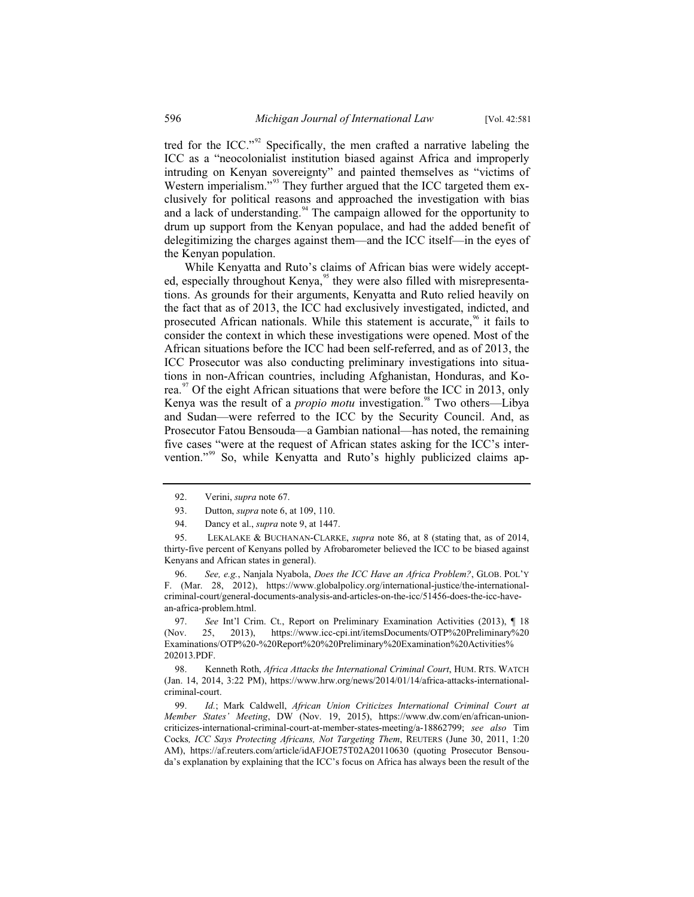tred for the ICC."<sup>92</sup> Specifically, the men crafted a narrative labeling the ICC as a "neocolonialist institution biased against Africa and improperly intruding on Kenyan sovereignty" and painted themselves as "victims of Western imperialism."<sup>93</sup> They further argued that the ICC targeted them exclusively for political reasons and approached the investigation with bias and a lack of understanding.<sup>94</sup> The campaign allowed for the opportunity to drum up support from the Kenyan populace, and had the added benefit of delegitimizing the charges against them—and the ICC itself—in the eyes of the Kenyan population.

While Kenyatta and Ruto's claims of African bias were widely accepted, especially throughout Kenya,<sup>95</sup> they were also filled with misrepresentations. As grounds for their arguments, Kenyatta and Ruto relied heavily on the fact that as of 2013, the ICC had exclusively investigated, indicted, and prosecuted African nationals. While this statement is accurate,  $\frac{96}{11}$  it fails to consider the context in which these investigations were opened. Most of the African situations before the ICC had been self-referred, and as of 2013, the ICC Prosecutor was also conducting preliminary investigations into situations in non-African countries, including Afghanistan, Honduras, and Korea.<sup>97</sup> Of the eight African situations that were before the ICC in 2013, only Kenya was the result of a *propio motu* investigation.<sup>98</sup> Two others—Libya and Sudan—were referred to the ICC by the Security Council. And, as Prosecutor Fatou Bensouda—a Gambian national—has noted, the remaining five cases "were at the request of African states asking for the ICC's intervention."<sup>99</sup> So, while Kenyatta and Ruto's highly publicized claims ap-

96. *See, e.g.*, Nanjala Nyabola, *Does the ICC Have an Africa Problem?*, GLOB. POL'Y F. (Mar. 28, 2012), https://www.globalpolicy.org/international-justice/the-internationalcriminal-court/general-documents-analysis-and-articles-on-the-icc/51456-does-the-icc-havean-africa-problem.html.

97. *See* Int'l Crim. Ct., Report on Preliminary Examination Activities (2013), ¶ 18 (Nov. 25, 2013), https://www.icc-cpi.int/itemsDocuments/OTP%20Preliminary%20 Examinations/OTP%20-%20Report%20%20Preliminary%20Examination%20Activities% 202013.PDF.

98. Kenneth Roth, *Africa Attacks the International Criminal Court*, HUM. RTS. WATCH (Jan. 14, 2014, 3:22 PM), https://www.hrw.org/news/2014/01/14/africa-attacks-internationalcriminal-court.

99. *Id.*; Mark Caldwell, *African Union Criticizes International Criminal Court at Member States' Meeting*, DW (Nov. 19, 2015), https://www.dw.com/en/african-unioncriticizes-international-criminal-court-at-member-states-meeting/a-18862799; *see also* Tim Cocks*, ICC Says Protecting Africans, Not Targeting Them*, REUTERS (June 30, 2011, 1:20 AM), https://af.reuters.com/article/idAFJOE75T02A20110630 (quoting Prosecutor Bensouda's explanation by explaining that the ICC's focus on Africa has always been the result of the

<sup>92.</sup> Verini, *supra* note 67.

<sup>93.</sup> Dutton, *supra* note 6, at 109, 110.

<sup>94.</sup> Dancy et al., *supra* note 9, at 1447.

<sup>95.</sup> LEKALAKE & BUCHANAN-CLARKE, *supra* note 86, at 8 (stating that, as of 2014, thirty-five percent of Kenyans polled by Afrobarometer believed the ICC to be biased against Kenyans and African states in general).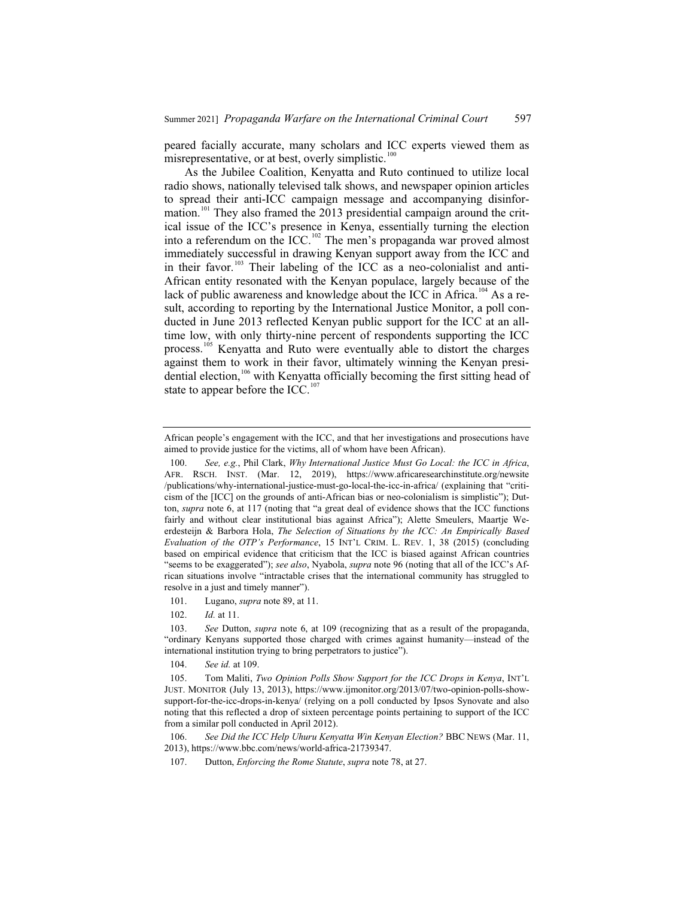peared facially accurate, many scholars and ICC experts viewed them as misrepresentative, or at best, overly simplistic. $100$ 

As the Jubilee Coalition, Kenyatta and Ruto continued to utilize local radio shows, nationally televised talk shows, and newspaper opinion articles to spread their anti-ICC campaign message and accompanying disinformation.<sup>101</sup> They also framed the 2013 presidential campaign around the critical issue of the ICC's presence in Kenya, essentially turning the election into a referendum on the ICC.<sup>102</sup> The men's propaganda war proved almost immediately successful in drawing Kenyan support away from the ICC and in their favor.<sup>103</sup> Their labeling of the ICC as a neo-colonialist and anti-African entity resonated with the Kenyan populace, largely because of the lack of public awareness and knowledge about the ICC in Africa.<sup>104</sup> As a result, according to reporting by the International Justice Monitor, a poll conducted in June 2013 reflected Kenyan public support for the ICC at an alltime low, with only thirty-nine percent of respondents supporting the ICC process.<sup>105</sup> Kenyatta and Ruto were eventually able to distort the charges against them to work in their favor, ultimately winning the Kenyan presidential election,<sup>106</sup> with Kenyatta officially becoming the first sitting head of state to appear before the ICC. $^{107}$ 

African people's engagement with the ICC, and that her investigations and prosecutions have aimed to provide justice for the victims, all of whom have been African).

<sup>100.</sup> *See, e.g.*, Phil Clark, *Why International Justice Must Go Local: the ICC in Africa*, AFR. RSCH. INST. (Mar. 12, 2019), https://www.africaresearchinstitute.org/newsite /publications/why-international-justice-must-go-local-the-icc-in-africa/ (explaining that "criticism of the [ICC] on the grounds of anti-African bias or neo-colonialism is simplistic"); Dutton, *supra* note 6, at 117 (noting that "a great deal of evidence shows that the ICC functions fairly and without clear institutional bias against Africa"); Alette Smeulers, Maartje Weerdesteijn & Barbora Hola, *The Selection of Situations by the ICC: An Empirically Based Evaluation of the OTP's Performance*, 15 INT'L CRIM. L. REV. 1, 38 (2015) (concluding based on empirical evidence that criticism that the ICC is biased against African countries "seems to be exaggerated"); *see also*, Nyabola, *supra* note 96 (noting that all of the ICC's African situations involve "intractable crises that the international community has struggled to resolve in a just and timely manner").

<sup>101.</sup> Lugano, *supra* note 89, at 11.

<sup>102.</sup> *Id.* at 11.

<sup>103.</sup> *See* Dutton, *supra* note 6, at 109 (recognizing that as a result of the propaganda, "ordinary Kenyans supported those charged with crimes against humanity—instead of the international institution trying to bring perpetrators to justice").

<sup>104.</sup> *See id.* at 109.

<sup>105.</sup> Tom Maliti, *Two Opinion Polls Show Support for the ICC Drops in Kenya*, INT'L JUST. MONITOR (July 13, 2013), https://www.ijmonitor.org/2013/07/two-opinion-polls-showsupport-for-the-icc-drops-in-kenya/ (relying on a poll conducted by Ipsos Synovate and also noting that this reflected a drop of sixteen percentage points pertaining to support of the ICC from a similar poll conducted in April 2012).

<sup>106.</sup> *See Did the ICC Help Uhuru Kenyatta Win Kenyan Election?* BBC NEWS (Mar. 11, 2013), https://www.bbc.com/news/world-africa-21739347.

<sup>107.</sup> Dutton, *Enforcing the Rome Statute*, *supra* note 78, at 27.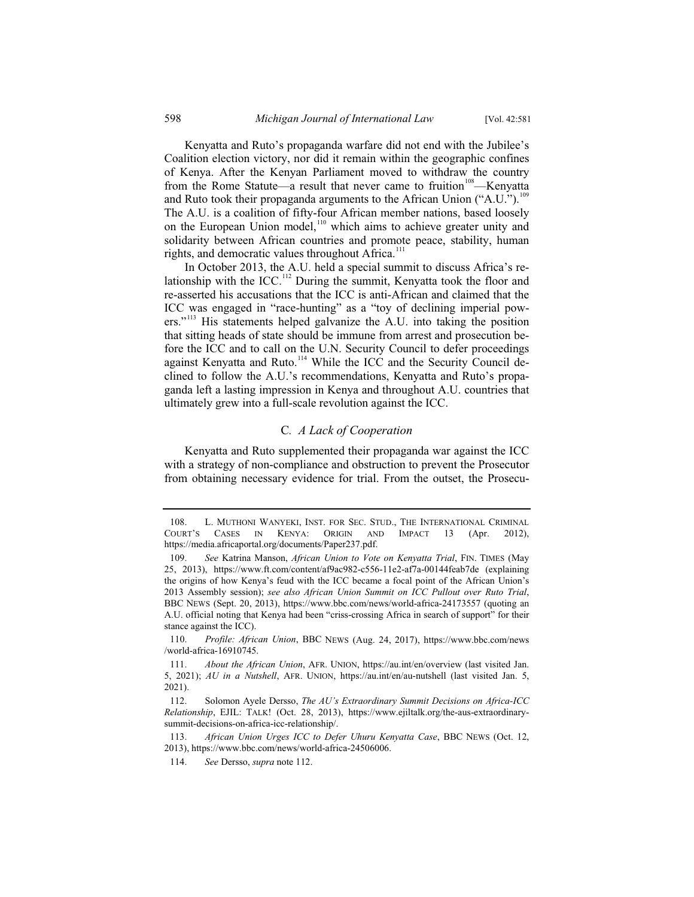Kenyatta and Ruto's propaganda warfare did not end with the Jubilee's Coalition election victory, nor did it remain within the geographic confines of Kenya. After the Kenyan Parliament moved to withdraw the country from the Rome Statute—a result that never came to fruition<sup>108</sup>—Kenyatta and Ruto took their propaganda arguments to the African Union ("A.U.").<sup>109</sup> The A.U. is a coalition of fifty-four African member nations, based loosely on the European Union model,<sup>110</sup> which aims to achieve greater unity and solidarity between African countries and promote peace, stability, human rights, and democratic values throughout Africa. $111$ 

In October 2013, the A.U. held a special summit to discuss Africa's relationship with the ICC.<sup>112</sup> During the summit, Kenyatta took the floor and re-asserted his accusations that the ICC is anti-African and claimed that the ICC was engaged in "race-hunting" as a "toy of declining imperial powers."<sup>113</sup> His statements helped galvanize the A.U. into taking the position that sitting heads of state should be immune from arrest and prosecution before the ICC and to call on the U.N. Security Council to defer proceedings against Kenyatta and Ruto.<sup>114</sup> While the ICC and the Security Council declined to follow the A.U.'s recommendations, Kenyatta and Ruto's propaganda left a lasting impression in Kenya and throughout A.U. countries that ultimately grew into a full-scale revolution against the ICC.

#### C*. A Lack of Cooperation*

Kenyatta and Ruto supplemented their propaganda war against the ICC with a strategy of non-compliance and obstruction to prevent the Prosecutor from obtaining necessary evidence for trial. From the outset, the Prosecu-

<sup>108.</sup> L. MUTHONI WANYEKI, INST. FOR SEC. STUD., THE INTERNATIONAL CRIMINAL COURT'S CASES IN KENYA: ORIGIN AND IMPACT 13 (Apr. 2012), https://media.africaportal.org/documents/Paper237.pdf.

<sup>109.</sup> *See* Katrina Manson, *African Union to Vote on Kenyatta Trial*, FIN. TIMES (May 25, 2013), https://www.ft.com/content/af9ac982-c556-11e2-af7a-00144feab7de (explaining the origins of how Kenya's feud with the ICC became a focal point of the African Union's 2013 Assembly session); *see also African Union Summit on ICC Pullout over Ruto Trial*, BBC NEWS (Sept. 20, 2013), https://www.bbc.com/news/world-africa-24173557 (quoting an A.U. official noting that Kenya had been "criss-crossing Africa in search of support" for their stance against the ICC).

<sup>110.</sup> *Profile: African Union*, BBC NEWS (Aug. 24, 2017), https://www.bbc.com/news /world-africa-16910745.

<sup>111.</sup> *About the African Union*, AFR. UNION, https://au.int/en/overview (last visited Jan. 5, 2021); *AU in a Nutshell*, AFR. UNION, https://au.int/en/au-nutshell (last visited Jan. 5, 2021).

<sup>112.</sup> Solomon Ayele Dersso, *The AU's Extraordinary Summit Decisions on Africa-ICC Relationship*, EJIL: TALK! (Oct. 28, 2013), https://www.ejiltalk.org/the-aus-extraordinarysummit-decisions-on-africa-icc-relationship/.

<sup>113.</sup> *African Union Urges ICC to Defer Uhuru Kenyatta Case*, BBC NEWS (Oct. 12, 2013), https://www.bbc.com/news/world-africa-24506006.

<sup>114.</sup> *See* Dersso, *supra* note 112.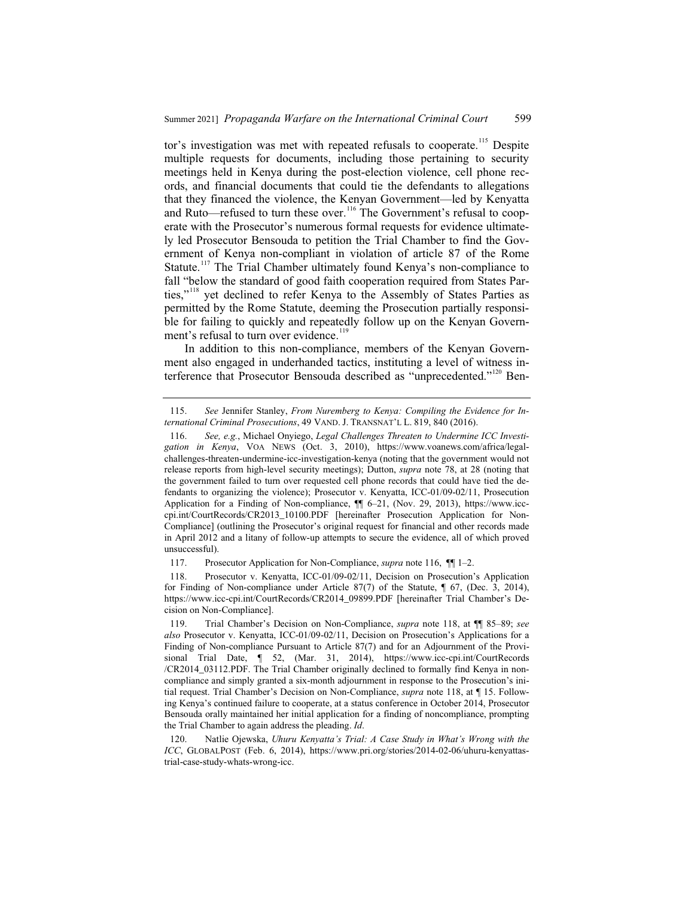tor's investigation was met with repeated refusals to cooperate.<sup>115</sup> Despite multiple requests for documents, including those pertaining to security meetings held in Kenya during the post-election violence, cell phone records, and financial documents that could tie the defendants to allegations that they financed the violence, the Kenyan Government—led by Kenyatta and Ruto—refused to turn these over.<sup>116</sup> The Government's refusal to cooperate with the Prosecutor's numerous formal requests for evidence ultimately led Prosecutor Bensouda to petition the Trial Chamber to find the Government of Kenya non-compliant in violation of article 87 of the Rome Statute.<sup>117</sup> The Trial Chamber ultimately found Kenya's non-compliance to fall "below the standard of good faith cooperation required from States Parties,"<sup>118</sup> yet declined to refer Kenya to the Assembly of States Parties as permitted by the Rome Statute, deeming the Prosecution partially responsible for failing to quickly and repeatedly follow up on the Kenyan Government's refusal to turn over evidence.<sup>119</sup>

In addition to this non-compliance, members of the Kenyan Government also engaged in underhanded tactics, instituting a level of witness interference that Prosecutor Bensouda described as "unprecedented."<sup>120</sup> Ben-

118. Prosecutor v. Kenyatta, ICC-01/09-02/11, Decision on Prosecution's Application for Finding of Non-compliance under Article 87(7) of the Statute, ¶ 67, (Dec. 3, 2014), https://www.icc-cpi.int/CourtRecords/CR2014\_09899.PDF [hereinafter Trial Chamber's Decision on Non-Compliance].

<sup>115.</sup> *See* Jennifer Stanley, *From Nuremberg to Kenya: Compiling the Evidence for International Criminal Prosecutions*, 49 VAND. J. TRANSNAT'L L. 819, 840 (2016).

<sup>116.</sup> *See, e.g.*, Michael Onyiego, *Legal Challenges Threaten to Undermine ICC Investigation in Kenya*, VOA NEWS (Oct. 3, 2010), https://www.voanews.com/africa/legalchallenges-threaten-undermine-icc-investigation-kenya (noting that the government would not release reports from high-level security meetings); Dutton, *supra* note 78, at 28 (noting that the government failed to turn over requested cell phone records that could have tied the defendants to organizing the violence); Prosecutor v. Kenyatta, ICC-01/09-02/11, Prosecution Application for a Finding of Non-compliance, ¶¶ 6–21, (Nov. 29, 2013), https://www.icccpi.int/CourtRecords/CR2013\_10100.PDF [hereinafter Prosecution Application for Non-Compliance] (outlining the Prosecutor's original request for financial and other records made in April 2012 and a litany of follow-up attempts to secure the evidence, all of which proved unsuccessful).

<sup>117.</sup> Prosecutor Application for Non-Compliance, *supra* note 116, ¶¶ 1–2.

<sup>119.</sup> Trial Chamber's Decision on Non-Compliance, *supra* note 118, at ¶¶ 85–89; *see also* Prosecutor v. Kenyatta, ICC-01/09-02/11, Decision on Prosecution's Applications for a Finding of Non-compliance Pursuant to Article 87(7) and for an Adjournment of the Provisional Trial Date, ¶ 52, (Mar. 31, 2014), https://www.icc-cpi.int/CourtRecords /CR2014\_03112.PDF. The Trial Chamber originally declined to formally find Kenya in noncompliance and simply granted a six-month adjournment in response to the Prosecution's initial request. Trial Chamber's Decision on Non-Compliance, *supra* note 118, at ¶ 15. Following Kenya's continued failure to cooperate, at a status conference in October 2014, Prosecutor Bensouda orally maintained her initial application for a finding of noncompliance, prompting the Trial Chamber to again address the pleading. *Id*.

<sup>120.</sup> Natlie Ojewska, *Uhuru Kenyatta's Trial: A Case Study in What's Wrong with the ICC*, GLOBALPOST (Feb. 6, 2014), https://www.pri.org/stories/2014-02-06/uhuru-kenyattastrial-case-study-whats-wrong-icc.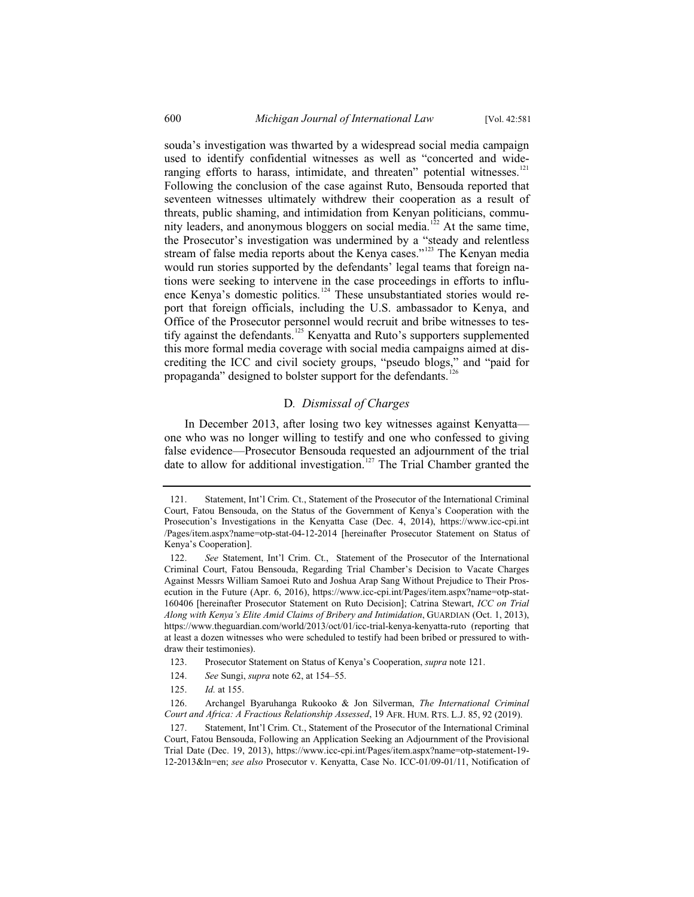souda's investigation was thwarted by a widespread social media campaign used to identify confidential witnesses as well as "concerted and wideranging efforts to harass, intimidate, and threaten" potential witnesses.<sup>121</sup> Following the conclusion of the case against Ruto, Bensouda reported that seventeen witnesses ultimately withdrew their cooperation as a result of threats, public shaming, and intimidation from Kenyan politicians, community leaders, and anonymous bloggers on social media.<sup>122</sup> At the same time, the Prosecutor's investigation was undermined by a "steady and relentless stream of false media reports about the Kenya cases."<sup>123</sup> The Kenyan media would run stories supported by the defendants' legal teams that foreign nations were seeking to intervene in the case proceedings in efforts to influence Kenya's domestic politics.<sup>124</sup> These unsubstantiated stories would report that foreign officials, including the U.S. ambassador to Kenya, and Office of the Prosecutor personnel would recruit and bribe witnesses to testify against the defendants.<sup>125</sup> Kenyatta and Ruto's supporters supplemented this more formal media coverage with social media campaigns aimed at discrediting the ICC and civil society groups, "pseudo blogs," and "paid for propaganda" designed to bolster support for the defendants.

#### D*. Dismissal of Charges*

In December 2013, after losing two key witnesses against Kenyatta one who was no longer willing to testify and one who confessed to giving false evidence—Prosecutor Bensouda requested an adjournment of the trial date to allow for additional investigation.<sup>127</sup> The Trial Chamber granted the

<sup>121.</sup> Statement, Int'l Crim. Ct., Statement of the Prosecutor of the International Criminal Court, Fatou Bensouda, on the Status of the Government of Kenya's Cooperation with the Prosecution's Investigations in the Kenyatta Case (Dec. 4, 2014), https://www.icc-cpi.int /Pages/item.aspx?name=otp-stat-04-12-2014 [hereinafter Prosecutor Statement on Status of Kenya's Cooperation].

<sup>122.</sup> *See* Statement, Int'l Crim. Ct., Statement of the Prosecutor of the International Criminal Court, Fatou Bensouda, Regarding Trial Chamber's Decision to Vacate Charges Against Messrs William Samoei Ruto and Joshua Arap Sang Without Prejudice to Their Prosecution in the Future (Apr. 6, 2016), https://www.icc-cpi.int/Pages/item.aspx?name=otp-stat-160406 [hereinafter Prosecutor Statement on Ruto Decision]; Catrina Stewart, *ICC on Trial Along with Kenya's Elite Amid Claims of Bribery and Intimidation*, GUARDIAN (Oct. 1, 2013), https://www.theguardian.com/world/2013/oct/01/icc-trial-kenya-kenyatta-ruto (reporting that at least a dozen witnesses who were scheduled to testify had been bribed or pressured to withdraw their testimonies).

<sup>123.</sup> Prosecutor Statement on Status of Kenya's Cooperation, *supra* note 121.

<sup>124.</sup> *See* Sungi, *supra* note 62, at 154–55.

<sup>125.</sup> *Id.* at 155.

<sup>126.</sup> Archangel Byaruhanga Rukooko & Jon Silverman, *The International Criminal Court and Africa: A Fractious Relationship Assessed*, 19 AFR. HUM. RTS. L.J. 85, 92 (2019).

<sup>127.</sup> Statement, Int'l Crim. Ct., Statement of the Prosecutor of the International Criminal Court, Fatou Bensouda, Following an Application Seeking an Adjournment of the Provisional Trial Date (Dec. 19, 2013), https://www.icc-cpi.int/Pages/item.aspx?name=otp-statement-19- 12-2013&ln=en; *see also* Prosecutor v. Kenyatta, Case No. ICC-01/09-01/11, Notification of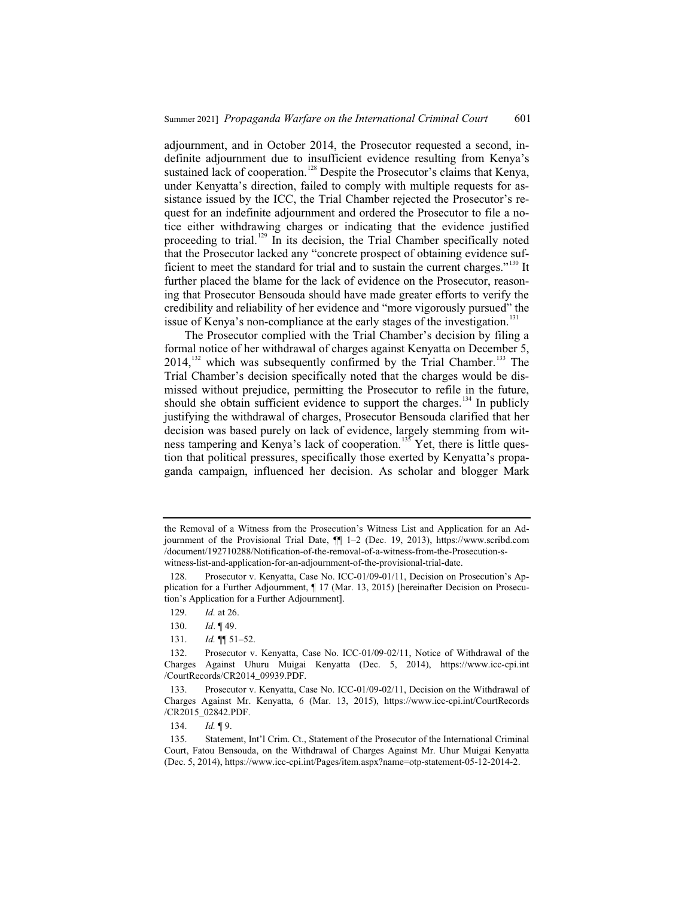adjournment, and in October 2014, the Prosecutor requested a second, indefinite adjournment due to insufficient evidence resulting from Kenya's sustained lack of cooperation.<sup>128</sup> Despite the Prosecutor's claims that Kenya, under Kenyatta's direction, failed to comply with multiple requests for assistance issued by the ICC, the Trial Chamber rejected the Prosecutor's request for an indefinite adjournment and ordered the Prosecutor to file a notice either withdrawing charges or indicating that the evidence justified proceeding to trial.<sup>129</sup> In its decision, the Trial Chamber specifically noted that the Prosecutor lacked any "concrete prospect of obtaining evidence sufficient to meet the standard for trial and to sustain the current charges."<sup>130</sup> It further placed the blame for the lack of evidence on the Prosecutor, reasoning that Prosecutor Bensouda should have made greater efforts to verify the credibility and reliability of her evidence and "more vigorously pursued" the issue of Kenya's non-compliance at the early stages of the investigation.<sup>131</sup>

The Prosecutor complied with the Trial Chamber's decision by filing a formal notice of her withdrawal of charges against Kenyatta on December 5,  $2014$ ,<sup>132</sup> which was subsequently confirmed by the Trial Chamber.<sup>133</sup> The Trial Chamber's decision specifically noted that the charges would be dismissed without prejudice, permitting the Prosecutor to refile in the future, should she obtain sufficient evidence to support the charges.<sup>134</sup> In publicly justifying the withdrawal of charges, Prosecutor Bensouda clarified that her decision was based purely on lack of evidence, largely stemming from witness tampering and Kenya's lack of cooperation.<sup>135</sup> Yet, there is little question that political pressures, specifically those exerted by Kenyatta's propaganda campaign, influenced her decision. As scholar and blogger Mark

the Removal of a Witness from the Prosecution's Witness List and Application for an Adjournment of the Provisional Trial Date, ¶¶ 1–2 (Dec. 19, 2013), https://www.scribd.com /document/192710288/Notification-of-the-removal-of-a-witness-from-the-Prosecution-switness-list-and-application-for-an-adjournment-of-the-provisional-trial-date.

<sup>128.</sup> Prosecutor v. Kenyatta, Case No. ICC-01/09-01/11, Decision on Prosecution's Application for a Further Adjournment, ¶ 17 (Mar. 13, 2015) [hereinafter Decision on Prosecution's Application for a Further Adjournment].

<sup>129.</sup> *Id.* at 26.

<sup>130.</sup> *Id*. ¶ 49.

<sup>131.</sup> *Id.* ¶¶ 51–52.

<sup>132.</sup> Prosecutor v. Kenyatta, Case No. ICC-01/09-02/11, Notice of Withdrawal of the Charges Against Uhuru Muigai Kenyatta (Dec. 5, 2014), https://www.icc-cpi.int /CourtRecords/CR2014\_09939.PDF.

<sup>133.</sup> Prosecutor v. Kenyatta, Case No. ICC-01/09-02/11, Decision on the Withdrawal of Charges Against Mr. Kenyatta, 6 (Mar. 13, 2015), https://www.icc-cpi.int/CourtRecords /CR2015\_02842.PDF.

<sup>134.</sup> *Id.* ¶ 9.

<sup>135.</sup> Statement, Int'l Crim. Ct., Statement of the Prosecutor of the International Criminal Court, Fatou Bensouda, on the Withdrawal of Charges Against Mr. Uhur Muigai Kenyatta (Dec. 5, 2014), https://www.icc-cpi.int/Pages/item.aspx?name=otp-statement-05-12-2014-2.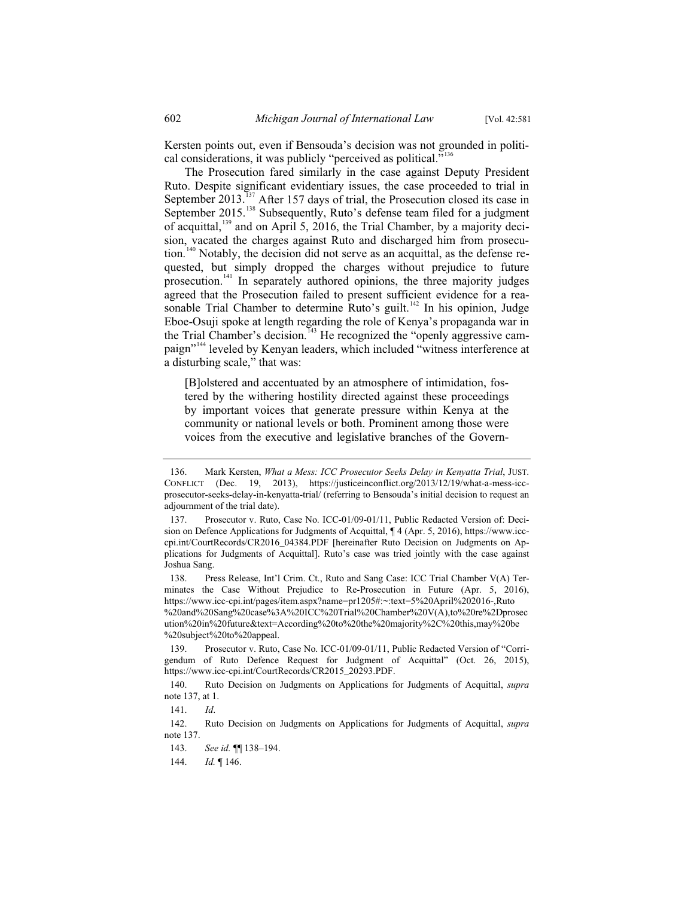Kersten points out, even if Bensouda's decision was not grounded in political considerations, it was publicly "perceived as political."<sup>136</sup>

The Prosecution fared similarly in the case against Deputy President Ruto. Despite significant evidentiary issues, the case proceeded to trial in September 2013.<sup>137</sup> After 157 days of trial, the Prosecution closed its case in September 2015.<sup>138</sup> Subsequently, Ruto's defense team filed for a judgment of acquittal,<sup>139</sup> and on April 5, 2016, the Trial Chamber, by a majority decision, vacated the charges against Ruto and discharged him from prosecution.<sup>140</sup> Notably, the decision did not serve as an acquittal, as the defense requested, but simply dropped the charges without prejudice to future prosecution.<sup>141</sup> In separately authored opinions, the three majority judges agreed that the Prosecution failed to present sufficient evidence for a reasonable Trial Chamber to determine Ruto's guilt.<sup>142</sup> In his opinion, Judge Eboe-Osuji spoke at length regarding the role of Kenya's propaganda war in the Trial Chamber's decision.<sup>143</sup> He recognized the "openly aggressive campaign"<sup>144</sup> leveled by Kenyan leaders, which included "witness interference at a disturbing scale," that was:

[B]olstered and accentuated by an atmosphere of intimidation, fostered by the withering hostility directed against these proceedings by important voices that generate pressure within Kenya at the community or national levels or both. Prominent among those were voices from the executive and legislative branches of the Govern-

138. Press Release, Int'l Crim. Ct., Ruto and Sang Case: ICC Trial Chamber V(A) Terminates the Case Without Prejudice to Re-Prosecution in Future (Apr. 5, 2016), https://www.icc-cpi.int/pages/item.aspx?name=pr1205#:~:text=5%20April%202016-,Ruto %20and%20Sang%20case%3A%20ICC%20Trial%20Chamber%20V(A),to%20re%2Dprosec ution%20in%20future&text=According%20to%20the%20majority%2C%20this,may%20be %20subject%20to%20appeal.

139. Prosecutor v. Ruto, Case No. ICC-01/09-01/11, Public Redacted Version of "Corrigendum of Ruto Defence Request for Judgment of Acquittal" (Oct. 26, 2015), https://www.icc-cpi.int/CourtRecords/CR2015\_20293.PDF.

140. Ruto Decision on Judgments on Applications for Judgments of Acquittal, *supra* note 137, at 1.

<sup>136.</sup> Mark Kersten, *What a Mess: ICC Prosecutor Seeks Delay in Kenyatta Trial*, JUST. CONFLICT (Dec. 19, 2013), https://justiceinconflict.org/2013/12/19/what-a-mess-iccprosecutor-seeks-delay-in-kenyatta-trial/ (referring to Bensouda's initial decision to request an adjournment of the trial date).

Prosecutor v. Ruto, Case No. ICC-01/09-01/11, Public Redacted Version of: Decision on Defence Applications for Judgments of Acquittal, ¶ 4 (Apr. 5, 2016), https://www.icccpi.int/CourtRecords/CR2016\_04384.PDF [hereinafter Ruto Decision on Judgments on Applications for Judgments of Acquittal]. Ruto's case was tried jointly with the case against Joshua Sang.

<sup>141.</sup> *Id*.

<sup>142.</sup> Ruto Decision on Judgments on Applications for Judgments of Acquittal, *supra* note 137.

<sup>143.</sup> *See id.* ¶¶ 138–194.

<sup>144.</sup> *Id.* ¶ 146.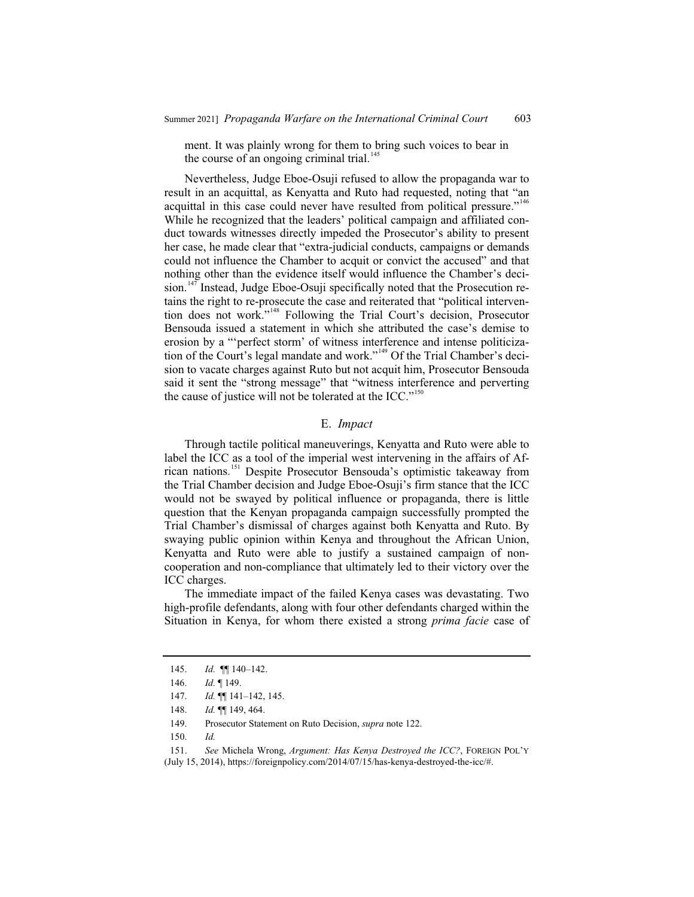ment. It was plainly wrong for them to bring such voices to bear in the course of an ongoing criminal trial.<sup>145</sup>

Nevertheless, Judge Eboe-Osuji refused to allow the propaganda war to result in an acquittal, as Kenyatta and Ruto had requested, noting that "an acquittal in this case could never have resulted from political pressure."<sup>146</sup> While he recognized that the leaders' political campaign and affiliated conduct towards witnesses directly impeded the Prosecutor's ability to present her case, he made clear that "extra-judicial conducts, campaigns or demands could not influence the Chamber to acquit or convict the accused" and that nothing other than the evidence itself would influence the Chamber's decision.<sup>147</sup> Instead, Judge Eboe-Osuji specifically noted that the Prosecution retains the right to re-prosecute the case and reiterated that "political intervention does not work."<sup>148</sup> Following the Trial Court's decision, Prosecutor Bensouda issued a statement in which she attributed the case's demise to erosion by a "'perfect storm' of witness interference and intense politicization of the Court's legal mandate and work."<sup>149</sup> Of the Trial Chamber's decision to vacate charges against Ruto but not acquit him, Prosecutor Bensouda said it sent the "strong message" that "witness interference and perverting the cause of justice will not be tolerated at the ICC."<sup>150</sup>

#### E. *Impact*

Through tactile political maneuverings, Kenyatta and Ruto were able to label the ICC as a tool of the imperial west intervening in the affairs of African nations.<sup>151</sup> Despite Prosecutor Bensouda's optimistic takeaway from the Trial Chamber decision and Judge Eboe-Osuji's firm stance that the ICC would not be swayed by political influence or propaganda, there is little question that the Kenyan propaganda campaign successfully prompted the Trial Chamber's dismissal of charges against both Kenyatta and Ruto. By swaying public opinion within Kenya and throughout the African Union, Kenyatta and Ruto were able to justify a sustained campaign of noncooperation and non-compliance that ultimately led to their victory over the ICC charges.

The immediate impact of the failed Kenya cases was devastating. Two high-profile defendants, along with four other defendants charged within the Situation in Kenya, for whom there existed a strong *prima facie* case of

<sup>145.</sup> *Id.* ¶¶ 140–142.

<sup>146.</sup> *Id.* ¶ 149.

<sup>147.</sup> *Id.* ¶¶ 141–142, 145.

<sup>148.</sup> *Id.* ¶¶ 149, 464.

<sup>149.</sup> Prosecutor Statement on Ruto Decision, *supra* note 122.

<sup>150.</sup> *Id.*

<sup>151.</sup> *See* Michela Wrong, *Argument: Has Kenya Destroyed the ICC?*, FOREIGN POL'Y (July 15, 2014), https://foreignpolicy.com/2014/07/15/has-kenya-destroyed-the-icc/#.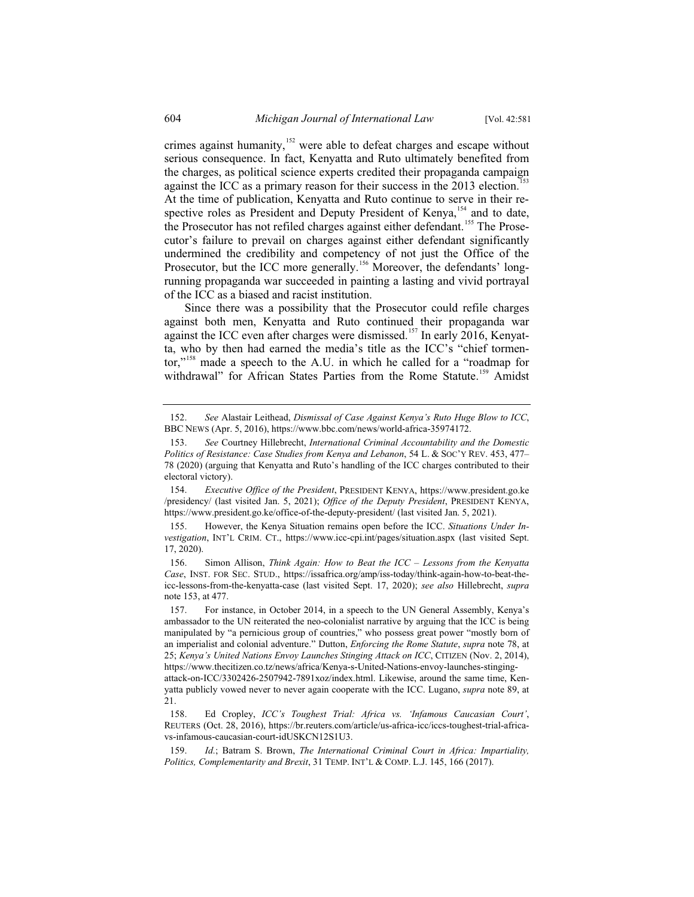crimes against humanity,<sup>152</sup> were able to defeat charges and escape without serious consequence. In fact, Kenyatta and Ruto ultimately benefited from the charges, as political science experts credited their propaganda campaign against the ICC as a primary reason for their success in the  $2013$  election.<sup>153</sup> At the time of publication, Kenyatta and Ruto continue to serve in their respective roles as President and Deputy President of Kenya,<sup>154</sup> and to date, the Prosecutor has not refiled charges against either defendant.<sup>155</sup> The Prosecutor's failure to prevail on charges against either defendant significantly undermined the credibility and competency of not just the Office of the Prosecutor, but the ICC more generally.<sup>156</sup> Moreover, the defendants' longrunning propaganda war succeeded in painting a lasting and vivid portrayal

Since there was a possibility that the Prosecutor could refile charges against both men, Kenyatta and Ruto continued their propaganda war against the ICC even after charges were dismissed.<sup>157</sup> In early 2016, Kenyatta, who by then had earned the media's title as the ICC's "chief tormentor,"<sup>158</sup> made a speech to the A.U. in which he called for a "roadmap for withdrawal" for African States Parties from the Rome Statute.<sup>159</sup> Amidst

of the ICC as a biased and racist institution.

<sup>152.</sup> *See* Alastair Leithead, *Dismissal of Case Against Kenya's Ruto Huge Blow to ICC*, BBC NEWS (Apr. 5, 2016), https://www.bbc.com/news/world-africa-35974172.

<sup>153.</sup> *See* Courtney Hillebrecht, *International Criminal Accountability and the Domestic Politics of Resistance: Case Studies from Kenya and Lebanon*, 54 L. & SOC'Y REV. 453, 477– 78 (2020) (arguing that Kenyatta and Ruto's handling of the ICC charges contributed to their electoral victory).

<sup>154.</sup> *Executive Office of the President*, PRESIDENT KENYA, https://www.president.go.ke /presidency/ (last visited Jan. 5, 2021); *Office of the Deputy President*, PRESIDENT KENYA, https://www.president.go.ke/office-of-the-deputy-president/ (last visited Jan. 5, 2021).

<sup>155.</sup> However, the Kenya Situation remains open before the ICC. *Situations Under Investigation*, INT'L CRIM. CT., https://www.icc-cpi.int/pages/situation.aspx (last visited Sept. 17, 2020).

<sup>156.</sup> Simon Allison, *Think Again: How to Beat the ICC – Lessons from the Kenyatta Case*, INST. FOR SEC. STUD., https://issafrica.org/amp/iss-today/think-again-how-to-beat-theicc-lessons-from-the-kenyatta-case (last visited Sept. 17, 2020); *see also* Hillebrecht, *supra* note 153, at 477.

<sup>157.</sup> For instance, in October 2014, in a speech to the UN General Assembly, Kenya's ambassador to the UN reiterated the neo-colonialist narrative by arguing that the ICC is being manipulated by "a pernicious group of countries," who possess great power "mostly born of an imperialist and colonial adventure." Dutton, *Enforcing the Rome Statute*, *supra* note 78, at 25; *Kenya's United Nations Envoy Launches Stinging Attack on ICC*, CITIZEN (Nov. 2, 2014), https://www.thecitizen.co.tz/news/africa/Kenya-s-United-Nations-envoy-launches-stinging-

attack-on-ICC/3302426-2507942-7891xoz/index.html. Likewise, around the same time, Kenyatta publicly vowed never to never again cooperate with the ICC. Lugano, *supra* note 89, at 21.

<sup>158.</sup> Ed Cropley, *ICC's Toughest Trial: Africa vs. 'Infamous Caucasian Court'*, REUTERS (Oct. 28, 2016), https://br.reuters.com/article/us-africa-icc/iccs-toughest-trial-africavs-infamous-caucasian-court-idUSKCN12S1U3.

<sup>159.</sup> *Id.*; Batram S. Brown, *The International Criminal Court in Africa: Impartiality, Politics, Complementarity and Brexit*, 31 TEMP. INT'L & COMP. L.J. 145, 166 (2017).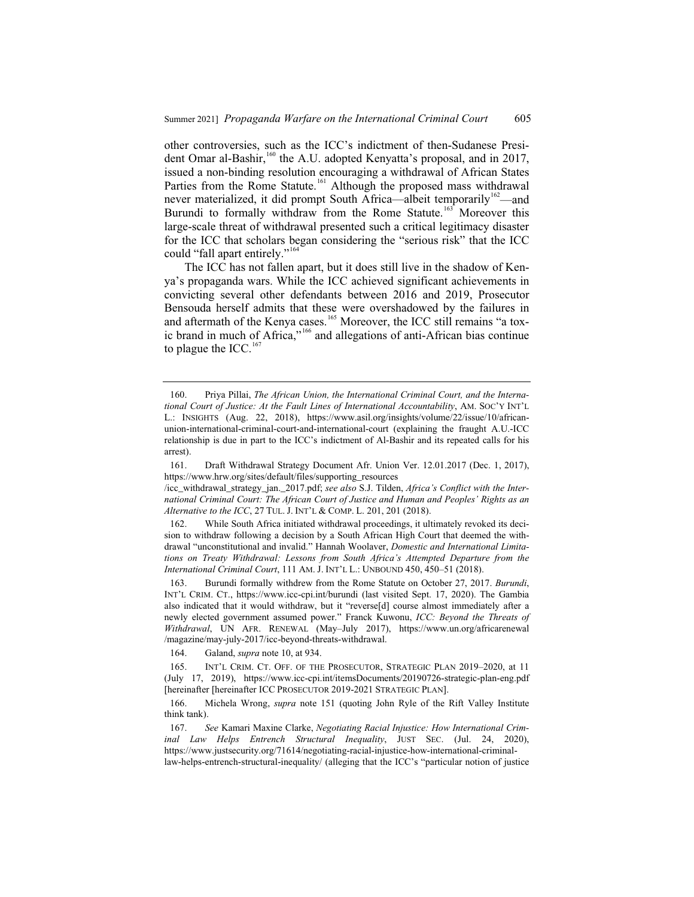other controversies, such as the ICC's indictment of then-Sudanese President Omar al-Bashir,<sup>160</sup> the A.U. adopted Kenyatta's proposal, and in 2017, issued a non-binding resolution encouraging a withdrawal of African States Parties from the Rome Statute.<sup>161</sup> Although the proposed mass withdrawal never materialized, it did prompt South Africa—albeit temporarily<sup>162</sup>—and Burundi to formally withdraw from the Rome Statute.<sup>163</sup> Moreover this large-scale threat of withdrawal presented such a critical legitimacy disaster for the ICC that scholars began considering the "serious risk" that the ICC could "fall apart entirely."<sup>164</sup>

The ICC has not fallen apart, but it does still live in the shadow of Kenya's propaganda wars. While the ICC achieved significant achievements in convicting several other defendants between 2016 and 2019, Prosecutor Bensouda herself admits that these were overshadowed by the failures in and aftermath of the Kenya cases.<sup>165</sup> Moreover, the ICC still remains "a toxic brand in much of Africa,"<sup>166</sup> and allegations of anti-African bias continue to plague the ICC. $167$ 

164. Galand, *supra* note 10, at 934.

<sup>160.</sup> Priya Pillai, *The African Union, the International Criminal Court, and the International Court of Justice: At the Fault Lines of International Accountability*, AM. SOC'Y INT'L L.: INSIGHTS (Aug. 22, 2018), https://www.asil.org/insights/volume/22/issue/10/africanunion-international-criminal-court-and-international-court (explaining the fraught A.U.-ICC relationship is due in part to the ICC's indictment of Al-Bashir and its repeated calls for his arrest).

<sup>161.</sup> Draft Withdrawal Strategy Document Afr. Union Ver. 12.01.2017 (Dec. 1, 2017), https://www.hrw.org/sites/default/files/supporting\_resources

<sup>/</sup>icc\_withdrawal\_strategy\_jan.\_2017.pdf; *see also* S.J. Tilden, *Africa's Conflict with the International Criminal Court: The African Court of Justice and Human and Peoples' Rights as an Alternative to the ICC*, 27 TUL. J. INT'L & COMP. L. 201, 201 (2018).

<sup>162.</sup> While South Africa initiated withdrawal proceedings, it ultimately revoked its decision to withdraw following a decision by a South African High Court that deemed the withdrawal "unconstitutional and invalid." Hannah Woolaver, *Domestic and International Limitations on Treaty Withdrawal: Lessons from South Africa's Attempted Departure from the International Criminal Court*, 111 AM. J. INT'L L.: UNBOUND 450, 450–51 (2018).

<sup>163.</sup> Burundi formally withdrew from the Rome Statute on October 27, 2017. *Burundi*, INT'L CRIM. CT., https://www.icc-cpi.int/burundi (last visited Sept. 17, 2020). The Gambia also indicated that it would withdraw, but it "reverse[d] course almost immediately after a newly elected government assumed power." Franck Kuwonu, *ICC: Beyond the Threats of Withdrawal*, UN AFR. RENEWAL (May–July 2017), https://www.un.org/africarenewal /magazine/may-july-2017/icc-beyond-threats-withdrawal.

<sup>165.</sup> INT'L CRIM. CT. OFF. OF THE PROSECUTOR, STRATEGIC PLAN 2019–2020, at 11 (July 17, 2019), https://www.icc-cpi.int/itemsDocuments/20190726-strategic-plan-eng.pdf [hereinafter [hereinafter ICC PROSECUTOR 2019-2021 STRATEGIC PLAN].

<sup>166.</sup> Michela Wrong, *supra* note 151 (quoting John Ryle of the Rift Valley Institute think tank).

<sup>167.</sup> *See* Kamari Maxine Clarke, *Negotiating Racial Injustice: How International Criminal Law Helps Entrench Structural Inequality*, JUST SEC. (Jul. 24, 2020), https://www.justsecurity.org/71614/negotiating-racial-injustice-how-international-criminal-

law-helps-entrench-structural-inequality/ (alleging that the ICC's "particular notion of justice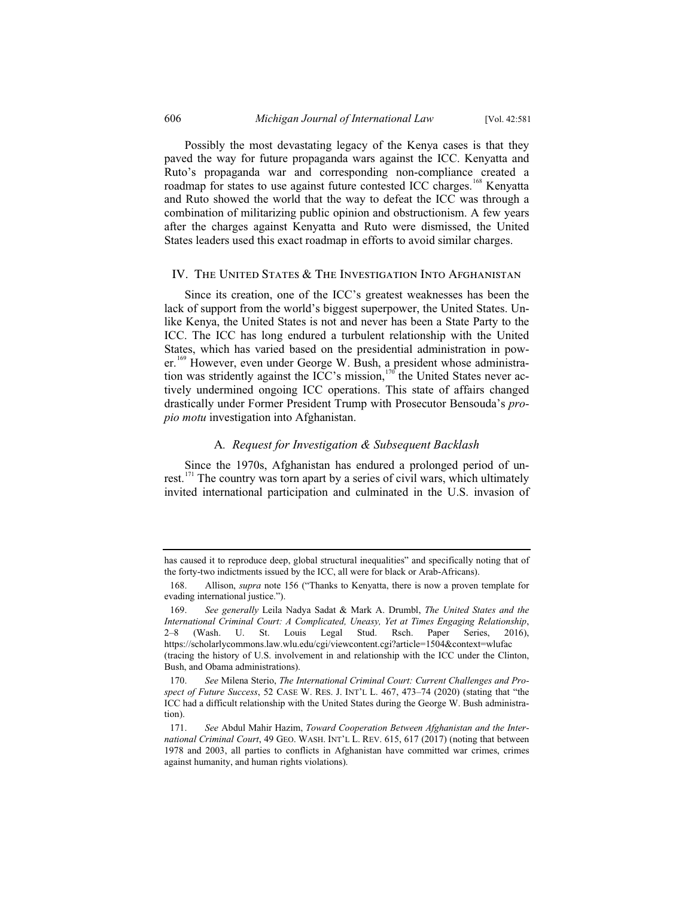Possibly the most devastating legacy of the Kenya cases is that they paved the way for future propaganda wars against the ICC. Kenyatta and Ruto's propaganda war and corresponding non-compliance created a roadmap for states to use against future contested ICC charges.<sup>168</sup> Kenyatta and Ruto showed the world that the way to defeat the ICC was through a combination of militarizing public opinion and obstructionism. A few years after the charges against Kenyatta and Ruto were dismissed, the United States leaders used this exact roadmap in efforts to avoid similar charges.

#### IV. The United States & The Investigation Into Afghanistan

Since its creation, one of the ICC's greatest weaknesses has been the lack of support from the world's biggest superpower, the United States. Unlike Kenya, the United States is not and never has been a State Party to the ICC. The ICC has long endured a turbulent relationship with the United States, which has varied based on the presidential administration in power.<sup>169</sup> However, even under George W. Bush, a president whose administration was stridently against the ICC's mission, $170$ <sup>the</sup> United States never actively undermined ongoing ICC operations. This state of affairs changed drastically under Former President Trump with Prosecutor Bensouda's *propio motu* investigation into Afghanistan.

#### A*. Request for Investigation & Subsequent Backlash*

Since the 1970s, Afghanistan has endured a prolonged period of unrest.<sup>171</sup> The country was torn apart by a series of civil wars, which ultimately invited international participation and culminated in the U.S. invasion of

has caused it to reproduce deep, global structural inequalities" and specifically noting that of the forty-two indictments issued by the ICC, all were for black or Arab-Africans).

<sup>168.</sup> Allison, *supra* note 156 ("Thanks to Kenyatta, there is now a proven template for evading international justice.").

<sup>169.</sup> *See generally* Leila Nadya Sadat & Mark A. Drumbl, *The United States and the International Criminal Court: A Complicated, Uneasy, Yet at Times Engaging Relationship*, 2–8 (Wash. U. St. Louis Legal Stud. Rsch. Paper Series, 2016), https://scholarlycommons.law.wlu.edu/cgi/viewcontent.cgi?article=1504&context=wlufac (tracing the history of U.S. involvement in and relationship with the ICC under the Clinton, Bush, and Obama administrations).

<sup>170.</sup> *See* Milena Sterio, *The International Criminal Court: Current Challenges and Prospect of Future Success*, 52 CASE W. RES. J. INT'L L. 467, 473–74 (2020) (stating that "the ICC had a difficult relationship with the United States during the George W. Bush administration).

<sup>171.</sup> *See* Abdul Mahir Hazim, *Toward Cooperation Between Afghanistan and the International Criminal Court*, 49 GEO. WASH. INT'L L. REV. 615, 617 (2017) (noting that between 1978 and 2003, all parties to conflicts in Afghanistan have committed war crimes, crimes against humanity, and human rights violations).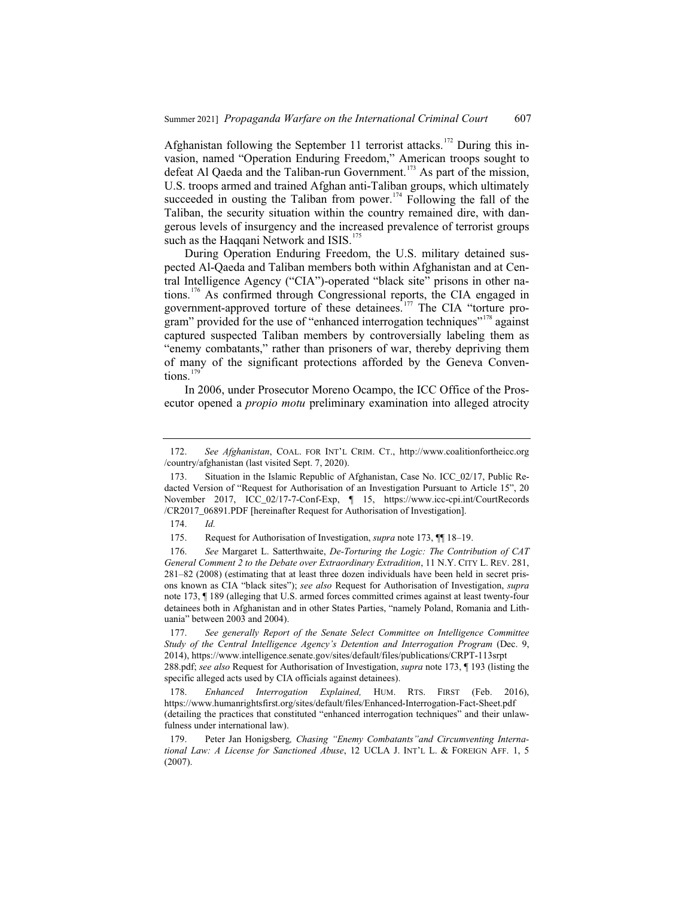Afghanistan following the September 11 terrorist attacks.<sup>172</sup> During this invasion, named "Operation Enduring Freedom," American troops sought to defeat Al Qaeda and the Taliban-run Government.<sup>173</sup> As part of the mission, U.S. troops armed and trained Afghan anti-Taliban groups, which ultimately succeeded in ousting the Taliban from power.<sup>174</sup> Following the fall of the Taliban, the security situation within the country remained dire, with dangerous levels of insurgency and the increased prevalence of terrorist groups such as the Haqqani Network and ISIS.<sup>175</sup>

During Operation Enduring Freedom, the U.S. military detained suspected Al-Qaeda and Taliban members both within Afghanistan and at Central Intelligence Agency ("CIA")-operated "black site" prisons in other nations.<sup>176</sup> As confirmed through Congressional reports, the CIA engaged in government-approved torture of these detainees.<sup>177</sup> The CIA "torture program" provided for the use of "enhanced interrogation techniques"<sup>178</sup> against captured suspected Taliban members by controversially labeling them as "enemy combatants," rather than prisoners of war, thereby depriving them of many of the significant protections afforded by the Geneva Conventions.<sup>179</sup>

In 2006, under Prosecutor Moreno Ocampo, the ICC Office of the Prosecutor opened a *propio motu* preliminary examination into alleged atrocity

<sup>172.</sup> *See Afghanistan*, COAL. FOR INT'L CRIM. CT., http://www.coalitionfortheicc.org /country/afghanistan (last visited Sept. 7, 2020).

<sup>173.</sup> Situation in the Islamic Republic of Afghanistan, Case No. ICC\_02/17, Public Redacted Version of "Request for Authorisation of an Investigation Pursuant to Article 15", 20 November 2017, ICC\_02/17-7-Conf-Exp, ¶ 15, https://www.icc-cpi.int/CourtRecords /CR2017\_06891.PDF [hereinafter Request for Authorisation of Investigation].

<sup>174.</sup> *Id.*

<sup>175.</sup> Request for Authorisation of Investigation, *supra* note 173, ¶¶ 18–19.

<sup>176.</sup> *See* Margaret L. Satterthwaite, *De-Torturing the Logic: The Contribution of CAT General Comment 2 to the Debate over Extraordinary Extradition*, 11 N.Y. CITY L. REV. 281, 281–82 (2008) (estimating that at least three dozen individuals have been held in secret prisons known as CIA "black sites"); *see also* Request for Authorisation of Investigation, *supra* note 173, ¶ 189 (alleging that U.S. armed forces committed crimes against at least twenty-four detainees both in Afghanistan and in other States Parties, "namely Poland, Romania and Lithuania" between 2003 and 2004).

<sup>177.</sup> *See generally Report of the Senate Select Committee on Intelligence Committee Study of the Central Intelligence Agency's Detention and Interrogation Program* (Dec. 9, 2014), https://www.intelligence.senate.gov/sites/default/files/publications/CRPT-113srpt

<sup>288.</sup>pdf; *see also* Request for Authorisation of Investigation, *supra* note 173, ¶ 193 (listing the specific alleged acts used by CIA officials against detainees).

<sup>178.</sup> *Enhanced Interrogation Explained,* HUM. RTS. FIRST (Feb. 2016), https://www.humanrightsfirst.org/sites/default/files/Enhanced-Interrogation-Fact-Sheet.pdf (detailing the practices that constituted "enhanced interrogation techniques" and their unlawfulness under international law).

<sup>179.</sup> Peter Jan Honigsberg*, Chasing "Enemy Combatants"and Circumventing International Law: A License for Sanctioned Abuse*, 12 UCLA J. INT'L L. & FOREIGN AFF. 1, 5 (2007).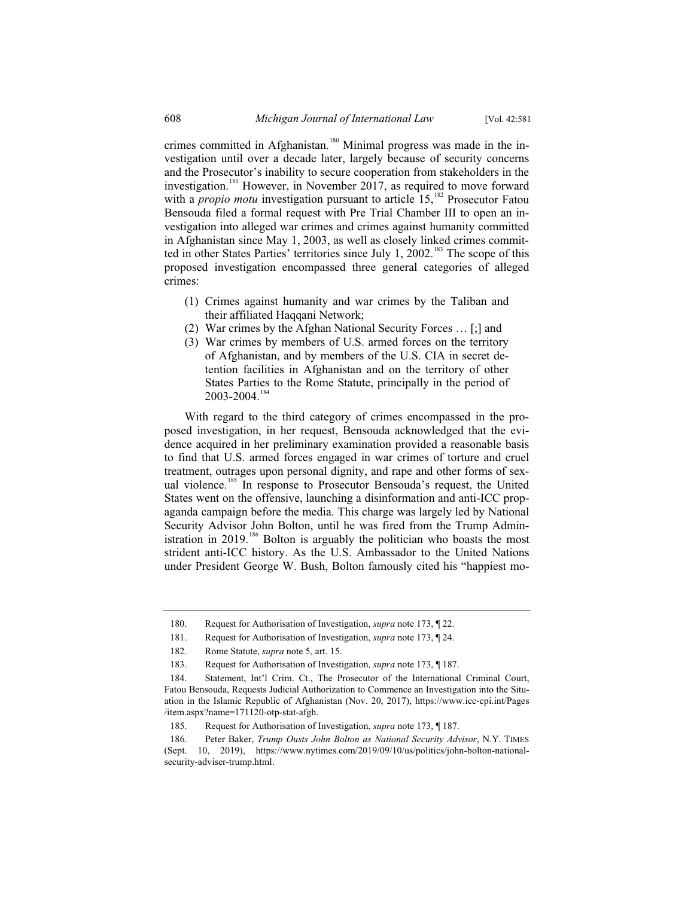crimes committed in Afghanistan.<sup>180</sup> Minimal progress was made in the investigation until over a decade later, largely because of security concerns and the Prosecutor's inability to secure cooperation from stakeholders in the investigation.<sup>181</sup> However, in November 2017, as required to move forward with a *propio motu* investigation pursuant to article 15,<sup>182</sup> Prosecutor Fatou Bensouda filed a formal request with Pre Trial Chamber III to open an investigation into alleged war crimes and crimes against humanity committed in Afghanistan since May 1, 2003, as well as closely linked crimes committed in other States Parties' territories since July 1, 2002.<sup>183</sup> The scope of this proposed investigation encompassed three general categories of alleged crimes:

- (1) Crimes against humanity and war crimes by the Taliban and their affiliated Haqqani Network;
- (2) War crimes by the Afghan National Security Forces … [;] and
- (3) War crimes by members of U.S. armed forces on the territory of Afghanistan, and by members of the U.S. CIA in secret detention facilities in Afghanistan and on the territory of other States Parties to the Rome Statute, principally in the period of 2003-2004.<sup>184</sup>

With regard to the third category of crimes encompassed in the proposed investigation, in her request, Bensouda acknowledged that the evidence acquired in her preliminary examination provided a reasonable basis to find that U.S. armed forces engaged in war crimes of torture and cruel treatment, outrages upon personal dignity, and rape and other forms of sexual violence.<sup>185</sup> In response to Prosecutor Bensouda's request, the United States went on the offensive, launching a disinformation and anti-ICC propaganda campaign before the media. This charge was largely led by National Security Advisor John Bolton, until he was fired from the Trump Administration in 2019.<sup>186</sup> Bolton is arguably the politician who boasts the most strident anti-ICC history. As the U.S. Ambassador to the United Nations under President George W. Bush, Bolton famously cited his "happiest mo-

<sup>180.</sup> Request for Authorisation of Investigation, *supra* note 173, ¶ 22.

<sup>181.</sup> Request for Authorisation of Investigation, *supra* note 173, ¶ 24.

<sup>182.</sup> Rome Statute, *supra* note 5, art. 15.

<sup>183.</sup> Request for Authorisation of Investigation, *supra* note 173, ¶ 187.

<sup>184.</sup> Statement, Int'l Crim. Ct., The Prosecutor of the International Criminal Court, Fatou Bensouda, Requests Judicial Authorization to Commence an Investigation into the Situation in the Islamic Republic of Afghanistan (Nov. 20, 2017), https://www.icc-cpi.int/Pages /item.aspx?name=171120-otp-stat-afgh.

<sup>185.</sup> Request for Authorisation of Investigation, *supra* note 173, ¶ 187.

<sup>186.</sup> Peter Baker, *Trump Ousts John Bolton as National Security Advisor*, N.Y. TIMES (Sept. 10, 2019), https://www.nytimes.com/2019/09/10/us/politics/john-bolton-nationalsecurity-adviser-trump.html.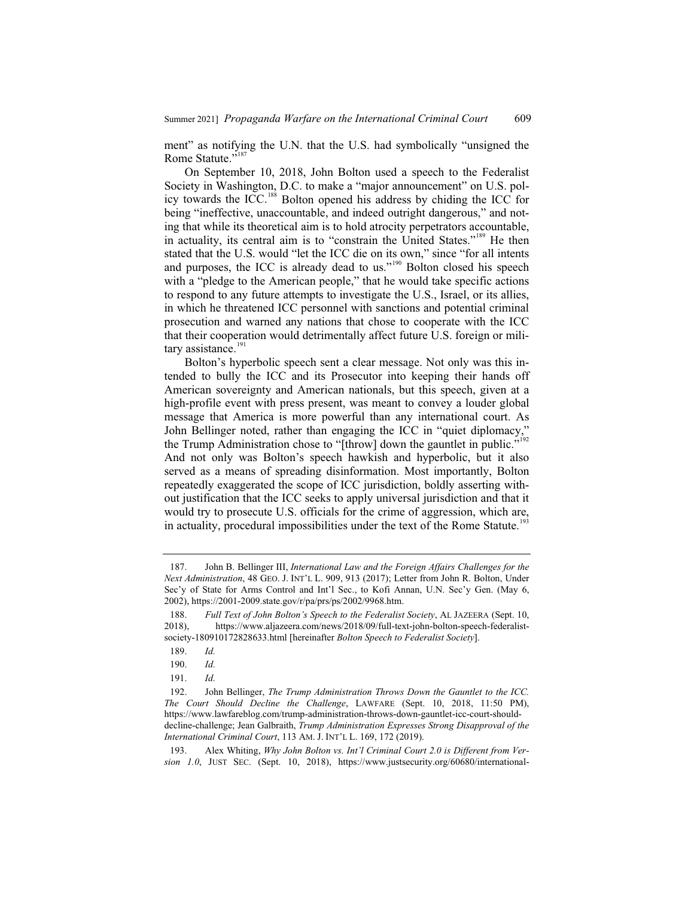ment" as notifying the U.N. that the U.S. had symbolically "unsigned the Rome Statute."<sup>187</sup>

On September 10, 2018, John Bolton used a speech to the Federalist Society in Washington, D.C. to make a "major announcement" on U.S. policy towards the ICC.<sup>188</sup> Bolton opened his address by chiding the ICC for being "ineffective, unaccountable, and indeed outright dangerous," and noting that while its theoretical aim is to hold atrocity perpetrators accountable, in actuality, its central aim is to "constrain the United States."<sup>189</sup> He then stated that the U.S. would "let the ICC die on its own," since "for all intents and purposes, the ICC is already dead to us."<sup>190</sup> Bolton closed his speech with a "pledge to the American people," that he would take specific actions to respond to any future attempts to investigate the U.S., Israel, or its allies, in which he threatened ICC personnel with sanctions and potential criminal prosecution and warned any nations that chose to cooperate with the ICC that their cooperation would detrimentally affect future U.S. foreign or military assistance.<sup>191</sup>

Bolton's hyperbolic speech sent a clear message. Not only was this intended to bully the ICC and its Prosecutor into keeping their hands off American sovereignty and American nationals, but this speech, given at a high-profile event with press present, was meant to convey a louder global message that America is more powerful than any international court. As John Bellinger noted, rather than engaging the ICC in "quiet diplomacy," the Trump Administration chose to "[throw] down the gauntlet in public."<sup>192</sup> And not only was Bolton's speech hawkish and hyperbolic, but it also served as a means of spreading disinformation. Most importantly, Bolton repeatedly exaggerated the scope of ICC jurisdiction, boldly asserting without justification that the ICC seeks to apply universal jurisdiction and that it would try to prosecute U.S. officials for the crime of aggression, which are, in actuality, procedural impossibilities under the text of the Rome Statute.<sup>193</sup>

<sup>187.</sup> John B. Bellinger III, *International Law and the Foreign Affairs Challenges for the Next Administration*, 48 GEO. J. INT'L L. 909, 913 (2017); Letter from John R. Bolton, Under Sec'y of State for Arms Control and Int'l Sec., to Kofi Annan, U.N. Sec'y Gen. (May 6, 2002), https://2001-2009.state.gov/r/pa/prs/ps/2002/9968.htm.

<sup>188.</sup> *Full Text of John Bolton's Speech to the Federalist Society*, AL JAZEERA (Sept. 10, 2018), https://www.aljazeera.com/news/2018/09/full-text-john-bolton-speech-federalistsociety-180910172828633.html [hereinafter *Bolton Speech to Federalist Society*].

<sup>189.</sup> *Id.*

<sup>190.</sup> *Id.*

<sup>191.</sup> *Id.*

<sup>192.</sup> John Bellinger, *The Trump Administration Throws Down the Gauntlet to the ICC. The Court Should Decline the Challenge*, LAWFARE (Sept. 10, 2018, 11:50 PM), https://www.lawfareblog.com/trump-administration-throws-down-gauntlet-icc-court-shoulddecline-challenge; Jean Galbraith, *Trump Administration Expresses Strong Disapproval of the International Criminal Court*, 113 AM. J. INT'L L. 169, 172 (2019).

<sup>193.</sup> Alex Whiting, *Why John Bolton vs. Int'l Criminal Court 2.0 is Different from Version 1.0*, JUST SEC. (Sept. 10, 2018), https://www.justsecurity.org/60680/international-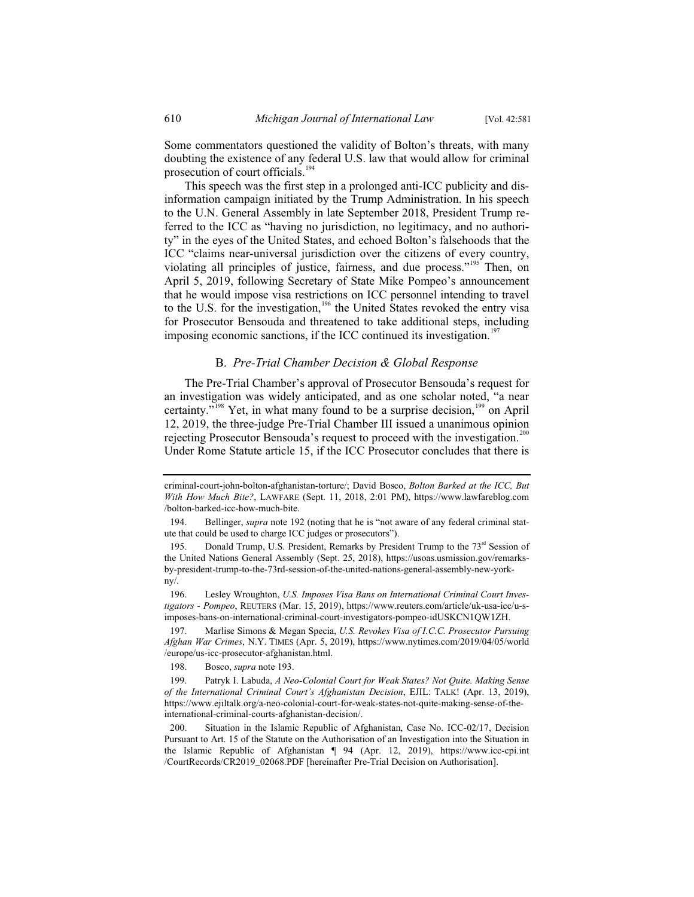Some commentators questioned the validity of Bolton's threats, with many doubting the existence of any federal U.S. law that would allow for criminal prosecution of court officials.<sup>194</sup>

This speech was the first step in a prolonged anti-ICC publicity and disinformation campaign initiated by the Trump Administration. In his speech to the U.N. General Assembly in late September 2018, President Trump referred to the ICC as "having no jurisdiction, no legitimacy, and no authority" in the eyes of the United States, and echoed Bolton's falsehoods that the ICC "claims near-universal jurisdiction over the citizens of every country, violating all principles of justice, fairness, and due process."<sup>195</sup> Then, on April 5, 2019, following Secretary of State Mike Pompeo's announcement that he would impose visa restrictions on ICC personnel intending to travel to the U.S. for the investigation,<sup>196</sup> the United States revoked the entry visa for Prosecutor Bensouda and threatened to take additional steps, including imposing economic sanctions, if the ICC continued its investigation.<sup>197</sup>

#### B. *Pre-Trial Chamber Decision & Global Response*

The Pre-Trial Chamber's approval of Prosecutor Bensouda's request for an investigation was widely anticipated, and as one scholar noted, "a near certainty."<sup>198</sup> Yet, in what many found to be a surprise decision,<sup>199</sup> on April 12, 2019, the three-judge Pre-Trial Chamber III issued a unanimous opinion rejecting Prosecutor Bensouda's request to proceed with the investigation.<sup>200</sup> Under Rome Statute article 15, if the ICC Prosecutor concludes that there is

criminal-court-john-bolton-afghanistan-torture/; David Bosco, *Bolton Barked at the ICC, But With How Much Bite?*, LAWFARE (Sept. 11, 2018, 2:01 PM), https://www.lawfareblog.com /bolton-barked-icc-how-much-bite.

<sup>194.</sup> Bellinger, *supra* note 192 (noting that he is "not aware of any federal criminal statute that could be used to charge ICC judges or prosecutors").

<sup>195.</sup> Donald Trump, U.S. President, Remarks by President Trump to the  $73<sup>rd</sup>$  Session of the United Nations General Assembly (Sept. 25, 2018), https://usoas.usmission.gov/remarksby-president-trump-to-the-73rd-session-of-the-united-nations-general-assembly-new-yorkny/.

<sup>196.</sup> Lesley Wroughton, *U.S. Imposes Visa Bans on International Criminal Court Investigators - Pompeo*, REUTERS (Mar. 15, 2019), https://www.reuters.com/article/uk-usa-icc/u-simposes-bans-on-international-criminal-court-investigators-pompeo-idUSKCN1QW1ZH.

<sup>197.</sup> Marlise Simons & Megan Specia, *U.S. Revokes Visa of I.C.C. Prosecutor Pursuing Afghan War Crimes*, N.Y. TIMES (Apr. 5, 2019), https://www.nytimes.com/2019/04/05/world /europe/us-icc-prosecutor-afghanistan.html.

<sup>198.</sup> Bosco, *supra* note 193.

<sup>199.</sup> Patryk I. Labuda, *A Neo-Colonial Court for Weak States? Not Quite. Making Sense of the International Criminal Court's Afghanistan Decision*, EJIL: TALK! (Apr. 13, 2019), https://www.ejiltalk.org/a-neo-colonial-court-for-weak-states-not-quite-making-sense-of-theinternational-criminal-courts-afghanistan-decision/.

<sup>200.</sup> Situation in the Islamic Republic of Afghanistan, Case No. ICC-02/17, Decision Pursuant to Art. 15 of the Statute on the Authorisation of an Investigation into the Situation in the Islamic Republic of Afghanistan ¶ 94 (Apr. 12, 2019), https://www.icc-cpi.int /CourtRecords/CR2019\_02068.PDF [hereinafter Pre-Trial Decision on Authorisation].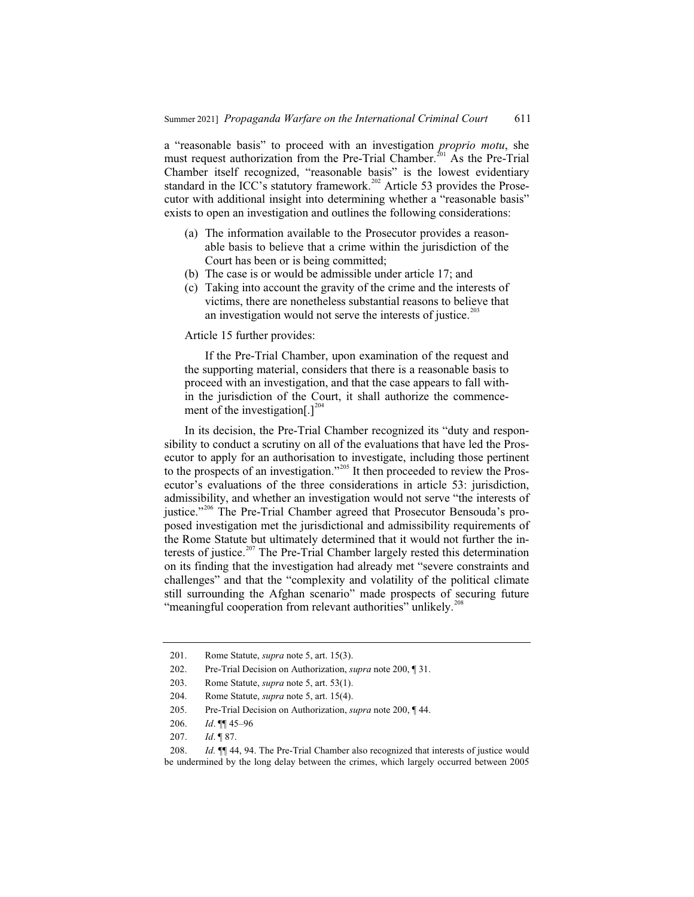a "reasonable basis" to proceed with an investigation *proprio motu*, she must request authorization from the Pre-Trial Chamber.<sup>201</sup> As the Pre-Trial Chamber itself recognized, "reasonable basis" is the lowest evidentiary standard in the ICC's statutory framework.<sup>202</sup> Article 53 provides the Prosecutor with additional insight into determining whether a "reasonable basis" exists to open an investigation and outlines the following considerations:

- (a) The information available to the Prosecutor provides a reasonable basis to believe that a crime within the jurisdiction of the Court has been or is being committed;
- (b) The case is or would be admissible under article 17; and
- (c) Taking into account the gravity of the crime and the interests of victims, there are nonetheless substantial reasons to believe that an investigation would not serve the interests of justice. $^{203}$

#### Article 15 further provides:

If the Pre-Trial Chamber, upon examination of the request and the supporting material, considers that there is a reasonable basis to proceed with an investigation, and that the case appears to fall within the jurisdiction of the Court, it shall authorize the commencement of the investigation[.]<sup>204</sup>

In its decision, the Pre-Trial Chamber recognized its "duty and responsibility to conduct a scrutiny on all of the evaluations that have led the Prosecutor to apply for an authorisation to investigate, including those pertinent to the prospects of an investigation."<sup>205</sup> It then proceeded to review the Prosecutor's evaluations of the three considerations in article 53: jurisdiction, admissibility, and whether an investigation would not serve "the interests of justice."<sup>206</sup> The Pre-Trial Chamber agreed that Prosecutor Bensouda's proposed investigation met the jurisdictional and admissibility requirements of the Rome Statute but ultimately determined that it would not further the interests of justice.<sup>207</sup> The Pre-Trial Chamber largely rested this determination on its finding that the investigation had already met "severe constraints and challenges" and that the "complexity and volatility of the political climate still surrounding the Afghan scenario" made prospects of securing future "meaningful cooperation from relevant authorities" unlikely.<sup>208</sup>

<sup>201.</sup> Rome Statute, *supra* note 5, art. 15(3).

<sup>202.</sup> Pre-Trial Decision on Authorization, *supra* note 200, ¶ 31.

<sup>203.</sup> Rome Statute, *supra* note 5, art. 53(1).

<sup>204.</sup> Rome Statute, *supra* note 5, art. 15(4).

<sup>205.</sup> Pre-Trial Decision on Authorization, *supra* note 200, ¶ 44.

<sup>206.</sup> *Id*. ¶¶ 45–96

<sup>207.</sup> *Id*. ¶ 87.

<sup>208.</sup> *Id.* ¶¶ 44, 94. The Pre-Trial Chamber also recognized that interests of justice would be undermined by the long delay between the crimes, which largely occurred between 2005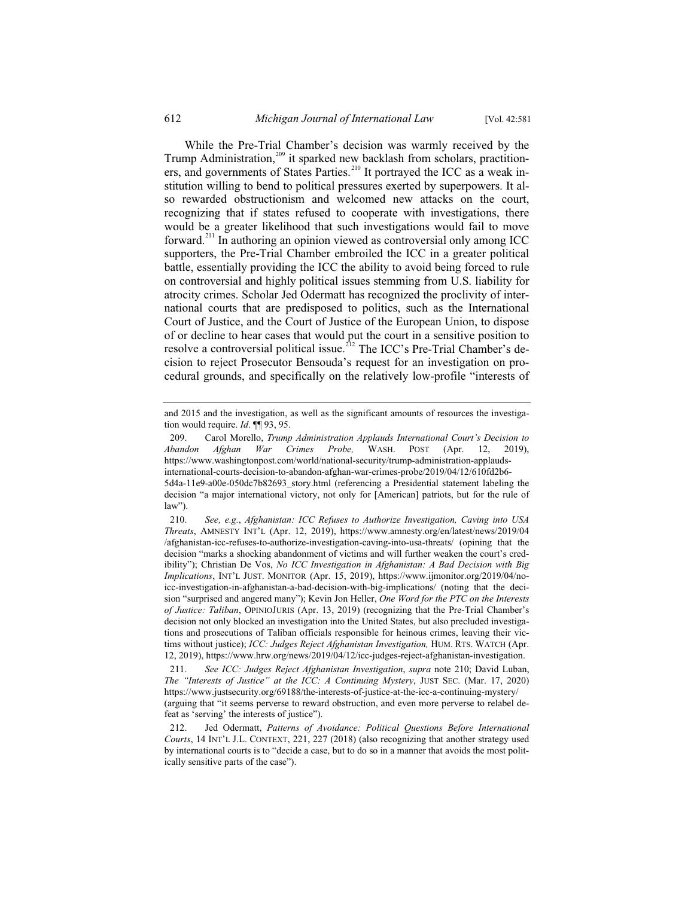While the Pre-Trial Chamber's decision was warmly received by the Trump Administration,<sup>209</sup> it sparked new backlash from scholars, practitioners, and governments of States Parties.<sup>210</sup> It portrayed the ICC as a weak institution willing to bend to political pressures exerted by superpowers. It also rewarded obstructionism and welcomed new attacks on the court, recognizing that if states refused to cooperate with investigations, there would be a greater likelihood that such investigations would fail to move forward.<sup>211</sup> In authoring an opinion viewed as controversial only among ICC supporters, the Pre-Trial Chamber embroiled the ICC in a greater political battle, essentially providing the ICC the ability to avoid being forced to rule on controversial and highly political issues stemming from U.S. liability for atrocity crimes. Scholar Jed Odermatt has recognized the proclivity of international courts that are predisposed to politics, such as the International Court of Justice, and the Court of Justice of the European Union, to dispose of or decline to hear cases that would put the court in a sensitive position to resolve a controversial political issue.<sup>212</sup> The ICC's Pre-Trial Chamber's decision to reject Prosecutor Bensouda's request for an investigation on procedural grounds, and specifically on the relatively low-profile "interests of

and 2015 and the investigation, as well as the significant amounts of resources the investigation would require. *Id*. ¶¶ 93, 95.

<sup>209.</sup> Carol Morello, *Trump Administration Applauds International Court's Decision to Abandon Afghan War Crimes Probe,* WASH. POST (Apr. 12, 2019), https://www.washingtonpost.com/world/national-security/trump-administration-applaudsinternational-courts-decision-to-abandon-afghan-war-crimes-probe/2019/04/12/610fd2b6- 5d4a-11e9-a00e-050dc7b82693\_story.html (referencing a Presidential statement labeling the decision "a major international victory, not only for [American] patriots, but for the rule of law").

<sup>210.</sup> *See, e.g.*, *Afghanistan: ICC Refuses to Authorize Investigation, Caving into USA Threats*, AMNESTY INT'L (Apr. 12, 2019), https://www.amnesty.org/en/latest/news/2019/04 /afghanistan-icc-refuses-to-authorize-investigation-caving-into-usa-threats/ (opining that the decision "marks a shocking abandonment of victims and will further weaken the court's credibility"); Christian De Vos, *No ICC Investigation in Afghanistan: A Bad Decision with Big Implications*, INT'L JUST. MONITOR (Apr. 15, 2019), https://www.ijmonitor.org/2019/04/noicc-investigation-in-afghanistan-a-bad-decision-with-big-implications/ (noting that the decision "surprised and angered many"); Kevin Jon Heller, *One Word for the PTC on the Interests of Justice: Taliban*, OPINIOJURIS (Apr. 13, 2019) (recognizing that the Pre-Trial Chamber's decision not only blocked an investigation into the United States, but also precluded investigations and prosecutions of Taliban officials responsible for heinous crimes, leaving their victims without justice); *ICC: Judges Reject Afghanistan Investigation,* HUM. RTS. WATCH (Apr. 12, 2019), https://www.hrw.org/news/2019/04/12/icc-judges-reject-afghanistan-investigation.

<sup>211.</sup> *See ICC: Judges Reject Afghanistan Investigation*, *supra* note 210; David Luban, *The "Interests of Justice" at the ICC: A Continuing Mystery*, JUST SEC. (Mar. 17, 2020) https://www.justsecurity.org/69188/the-interests-of-justice-at-the-icc-a-continuing-mystery/ (arguing that "it seems perverse to reward obstruction, and even more perverse to relabel defeat as 'serving' the interests of justice").

<sup>212.</sup> Jed Odermatt, *Patterns of Avoidance: Political Questions Before International Courts*, 14 INT'L J.L. CONTEXT, 221, 227 (2018) (also recognizing that another strategy used by international courts is to "decide a case, but to do so in a manner that avoids the most politically sensitive parts of the case").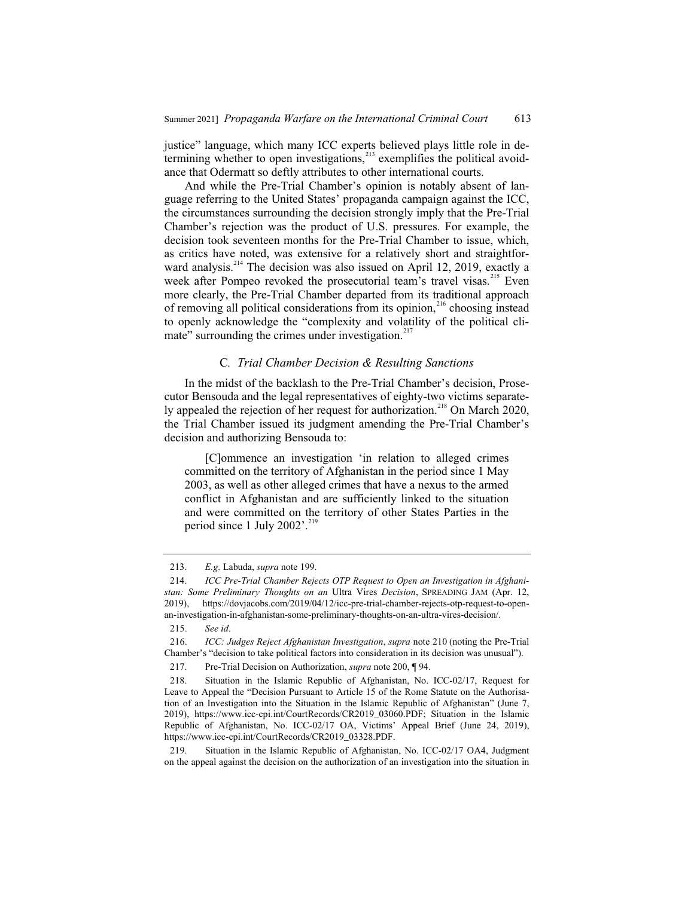justice" language, which many ICC experts believed plays little role in determining whether to open investigations, $^{213}$  exemplifies the political avoidance that Odermatt so deftly attributes to other international courts.

And while the Pre-Trial Chamber's opinion is notably absent of language referring to the United States' propaganda campaign against the ICC, the circumstances surrounding the decision strongly imply that the Pre-Trial Chamber's rejection was the product of U.S. pressures. For example, the decision took seventeen months for the Pre-Trial Chamber to issue, which, as critics have noted, was extensive for a relatively short and straightforward analysis.<sup>214</sup> The decision was also issued on April 12, 2019, exactly a week after Pompeo revoked the prosecutorial team's travel visas.<sup>215</sup> Even more clearly, the Pre-Trial Chamber departed from its traditional approach of removing all political considerations from its opinion,<sup>216</sup> choosing instead to openly acknowledge the "complexity and volatility of the political climate" surrounding the crimes under investigation. $217$ 

#### C*. Trial Chamber Decision & Resulting Sanctions*

In the midst of the backlash to the Pre-Trial Chamber's decision, Prosecutor Bensouda and the legal representatives of eighty-two victims separately appealed the rejection of her request for authorization.<sup>218</sup> On March 2020, the Trial Chamber issued its judgment amending the Pre-Trial Chamber's decision and authorizing Bensouda to:

[C]ommence an investigation 'in relation to alleged crimes committed on the territory of Afghanistan in the period since 1 May 2003, as well as other alleged crimes that have a nexus to the armed conflict in Afghanistan and are sufficiently linked to the situation and were committed on the territory of other States Parties in the period since 1 July 2002'.<sup>21</sup>

<sup>213.</sup> *E.g.* Labuda, *supra* note 199.

<sup>214.</sup> *ICC Pre-Trial Chamber Rejects OTP Request to Open an Investigation in Afghanistan: Some Preliminary Thoughts on an* Ultra Vires *Decision*, SPREADING JAM (Apr. 12, 2019), https://dovjacobs.com/2019/04/12/icc-pre-trial-chamber-rejects-otp-request-to-openan-investigation-in-afghanistan-some-preliminary-thoughts-on-an-ultra-vires-decision/.

<sup>215.</sup> *See id*.

<sup>216.</sup> *ICC: Judges Reject Afghanistan Investigation*, *supra* note 210 (noting the Pre-Trial Chamber's "decision to take political factors into consideration in its decision was unusual").

<sup>217.</sup> Pre-Trial Decision on Authorization, *supra* note 200, ¶ 94.

<sup>218.</sup> Situation in the Islamic Republic of Afghanistan, No. ICC-02/17, Request for Leave to Appeal the "Decision Pursuant to Article 15 of the Rome Statute on the Authorisation of an Investigation into the Situation in the Islamic Republic of Afghanistan" (June 7, 2019), https://www.icc-cpi.int/CourtRecords/CR2019\_03060.PDF; Situation in the Islamic Republic of Afghanistan, No. ICC-02/17 OA, Victims' Appeal Brief (June 24, 2019), https://www.icc-cpi.int/CourtRecords/CR2019\_03328.PDF.

<sup>219.</sup> Situation in the Islamic Republic of Afghanistan, No. ICC-02/17 OA4, Judgment on the appeal against the decision on the authorization of an investigation into the situation in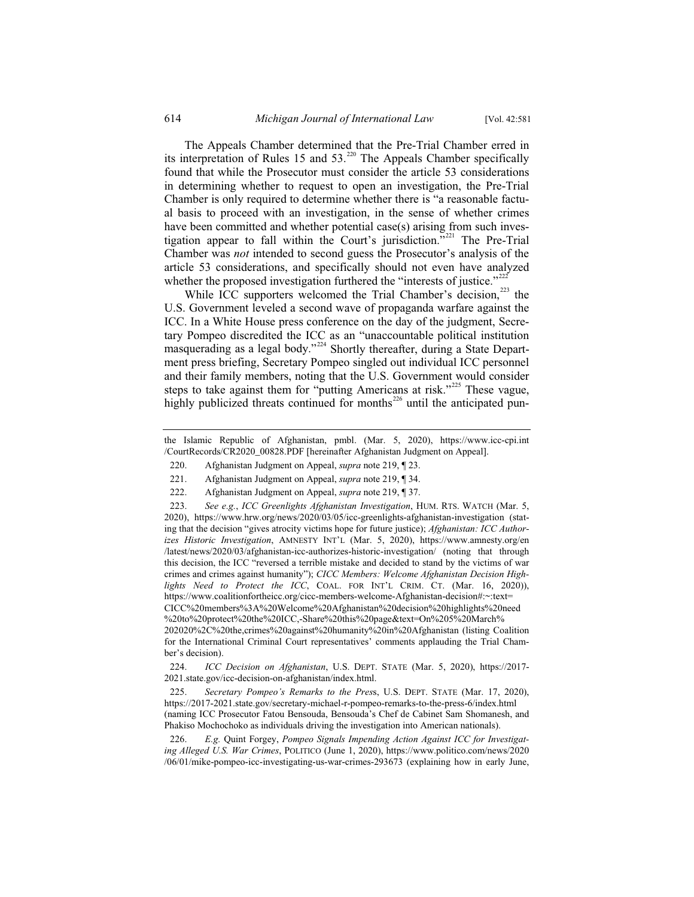The Appeals Chamber determined that the Pre-Trial Chamber erred in its interpretation of Rules 15 and  $53<sup>220</sup>$  The Appeals Chamber specifically found that while the Prosecutor must consider the article 53 considerations in determining whether to request to open an investigation, the Pre-Trial Chamber is only required to determine whether there is "a reasonable factual basis to proceed with an investigation, in the sense of whether crimes have been committed and whether potential case(s) arising from such investigation appear to fall within the Court's jurisdiction."<sup>221</sup> The Pre-Trial Chamber was *not* intended to second guess the Prosecutor's analysis of the article 53 considerations, and specifically should not even have analyzed whether the proposed investigation furthered the "interests of justice."<sup> $222$ </sup>

While ICC supporters welcomed the Trial Chamber's decision, $^{223}$  the U.S. Government leveled a second wave of propaganda warfare against the ICC. In a White House press conference on the day of the judgment, Secretary Pompeo discredited the ICC as an "unaccountable political institution masquerading as a legal body."<sup>224</sup> Shortly thereafter, during a State Department press briefing, Secretary Pompeo singled out individual ICC personnel and their family members, noting that the U.S. Government would consider steps to take against them for "putting Americans at risk."<sup>225</sup> These vague, highly publicized threats continued for months $^{226}$  until the anticipated pun-

223. *See e.g.*, *ICC Greenlights Afghanistan Investigation*, HUM. RTS. WATCH (Mar. 5, 2020), https://www.hrw.org/news/2020/03/05/icc-greenlights-afghanistan-investigation (stating that the decision "gives atrocity victims hope for future justice); *Afghanistan: ICC Authorizes Historic Investigation*, AMNESTY INT'L (Mar. 5, 2020), https://www.amnesty.org/en /latest/news/2020/03/afghanistan-icc-authorizes-historic-investigation/ (noting that through this decision, the ICC "reversed a terrible mistake and decided to stand by the victims of war crimes and crimes against humanity"); *CICC Members: Welcome Afghanistan Decision Highlights Need to Protect the ICC*, COAL. FOR INT'L CRIM. CT. (Mar. 16, 2020)), https://www.coalitionfortheicc.org/cicc-members-welcome-Afghanistan-decision#:~:text= CICC%20members%3A%20Welcome%20Afghanistan%20decision%20highlights%20need %20to%20protect%20the%20ICC,-Share%20this%20page&text=On%205%20March% 202020%2C%20the,crimes%20against%20humanity%20in%20Afghanistan (listing Coalition for the International Criminal Court representatives' comments applauding the Trial Chamber's decision).

224. *ICC Decision on Afghanistan*, U.S. DEPT. STATE (Mar. 5, 2020), https://2017- 2021.state.gov/icc-decision-on-afghanistan/index.html.

225. *Secretary Pompeo's Remarks to the Pres*s, U.S. DEPT. STATE (Mar. 17, 2020), https://2017-2021.state.gov/secretary-michael-r-pompeo-remarks-to-the-press-6/index.html (naming ICC Prosecutor Fatou Bensouda, Bensouda's Chef de Cabinet Sam Shomanesh, and Phakiso Mochochoko as individuals driving the investigation into American nationals).

226. *E.g.* Quint Forgey, *Pompeo Signals Impending Action Against ICC for Investigating Alleged U.S. War Crimes*, POLITICO (June 1, 2020), https://www.politico.com/news/2020 /06/01/mike-pompeo-icc-investigating-us-war-crimes-293673 (explaining how in early June,

the Islamic Republic of Afghanistan, pmbl. (Mar. 5, 2020), https://www.icc-cpi.int /CourtRecords/CR2020\_00828.PDF [hereinafter Afghanistan Judgment on Appeal].

<sup>220.</sup> Afghanistan Judgment on Appeal, *supra* note 219, ¶ 23.

<sup>221.</sup> Afghanistan Judgment on Appeal, *supra* note 219, ¶ 34.

<sup>222.</sup> Afghanistan Judgment on Appeal, *supra* note 219, ¶ 37.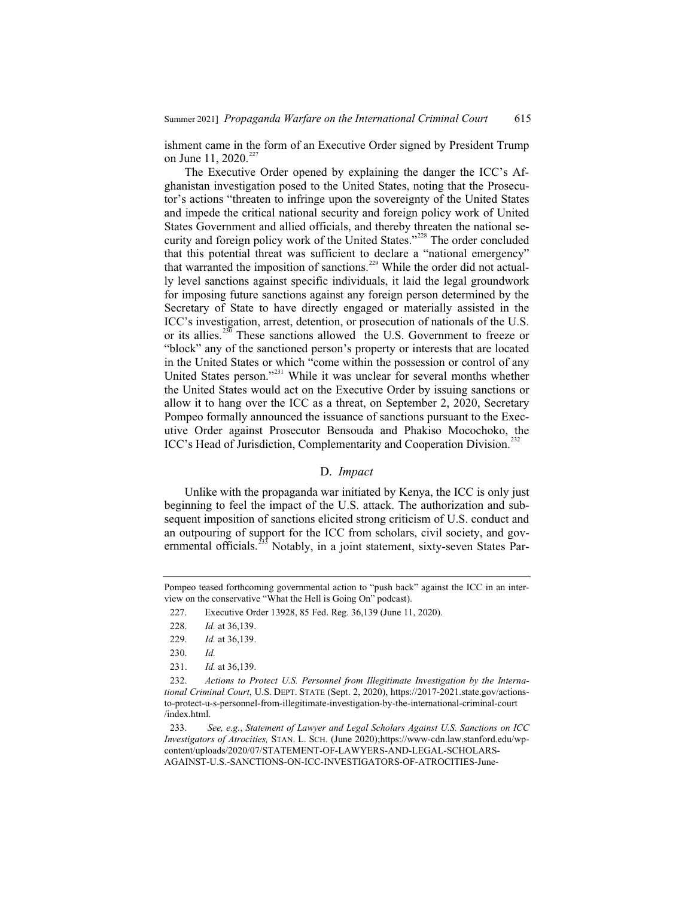ishment came in the form of an Executive Order signed by President Trump on June 11, 2020.<sup>227</sup>

The Executive Order opened by explaining the danger the ICC's Afghanistan investigation posed to the United States, noting that the Prosecutor's actions "threaten to infringe upon the sovereignty of the United States and impede the critical national security and foreign policy work of United States Government and allied officials, and thereby threaten the national security and foreign policy work of the United States."<sup>228</sup> The order concluded that this potential threat was sufficient to declare a "national emergency" that warranted the imposition of sanctions.<sup>229</sup> While the order did not actually level sanctions against specific individuals, it laid the legal groundwork for imposing future sanctions against any foreign person determined by the Secretary of State to have directly engaged or materially assisted in the ICC's investigation, arrest, detention, or prosecution of nationals of the U.S. or its allies.<sup>230</sup> These sanctions allowed the U.S. Government to freeze or "block" any of the sanctioned person's property or interests that are located in the United States or which "come within the possession or control of any United States person."<sup>231</sup> While it was unclear for several months whether the United States would act on the Executive Order by issuing sanctions or allow it to hang over the ICC as a threat, on September 2, 2020, Secretary Pompeo formally announced the issuance of sanctions pursuant to the Executive Order against Prosecutor Bensouda and Phakiso Mocochoko, the ICC's Head of Jurisdiction, Complementarity and Cooperation Division.<sup>232</sup>

#### D. *Impact*

Unlike with the propaganda war initiated by Kenya, the ICC is only just beginning to feel the impact of the U.S. attack. The authorization and subsequent imposition of sanctions elicited strong criticism of U.S. conduct and an outpouring of support for the ICC from scholars, civil society, and governmental officials.<sup>233</sup> Notably, in a joint statement, sixty-seven States Par-

Pompeo teased forthcoming governmental action to "push back" against the ICC in an interview on the conservative "What the Hell is Going On" podcast).

<sup>227.</sup> Executive Order 13928, 85 Fed. Reg. 36,139 (June 11, 2020).

<sup>228.</sup> *Id.* at 36,139.

<sup>229.</sup> *Id.* at 36,139.

<sup>230.</sup> *Id.*

<sup>231.</sup> *Id.* at 36,139.

<sup>232.</sup> *Actions to Protect U.S. Personnel from Illegitimate Investigation by the International Criminal Court*, U.S. DEPT. STATE (Sept. 2, 2020), https://2017-2021.state.gov/actionsto-protect-u-s-personnel-from-illegitimate-investigation-by-the-international-criminal-court /index.html.

<sup>233.</sup> *See, e.g.*, *Statement of Lawyer and Legal Scholars Against U.S. Sanctions on ICC Investigators of Atrocities,* STAN. L. SCH. (June 2020);https://www-cdn.law.stanford.edu/wpcontent/uploads/2020/07/STATEMENT-OF-LAWYERS-AND-LEGAL-SCHOLARS-AGAINST-U.S.-SANCTIONS-ON-ICC-INVESTIGATORS-OF-ATROCITIES-June-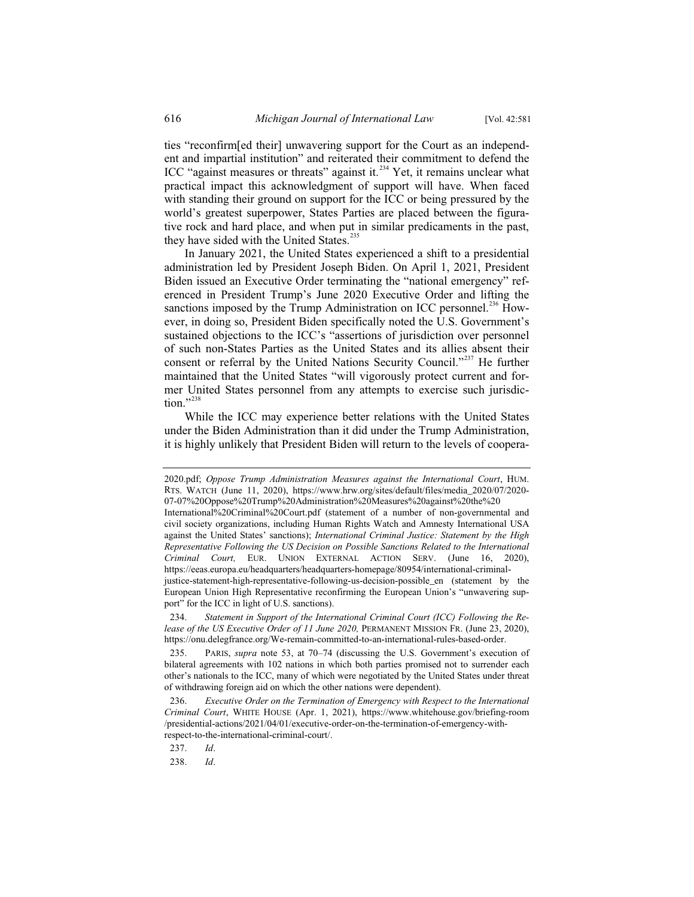ties "reconfirm[ed their] unwavering support for the Court as an independent and impartial institution" and reiterated their commitment to defend the ICC "against measures or threats" against it. $234$  Yet, it remains unclear what practical impact this acknowledgment of support will have. When faced with standing their ground on support for the ICC or being pressured by the world's greatest superpower, States Parties are placed between the figurative rock and hard place, and when put in similar predicaments in the past, they have sided with the United States.<sup>235</sup>

In January 2021, the United States experienced a shift to a presidential administration led by President Joseph Biden. On April 1, 2021, President Biden issued an Executive Order terminating the "national emergency" referenced in President Trump's June 2020 Executive Order and lifting the sanctions imposed by the Trump Administration on ICC personnel.<sup>236</sup> However, in doing so, President Biden specifically noted the U.S. Government's sustained objections to the ICC's "assertions of jurisdiction over personnel of such non-States Parties as the United States and its allies absent their consent or referral by the United Nations Security Council."<sup>237</sup> He further maintained that the United States "will vigorously protect current and former United States personnel from any attempts to exercise such jurisdiction."<sup>238</sup>

While the ICC may experience better relations with the United States under the Biden Administration than it did under the Trump Administration, it is highly unlikely that President Biden will return to the levels of coopera-

<sup>2020.</sup>pdf; *Oppose Trump Administration Measures against the International Court*, HUM. RTS. WATCH (June 11, 2020), https://www.hrw.org/sites/default/files/media\_2020/07/2020- 07-07%20Oppose%20Trump%20Administration%20Measures%20against%20the%20

International%20Criminal%20Court.pdf (statement of a number of non-governmental and civil society organizations, including Human Rights Watch and Amnesty International USA against the United States' sanctions); *International Criminal Justice: Statement by the High Representative Following the US Decision on Possible Sanctions Related to the International Criminal Court,* EUR. UNION EXTERNAL ACTION SERV. (June 16, 2020), https://eeas.europa.eu/headquarters/headquarters-homepage/80954/international-criminal-

justice-statement-high-representative-following-us-decision-possible\_en (statement by the European Union High Representative reconfirming the European Union's "unwavering support" for the ICC in light of U.S. sanctions).

<sup>234.</sup> *Statement in Support of the International Criminal Court (ICC) Following the Release of the US Executive Order of 11 June 2020,* PERMANENT MISSION FR. (June 23, 2020), https://onu.delegfrance.org/We-remain-committed-to-an-international-rules-based-order.

<sup>235.</sup> PARIS, *supra* note 53, at 70–74 (discussing the U.S. Government's execution of bilateral agreements with 102 nations in which both parties promised not to surrender each other's nationals to the ICC, many of which were negotiated by the United States under threat of withdrawing foreign aid on which the other nations were dependent).

<sup>236.</sup> *Executive Order on the Termination of Emergency with Respect to the International Criminal Court*, WHITE HOUSE (Apr. 1, 2021), https://www.whitehouse.gov/briefing-room /presidential-actions/2021/04/01/executive-order-on-the-termination-of-emergency-withrespect-to-the-international-criminal-court/.

<sup>237.</sup> *Id*.

<sup>238.</sup> *Id*.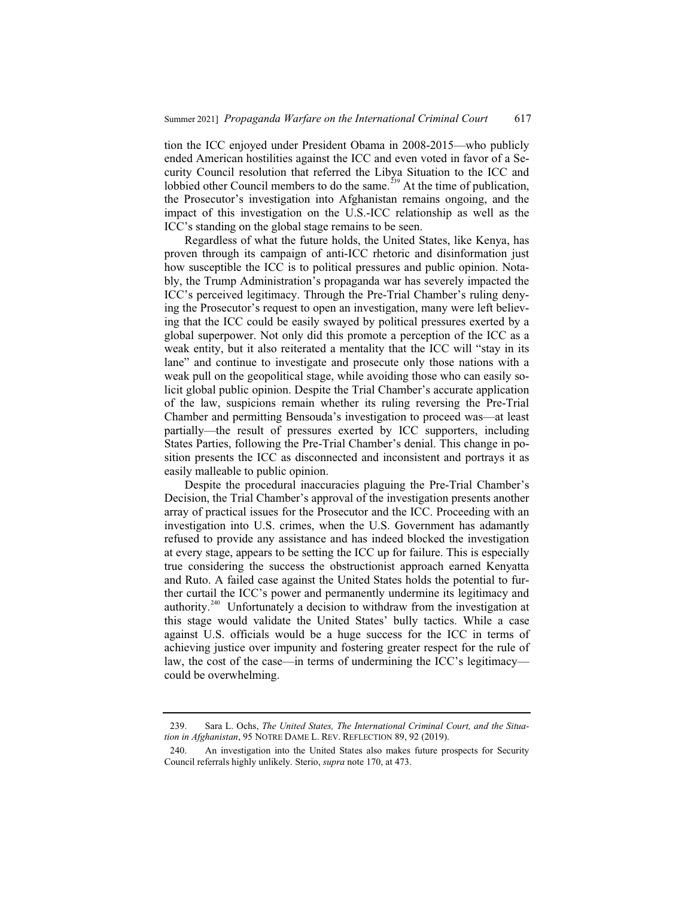tion the ICC enjoyed under President Obama in 2008-2015—who publicly ended American hostilities against the ICC and even voted in favor of a Security Council resolution that referred the Libya Situation to the ICC and lobbied other Council members to do the same.<sup>239</sup> At the time of publication, the Prosecutor's investigation into Afghanistan remains ongoing, and the impact of this investigation on the U.S.-ICC relationship as well as the ICC's standing on the global stage remains to be seen.

Regardless of what the future holds, the United States, like Kenya, has proven through its campaign of anti-ICC rhetoric and disinformation just how susceptible the ICC is to political pressures and public opinion. Notably, the Trump Administration's propaganda war has severely impacted the ICC's perceived legitimacy. Through the Pre-Trial Chamber's ruling denying the Prosecutor's request to open an investigation, many were left believing that the ICC could be easily swayed by political pressures exerted by a global superpower. Not only did this promote a perception of the ICC as a weak entity, but it also reiterated a mentality that the ICC will "stay in its lane" and continue to investigate and prosecute only those nations with a weak pull on the geopolitical stage, while avoiding those who can easily solicit global public opinion. Despite the Trial Chamber's accurate application of the law, suspicions remain whether its ruling reversing the Pre-Trial Chamber and permitting Bensouda's investigation to proceed was—at least partially—the result of pressures exerted by ICC supporters, including States Parties, following the Pre-Trial Chamber's denial. This change in position presents the ICC as disconnected and inconsistent and portrays it as easily malleable to public opinion.

Despite the procedural inaccuracies plaguing the Pre-Trial Chamber's Decision, the Trial Chamber's approval of the investigation presents another array of practical issues for the Prosecutor and the ICC. Proceeding with an investigation into U.S. crimes, when the U.S. Government has adamantly refused to provide any assistance and has indeed blocked the investigation at every stage, appears to be setting the ICC up for failure. This is especially true considering the success the obstructionist approach earned Kenyatta and Ruto. A failed case against the United States holds the potential to further curtail the ICC's power and permanently undermine its legitimacy and authority.<sup>240</sup> Unfortunately a decision to withdraw from the investigation at this stage would validate the United States' bully tactics. While a case against U.S. officials would be a huge success for the ICC in terms of achieving justice over impunity and fostering greater respect for the rule of law, the cost of the case—in terms of undermining the ICC's legitimacy could be overwhelming.

<sup>239.</sup> Sara L. Ochs, *The United States, The International Criminal Court, and the Situation in Afghanistan*, 95 NOTRE DAME L. REV. REFLECTION 89, 92 (2019).

<sup>240.</sup> An investigation into the United States also makes future prospects for Security Council referrals highly unlikely. Sterio, *supra* note 170, at 473.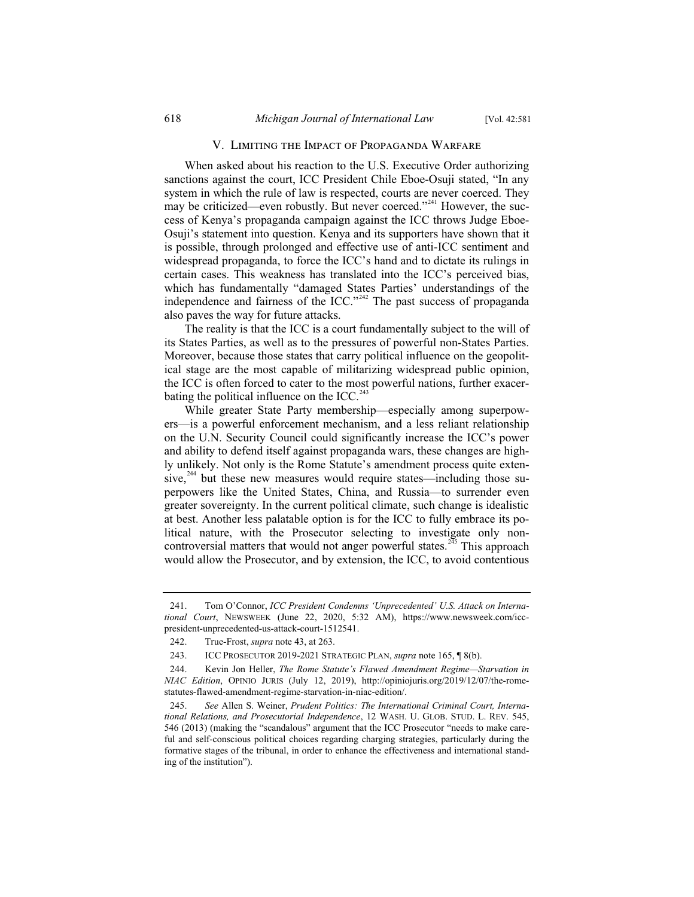#### V. Limiting the Impact of Propaganda Warfare

When asked about his reaction to the U.S. Executive Order authorizing sanctions against the court, ICC President Chile Eboe-Osuji stated, "In any system in which the rule of law is respected, courts are never coerced. They may be criticized—even robustly. But never coerced."<sup>241</sup> However, the success of Kenya's propaganda campaign against the ICC throws Judge Eboe-Osuji's statement into question. Kenya and its supporters have shown that it is possible, through prolonged and effective use of anti-ICC sentiment and widespread propaganda, to force the ICC's hand and to dictate its rulings in certain cases. This weakness has translated into the ICC's perceived bias, which has fundamentally "damaged States Parties' understandings of the independence and fairness of the ICC."<sup>242</sup> The past success of propaganda also paves the way for future attacks.

The reality is that the ICC is a court fundamentally subject to the will of its States Parties, as well as to the pressures of powerful non-States Parties. Moreover, because those states that carry political influence on the geopolitical stage are the most capable of militarizing widespread public opinion, the ICC is often forced to cater to the most powerful nations, further exacerbating the political influence on the ICC. $<sup>2</sup>$ </sup>

While greater State Party membership—especially among superpowers—is a powerful enforcement mechanism, and a less reliant relationship on the U.N. Security Council could significantly increase the ICC's power and ability to defend itself against propaganda wars, these changes are highly unlikely. Not only is the Rome Statute's amendment process quite extensive, $244$  but these new measures would require states—including those superpowers like the United States, China, and Russia—to surrender even greater sovereignty. In the current political climate, such change is idealistic at best. Another less palatable option is for the ICC to fully embrace its political nature, with the Prosecutor selecting to investigate only noncontroversial matters that would not anger powerful states.<sup>245</sup> This approach would allow the Prosecutor, and by extension, the ICC, to avoid contentious

<sup>241.</sup> Tom O'Connor, *ICC President Condemns 'Unprecedented' U.S. Attack on International Court*, NEWSWEEK (June 22, 2020, 5:32 AM), https://www.newsweek.com/iccpresident-unprecedented-us-attack-court-1512541.

<sup>242.</sup> True-Frost, *supra* note 43, at 263.

<sup>243.</sup> ICC PROSECUTOR 2019-2021 STRATEGIC PLAN, *supra* note 165, ¶ 8(b).

<sup>244.</sup> Kevin Jon Heller, *The Rome Statute's Flawed Amendment Regime—Starvation in NIAC Edition*, OPINIO JURIS (July 12, 2019), http://opiniojuris.org/2019/12/07/the-romestatutes-flawed-amendment-regime-starvation-in-niac-edition/.

<sup>245.</sup> *See* Allen S. Weiner, *Prudent Politics: The International Criminal Court, International Relations, and Prosecutorial Independence*, 12 WASH. U. GLOB. STUD. L. REV. 545, 546 (2013) (making the "scandalous" argument that the ICC Prosecutor "needs to make careful and self-conscious political choices regarding charging strategies, particularly during the formative stages of the tribunal, in order to enhance the effectiveness and international standing of the institution").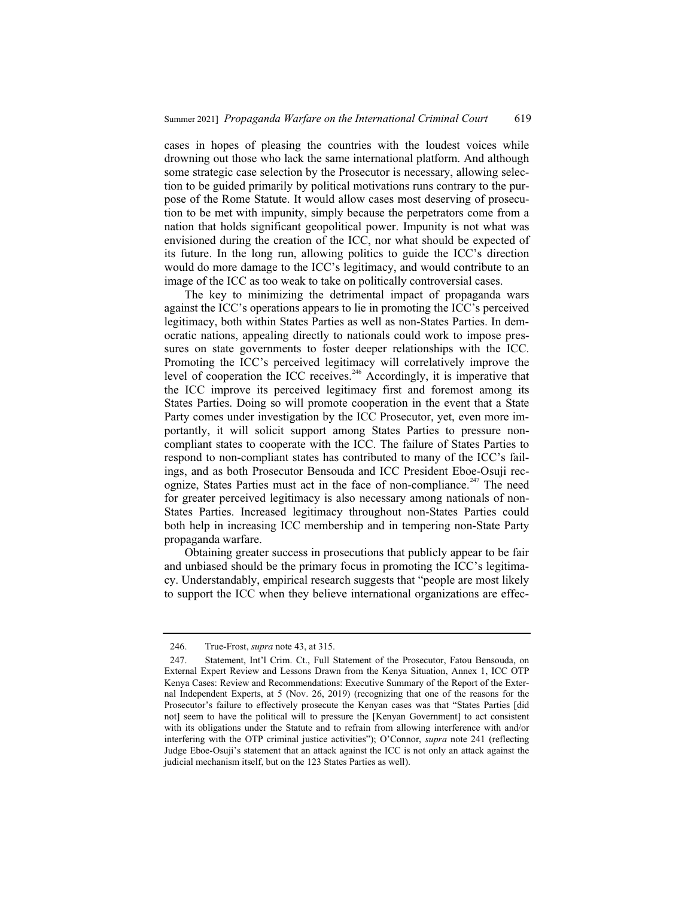cases in hopes of pleasing the countries with the loudest voices while drowning out those who lack the same international platform. And although some strategic case selection by the Prosecutor is necessary, allowing selection to be guided primarily by political motivations runs contrary to the purpose of the Rome Statute. It would allow cases most deserving of prosecution to be met with impunity, simply because the perpetrators come from a nation that holds significant geopolitical power. Impunity is not what was envisioned during the creation of the ICC, nor what should be expected of its future. In the long run, allowing politics to guide the ICC's direction would do more damage to the ICC's legitimacy, and would contribute to an image of the ICC as too weak to take on politically controversial cases.

The key to minimizing the detrimental impact of propaganda wars against the ICC's operations appears to lie in promoting the ICC's perceived legitimacy, both within States Parties as well as non-States Parties. In democratic nations, appealing directly to nationals could work to impose pressures on state governments to foster deeper relationships with the ICC. Promoting the ICC's perceived legitimacy will correlatively improve the level of cooperation the ICC receives.<sup>246</sup> Accordingly, it is imperative that the ICC improve its perceived legitimacy first and foremost among its States Parties. Doing so will promote cooperation in the event that a State Party comes under investigation by the ICC Prosecutor, yet, even more importantly, it will solicit support among States Parties to pressure noncompliant states to cooperate with the ICC. The failure of States Parties to respond to non-compliant states has contributed to many of the ICC's failings, and as both Prosecutor Bensouda and ICC President Eboe-Osuji recognize, States Parties must act in the face of non-compliance.<sup>247</sup> The need for greater perceived legitimacy is also necessary among nationals of non-States Parties. Increased legitimacy throughout non-States Parties could both help in increasing ICC membership and in tempering non-State Party propaganda warfare.

Obtaining greater success in prosecutions that publicly appear to be fair and unbiased should be the primary focus in promoting the ICC's legitimacy. Understandably, empirical research suggests that "people are most likely to support the ICC when they believe international organizations are effec-

<sup>246.</sup> True-Frost, *supra* note 43, at 315.

<sup>247.</sup> Statement, Int'l Crim. Ct., Full Statement of the Prosecutor, Fatou Bensouda, on External Expert Review and Lessons Drawn from the Kenya Situation, Annex 1, ICC OTP Kenya Cases: Review and Recommendations: Executive Summary of the Report of the External Independent Experts, at 5 (Nov. 26, 2019) (recognizing that one of the reasons for the Prosecutor's failure to effectively prosecute the Kenyan cases was that "States Parties [did not] seem to have the political will to pressure the [Kenyan Government] to act consistent with its obligations under the Statute and to refrain from allowing interference with and/or interfering with the OTP criminal justice activities"); O'Connor, *supra* note 241 (reflecting Judge Eboe-Osuji's statement that an attack against the ICC is not only an attack against the judicial mechanism itself, but on the 123 States Parties as well).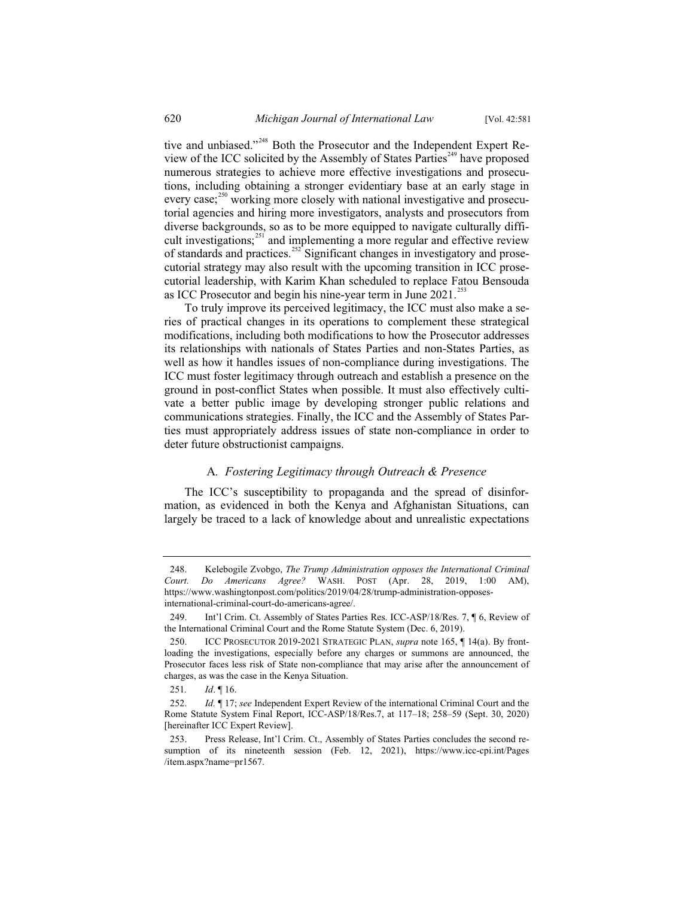tive and unbiased."<sup>248</sup> Both the Prosecutor and the Independent Expert Review of the ICC solicited by the Assembly of States Parties<sup> $249$ </sup> have proposed numerous strategies to achieve more effective investigations and prosecutions, including obtaining a stronger evidentiary base at an early stage in every case;<sup>250</sup> working more closely with national investigative and prosecutorial agencies and hiring more investigators, analysts and prosecutors from diverse backgrounds, so as to be more equipped to navigate culturally difficult investigations; $251$  and implementing a more regular and effective review of standards and practices.<sup>252</sup> Significant changes in investigatory and prosecutorial strategy may also result with the upcoming transition in ICC prosecutorial leadership, with Karim Khan scheduled to replace Fatou Bensouda as ICC Prosecutor and begin his nine-year term in June 2021.<sup>253</sup>

To truly improve its perceived legitimacy, the ICC must also make a series of practical changes in its operations to complement these strategical modifications, including both modifications to how the Prosecutor addresses its relationships with nationals of States Parties and non-States Parties, as well as how it handles issues of non-compliance during investigations. The ICC must foster legitimacy through outreach and establish a presence on the ground in post-conflict States when possible. It must also effectively cultivate a better public image by developing stronger public relations and communications strategies. Finally, the ICC and the Assembly of States Parties must appropriately address issues of state non-compliance in order to deter future obstructionist campaigns.

#### A*. Fostering Legitimacy through Outreach & Presence*

The ICC's susceptibility to propaganda and the spread of disinformation, as evidenced in both the Kenya and Afghanistan Situations, can largely be traced to a lack of knowledge about and unrealistic expectations

<sup>248.</sup> Kelebogile Zvobgo, *The Trump Administration opposes the International Criminal Court. Do Americans Agree?* WASH. POST (Apr. 28, 2019, 1:00 AM), https://www.washingtonpost.com/politics/2019/04/28/trump-administration-opposesinternational-criminal-court-do-americans-agree/.

<sup>249.</sup> Int'l Crim. Ct. Assembly of States Parties Res. ICC-ASP/18/Res. 7, ¶ 6, Review of the International Criminal Court and the Rome Statute System (Dec. 6, 2019).

<sup>250.</sup> ICC PROSECUTOR 2019-2021 STRATEGIC PLAN, *supra* note 165, ¶ 14(a). By frontloading the investigations, especially before any charges or summons are announced, the Prosecutor faces less risk of State non-compliance that may arise after the announcement of charges, as was the case in the Kenya Situation.

<sup>251</sup>*. Id*. ¶ 16.

<sup>252.</sup> *Id.* ¶ 17; *see* Independent Expert Review of the international Criminal Court and the Rome Statute System Final Report, ICC-ASP/18/Res.7, at 117–18; 258–59 (Sept. 30, 2020) [hereinafter ICC Expert Review].

<sup>253.</sup> Press Release, Int'l Crim. Ct., Assembly of States Parties concludes the second resumption of its nineteenth session (Feb. 12, 2021), https://www.icc-cpi.int/Pages /item.aspx?name=pr1567.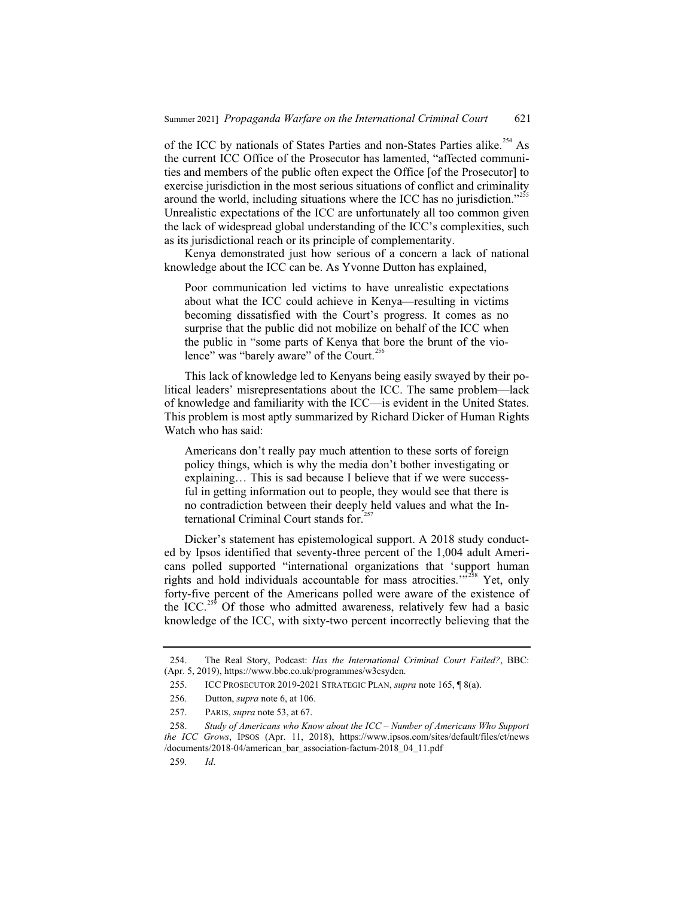of the ICC by nationals of States Parties and non-States Parties alike.<sup>254</sup> As the current ICC Office of the Prosecutor has lamented, "affected communities and members of the public often expect the Office [of the Prosecutor] to exercise jurisdiction in the most serious situations of conflict and criminality around the world, including situations where the ICC has no jurisdiction."<sup>255</sup> Unrealistic expectations of the ICC are unfortunately all too common given the lack of widespread global understanding of the ICC's complexities, such as its jurisdictional reach or its principle of complementarity.

Kenya demonstrated just how serious of a concern a lack of national knowledge about the ICC can be. As Yvonne Dutton has explained,

Poor communication led victims to have unrealistic expectations about what the ICC could achieve in Kenya—resulting in victims becoming dissatisfied with the Court's progress. It comes as no surprise that the public did not mobilize on behalf of the ICC when the public in "some parts of Kenya that bore the brunt of the violence" was "barely aware" of the Court.<sup>256</sup>

This lack of knowledge led to Kenyans being easily swayed by their political leaders' misrepresentations about the ICC. The same problem—lack of knowledge and familiarity with the ICC—is evident in the United States. This problem is most aptly summarized by Richard Dicker of Human Rights Watch who has said:

Americans don't really pay much attention to these sorts of foreign policy things, which is why the media don't bother investigating or explaining… This is sad because I believe that if we were successful in getting information out to people, they would see that there is no contradiction between their deeply held values and what the International Criminal Court stands for. $257$ 

Dicker's statement has epistemological support. A 2018 study conducted by Ipsos identified that seventy-three percent of the 1,004 adult Americans polled supported "international organizations that 'support human rights and hold individuals accountable for mass atrocities."<sup>5258</sup> Yet, only forty-five percent of the Americans polled were aware of the existence of the ICC.<sup>259</sup> Of those who admitted awareness, relatively few had a basic knowledge of the ICC, with sixty-two percent incorrectly believing that the

<sup>254.</sup> The Real Story, Podcast: *Has the International Criminal Court Failed?*, BBC: (Apr. 5, 2019), https://www.bbc.co.uk/programmes/w3csydcn.

<sup>255.</sup> ICC PROSECUTOR 2019-2021 STRATEGIC PLAN, *supra* note 165, ¶ 8(a).

<sup>256.</sup> Dutton, *supra* note 6, at 106.

<sup>257.</sup> PARIS, *supra* note 53, at 67.

<sup>258.</sup> *Study of Americans who Know about the ICC – Number of Americans Who Support the ICC Grows*, IPSOS (Apr. 11, 2018), https://www.ipsos.com/sites/default/files/ct/news /documents/2018-04/american\_bar\_association-factum-2018\_04\_11.pdf

<sup>259</sup>*. Id*.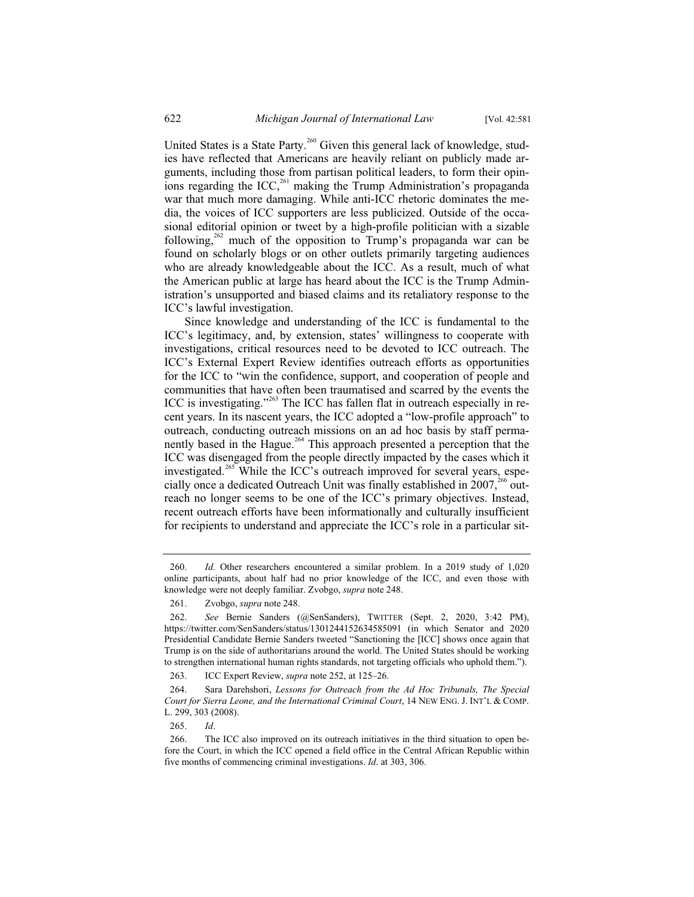United States is a State Party.<sup>260</sup> Given this general lack of knowledge, studies have reflected that Americans are heavily reliant on publicly made arguments, including those from partisan political leaders, to form their opinformally including the ICC,<sup>261</sup> making the Trump Administration's propaganda war that much more damaging. While anti-ICC rhetoric dominates the media, the voices of ICC supporters are less publicized. Outside of the occasional editorial opinion or tweet by a high-profile politician with a sizable following,<sup>262</sup> much of the opposition to Trump's propaganda war can be found on scholarly blogs or on other outlets primarily targeting audiences who are already knowledgeable about the ICC. As a result, much of what the American public at large has heard about the ICC is the Trump Administration's unsupported and biased claims and its retaliatory response to the ICC's lawful investigation.

Since knowledge and understanding of the ICC is fundamental to the ICC's legitimacy, and, by extension, states' willingness to cooperate with investigations, critical resources need to be devoted to ICC outreach. The ICC's External Expert Review identifies outreach efforts as opportunities for the ICC to "win the confidence, support, and cooperation of people and communities that have often been traumatised and scarred by the events the ICC is investigating."<sup>263</sup> The ICC has fallen flat in outreach especially in recent years. In its nascent years, the ICC adopted a "low-profile approach" to outreach, conducting outreach missions on an ad hoc basis by staff permanently based in the Hague.<sup>264</sup> This approach presented a perception that the ICC was disengaged from the people directly impacted by the cases which it investigated.<sup>265</sup> While the ICC's outreach improved for several years, especially once a dedicated Outreach Unit was finally established in 2007,<sup>266</sup> outreach no longer seems to be one of the ICC's primary objectives. Instead, recent outreach efforts have been informationally and culturally insufficient for recipients to understand and appreciate the ICC's role in a particular sit-

<sup>260.</sup> *Id.* Other researchers encountered a similar problem. In a 2019 study of 1,020 online participants, about half had no prior knowledge of the ICC, and even those with knowledge were not deeply familiar. Zvobgo, *supra* note 248.

<sup>261.</sup> Zvobgo, *supra* note 248.

<sup>262.</sup> *See* Bernie Sanders (@SenSanders), TWITTER (Sept. 2, 2020, 3:42 PM), https://twitter.com/SenSanders/status/1301244152634585091 (in which Senator and 2020 Presidential Candidate Bernie Sanders tweeted "Sanctioning the [ICC] shows once again that Trump is on the side of authoritarians around the world. The United States should be working to strengthen international human rights standards, not targeting officials who uphold them.").

<sup>263.</sup> ICC Expert Review, *supra* note 252, at 125–26.

<sup>264.</sup> Sara Darehshori, *Lessons for Outreach from the Ad Hoc Tribunals, The Special Court for Sierra Leone, and the International Criminal Court*, 14 NEW ENG. J. INT'L & COMP. L. 299, 303 (2008).

<sup>265.</sup> *Id*.

<sup>266.</sup> The ICC also improved on its outreach initiatives in the third situation to open before the Court, in which the ICC opened a field office in the Central African Republic within five months of commencing criminal investigations. *Id*. at 303, 306.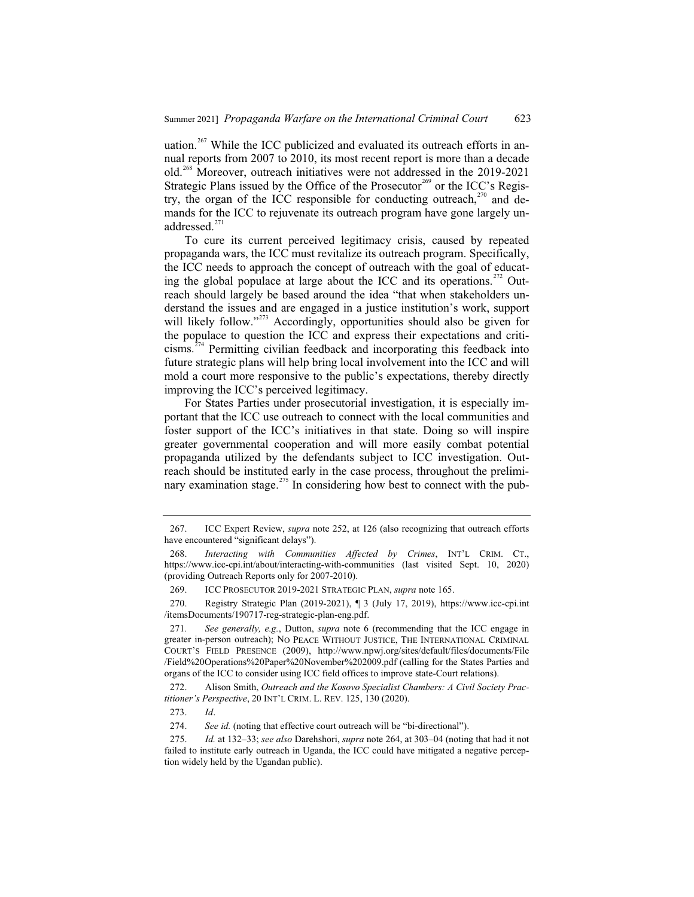uation.<sup>267</sup> While the ICC publicized and evaluated its outreach efforts in annual reports from 2007 to 2010, its most recent report is more than a decade old.<sup>268</sup> Moreover, outreach initiatives were not addressed in the 2019-2021 Strategic Plans issued by the Office of the Prosecutor<sup>269</sup> or the ICC's Registry, the organ of the ICC responsible for conducting outreach, $270$  and demands for the ICC to rejuvenate its outreach program have gone largely unaddressed.<sup>271</sup>

To cure its current perceived legitimacy crisis, caused by repeated propaganda wars, the ICC must revitalize its outreach program. Specifically, the ICC needs to approach the concept of outreach with the goal of educating the global populace at large about the ICC and its operations.<sup> $272$ </sup> Outreach should largely be based around the idea "that when stakeholders understand the issues and are engaged in a justice institution's work, support will likely follow."<sup>273</sup> Accordingly, opportunities should also be given for the populace to question the ICC and express their expectations and criti $cisms.<sup>274</sup>$  Permitting civilian feedback and incorporating this feedback into future strategic plans will help bring local involvement into the ICC and will mold a court more responsive to the public's expectations, thereby directly improving the ICC's perceived legitimacy.

For States Parties under prosecutorial investigation, it is especially important that the ICC use outreach to connect with the local communities and foster support of the ICC's initiatives in that state. Doing so will inspire greater governmental cooperation and will more easily combat potential propaganda utilized by the defendants subject to ICC investigation. Outreach should be instituted early in the case process, throughout the preliminary examination stage.<sup>275</sup> In considering how best to connect with the pub-

<sup>267.</sup> ICC Expert Review, *supra* note 252, at 126 (also recognizing that outreach efforts have encountered "significant delays").

<sup>268.</sup> *Interacting with Communities Affected by Crimes*, INT'L CRIM. CT., https://www.icc-cpi.int/about/interacting-with-communities (last visited Sept. 10, 2020) (providing Outreach Reports only for 2007-2010).

<sup>269.</sup> ICC PROSECUTOR 2019-2021 STRATEGIC PLAN, *supra* note 165.

<sup>270.</sup> Registry Strategic Plan (2019-2021), ¶ 3 (July 17, 2019), https://www.icc-cpi.int /itemsDocuments/190717-reg-strategic-plan-eng.pdf.

<sup>271</sup>*. See generally, e.g.*, Dutton, *supra* note 6 (recommending that the ICC engage in greater in-person outreach); NO PEACE WITHOUT JUSTICE, THE INTERNATIONAL CRIMINAL COURT'S FIELD PRESENCE (2009), http://www.npwj.org/sites/default/files/documents/File /Field%20Operations%20Paper%20November%202009.pdf (calling for the States Parties and organs of the ICC to consider using ICC field offices to improve state-Court relations).

<sup>272.</sup> Alison Smith, *Outreach and the Kosovo Specialist Chambers: A Civil Society Practitioner's Perspective*, 20 INT'L CRIM. L. REV. 125, 130 (2020).

<sup>273.</sup> *Id*.

<sup>274.</sup> *See id.* (noting that effective court outreach will be "bi-directional").

<sup>275.</sup> *Id.* at 132–33; *see also* Darehshori, *supra* note 264, at 303–04 (noting that had it not failed to institute early outreach in Uganda, the ICC could have mitigated a negative perception widely held by the Ugandan public).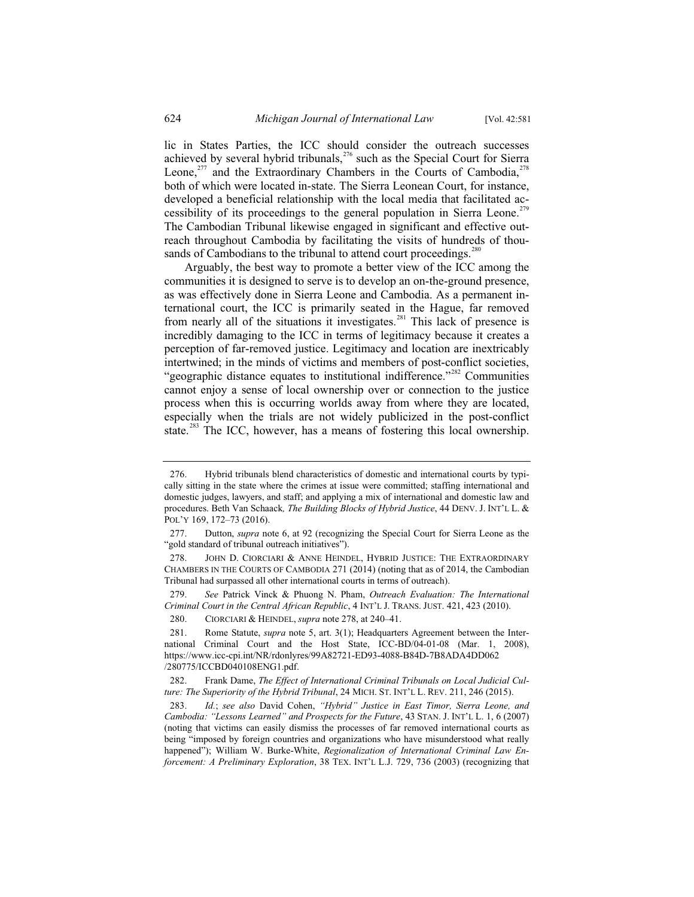lic in States Parties, the ICC should consider the outreach successes achieved by several hybrid tribunals, $276$  such as the Special Court for Sierra Leone, $^{277}$  and the Extraordinary Chambers in the Courts of Cambodia, $^{278}$ both of which were located in-state. The Sierra Leonean Court, for instance, developed a beneficial relationship with the local media that facilitated accessibility of its proceedings to the general population in Sierra Leone.<sup>279</sup> The Cambodian Tribunal likewise engaged in significant and effective outreach throughout Cambodia by facilitating the visits of hundreds of thousands of Cambodians to the tribunal to attend court proceedings.<sup>280</sup>

Arguably, the best way to promote a better view of the ICC among the communities it is designed to serve is to develop an on-the-ground presence, as was effectively done in Sierra Leone and Cambodia. As a permanent international court, the ICC is primarily seated in the Hague, far removed from nearly all of the situations it investigates.<sup>281</sup> This lack of presence is incredibly damaging to the ICC in terms of legitimacy because it creates a perception of far-removed justice. Legitimacy and location are inextricably intertwined; in the minds of victims and members of post-conflict societies, "geographic distance equates to institutional indifference."<sup>282</sup> Communities cannot enjoy a sense of local ownership over or connection to the justice process when this is occurring worlds away from where they are located, especially when the trials are not widely publicized in the post-conflict state.<sup>283</sup> The ICC, however, has a means of fostering this local ownership.

<sup>276.</sup> Hybrid tribunals blend characteristics of domestic and international courts by typically sitting in the state where the crimes at issue were committed; staffing international and domestic judges, lawyers, and staff; and applying a mix of international and domestic law and procedures. Beth Van Schaack*, The Building Blocks of Hybrid Justice*, 44 DENV. J. INT'L L. & POL'Y 169, 172–73 (2016).

<sup>277.</sup> Dutton, *supra* note 6, at 92 (recognizing the Special Court for Sierra Leone as the "gold standard of tribunal outreach initiatives").

<sup>278.</sup> JOHN D. CIORCIARI & ANNE HEINDEL, HYBRID JUSTICE: THE EXTRAORDINARY CHAMBERS IN THE COURTS OF CAMBODIA 271 (2014) (noting that as of 2014, the Cambodian Tribunal had surpassed all other international courts in terms of outreach).

<sup>279.</sup> *See* Patrick Vinck & Phuong N. Pham, *Outreach Evaluation: The International Criminal Court in the Central African Republic*, 4 INT'L J. TRANS. JUST. 421, 423 (2010).

<sup>280.</sup> CIORCIARI & HEINDEL, *supra* note 278, at 240–41.

<sup>281.</sup> Rome Statute, *supra* note 5, art. 3(1); Headquarters Agreement between the International Criminal Court and the Host State, ICC-BD/04-01-08 (Mar. 1, 2008), https://www.icc-cpi.int/NR/rdonlyres/99A82721-ED93-4088-B84D-7B8ADA4DD062 /280775/ICCBD040108ENG1.pdf.

<sup>282.</sup> Frank Dame, *The Effect of International Criminal Tribunals on Local Judicial Culture: The Superiority of the Hybrid Tribunal*, 24 MICH. ST. INT'L L. REV. 211, 246 (2015).

<sup>283.</sup> *Id.*; *see also* David Cohen, *"Hybrid" Justice in East Timor, Sierra Leone, and Cambodia: "Lessons Learned" and Prospects for the Future*, 43 STAN. J. INT'L L. 1, 6 (2007) (noting that victims can easily dismiss the processes of far removed international courts as being "imposed by foreign countries and organizations who have misunderstood what really happened"); William W. Burke-White, *Regionalization of International Criminal Law Enforcement: A Preliminary Exploration*, 38 TEX. INT'L L.J. 729, 736 (2003) (recognizing that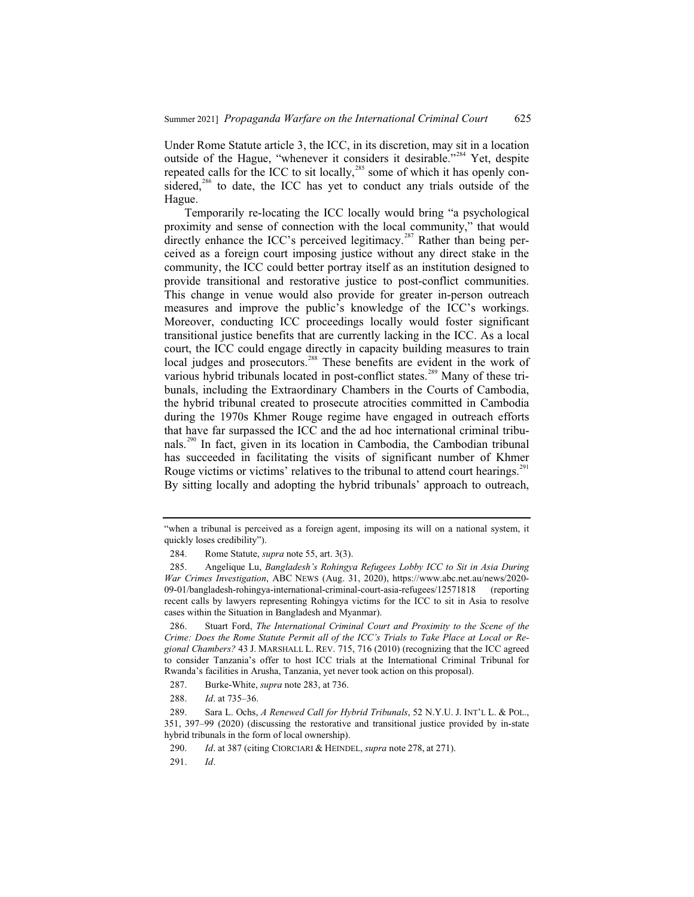Under Rome Statute article 3, the ICC, in its discretion, may sit in a location outside of the Hague, "whenever it considers it desirable."<sup>284</sup> Yet, despite repeated calls for the ICC to sit locally,<sup>285</sup> some of which it has openly considered, $286$  to date, the ICC has yet to conduct any trials outside of the Hague.

Temporarily re-locating the ICC locally would bring "a psychological proximity and sense of connection with the local community," that would directly enhance the ICC's perceived legitimacy.<sup>287</sup> Rather than being perceived as a foreign court imposing justice without any direct stake in the community, the ICC could better portray itself as an institution designed to provide transitional and restorative justice to post-conflict communities. This change in venue would also provide for greater in-person outreach measures and improve the public's knowledge of the ICC's workings. Moreover, conducting ICC proceedings locally would foster significant transitional justice benefits that are currently lacking in the ICC. As a local court, the ICC could engage directly in capacity building measures to train local judges and prosecutors.<sup>288</sup> These benefits are evident in the work of various hybrid tribunals located in post-conflict states.<sup>289</sup> Many of these tribunals, including the Extraordinary Chambers in the Courts of Cambodia, the hybrid tribunal created to prosecute atrocities committed in Cambodia during the 1970s Khmer Rouge regime have engaged in outreach efforts that have far surpassed the ICC and the ad hoc international criminal tribunals.<sup>290</sup> In fact, given in its location in Cambodia, the Cambodian tribunal has succeeded in facilitating the visits of significant number of Khmer Rouge victims or victims' relatives to the tribunal to attend court hearings.<sup>291</sup> By sitting locally and adopting the hybrid tribunals' approach to outreach,

<sup>&</sup>quot;when a tribunal is perceived as a foreign agent, imposing its will on a national system, it quickly loses credibility").

<sup>284.</sup> Rome Statute, *supra* note 55, art. 3(3).

<sup>285.</sup> Angelique Lu, *Bangladesh's Rohingya Refugees Lobby ICC to Sit in Asia During War Crimes Investigation*, ABC NEWS (Aug. 31, 2020), https://www.abc.net.au/news/2020- 09-01/bangladesh-rohingya-international-criminal-court-asia-refugees/12571818 (reporting recent calls by lawyers representing Rohingya victims for the ICC to sit in Asia to resolve cases within the Situation in Bangladesh and Myanmar).

<sup>286.</sup> Stuart Ford, *The International Criminal Court and Proximity to the Scene of the Crime: Does the Rome Statute Permit all of the ICC's Trials to Take Place at Local or Regional Chambers?* 43 J. MARSHALL L. REV. 715, 716 (2010) (recognizing that the ICC agreed to consider Tanzania's offer to host ICC trials at the International Criminal Tribunal for Rwanda's facilities in Arusha, Tanzania, yet never took action on this proposal).

<sup>287.</sup> Burke-White, *supra* note 283, at 736.

<sup>288.</sup> *Id*. at 735–36.

<sup>289.</sup> Sara L. Ochs, *A Renewed Call for Hybrid Tribunals*, 52 N.Y.U. J. INT'L L. & POL., 351, 397–99 (2020) (discussing the restorative and transitional justice provided by in-state hybrid tribunals in the form of local ownership).

<sup>290.</sup> *Id*. at 387 (citing CIORCIARI & HEINDEL, *supra* note 278, at 271).

<sup>291.</sup> *Id*.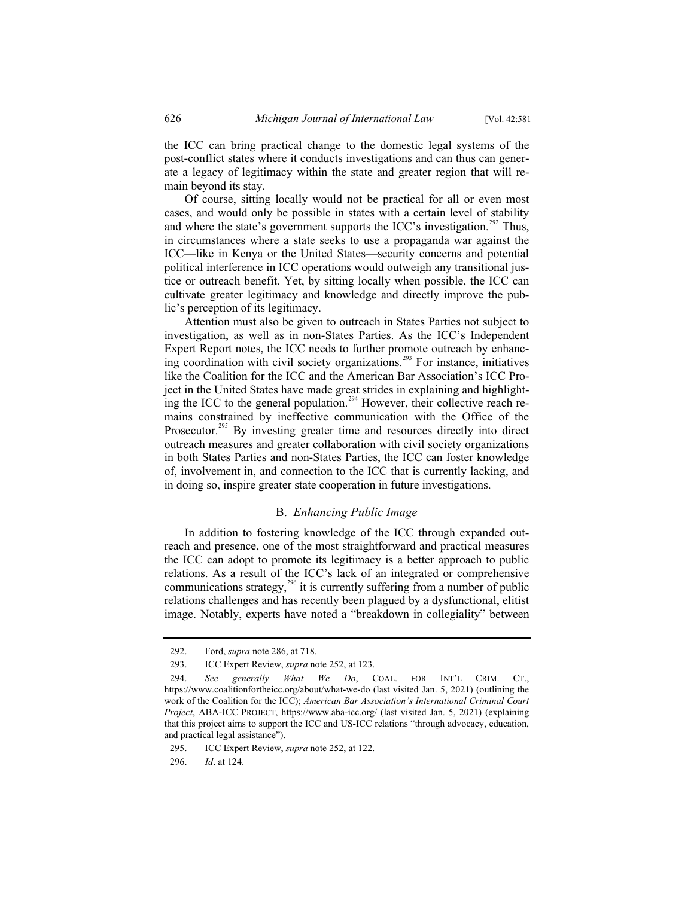the ICC can bring practical change to the domestic legal systems of the post-conflict states where it conducts investigations and can thus can generate a legacy of legitimacy within the state and greater region that will remain beyond its stay.

Of course, sitting locally would not be practical for all or even most cases, and would only be possible in states with a certain level of stability and where the state's government supports the ICC's investigation.<sup>292</sup> Thus, in circumstances where a state seeks to use a propaganda war against the ICC—like in Kenya or the United States—security concerns and potential political interference in ICC operations would outweigh any transitional justice or outreach benefit. Yet, by sitting locally when possible, the ICC can cultivate greater legitimacy and knowledge and directly improve the public's perception of its legitimacy.

Attention must also be given to outreach in States Parties not subject to investigation, as well as in non-States Parties. As the ICC's Independent Expert Report notes, the ICC needs to further promote outreach by enhancing coordination with civil society organizations.<sup>293</sup> For instance, initiatives like the Coalition for the ICC and the American Bar Association's ICC Project in the United States have made great strides in explaining and highlighting the ICC to the general population.<sup>294</sup> However, their collective reach remains constrained by ineffective communication with the Office of the Prosecutor.<sup>295</sup> By investing greater time and resources directly into direct outreach measures and greater collaboration with civil society organizations in both States Parties and non-States Parties, the ICC can foster knowledge of, involvement in, and connection to the ICC that is currently lacking, and in doing so, inspire greater state cooperation in future investigations.

#### B. *Enhancing Public Image*

In addition to fostering knowledge of the ICC through expanded outreach and presence, one of the most straightforward and practical measures the ICC can adopt to promote its legitimacy is a better approach to public relations. As a result of the ICC's lack of an integrated or comprehensive communications strategy, $296$  it is currently suffering from a number of public relations challenges and has recently been plagued by a dysfunctional, elitist image. Notably, experts have noted a "breakdown in collegiality" between

<sup>292.</sup> Ford, *supra* note 286, at 718.

<sup>293.</sup> ICC Expert Review, *supra* note 252, at 123.

<sup>294.</sup> *See generally What We Do*, COAL. FOR INT'L CRIM. CT., https://www.coalitionfortheicc.org/about/what-we-do (last visited Jan. 5, 2021) (outlining the work of the Coalition for the ICC); *American Bar Association's International Criminal Court Project*, ABA-ICC PROJECT, https://www.aba-icc.org/ (last visited Jan. 5, 2021) (explaining that this project aims to support the ICC and US-ICC relations "through advocacy, education, and practical legal assistance").

<sup>295.</sup> ICC Expert Review, *supra* note 252, at 122.

<sup>296.</sup> *Id*. at 124.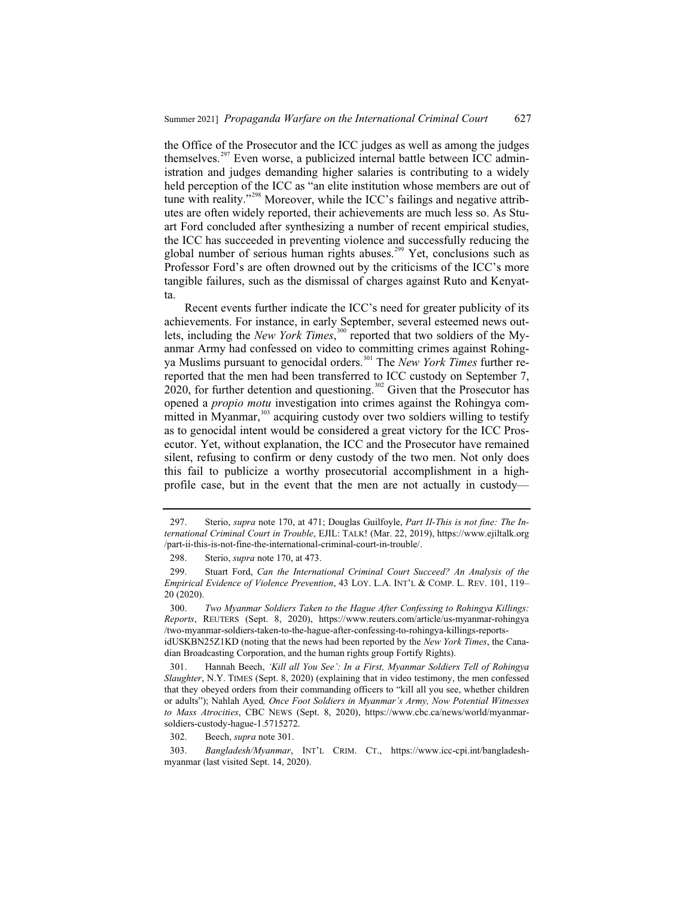the Office of the Prosecutor and the ICC judges as well as among the judges themselves.<sup>297</sup> Even worse, a publicized internal battle between ICC administration and judges demanding higher salaries is contributing to a widely held perception of the ICC as "an elite institution whose members are out of tune with reality."<sup>298</sup> Moreover, while the ICC's failings and negative attributes are often widely reported, their achievements are much less so. As Stuart Ford concluded after synthesizing a number of recent empirical studies, the ICC has succeeded in preventing violence and successfully reducing the global number of serious human rights abuses.<sup>299</sup> Yet, conclusions such as Professor Ford's are often drowned out by the criticisms of the ICC's more tangible failures, such as the dismissal of charges against Ruto and Kenyatta.

Recent events further indicate the ICC's need for greater publicity of its achievements. For instance, in early September, several esteemed news outlets, including the *New York Times*,<sup>300</sup> reported that two soldiers of the Myanmar Army had confessed on video to committing crimes against Rohingya Muslims pursuant to genocidal orders.<sup>301</sup> The *New York Times* further rereported that the men had been transferred to ICC custody on September 7, 2020, for further detention and questioning.<sup>302</sup> Given that the Prosecutor has opened a *propio motu* investigation into crimes against the Rohingya committed in Myanmar,<sup>303</sup> acquiring custody over two soldiers willing to testify as to genocidal intent would be considered a great victory for the ICC Prosecutor. Yet, without explanation, the ICC and the Prosecutor have remained silent, refusing to confirm or deny custody of the two men. Not only does this fail to publicize a worthy prosecutorial accomplishment in a highprofile case, but in the event that the men are not actually in custody—

302. Beech, *supra* note 301.

<sup>297.</sup> Sterio, *supra* note 170, at 471; Douglas Guilfoyle, *Part II-This is not fine: The International Criminal Court in Trouble*, EJIL: TALK! (Mar. 22, 2019), https://www.ejiltalk.org /part-ii-this-is-not-fine-the-international-criminal-court-in-trouble/.

<sup>298.</sup> Sterio, *supra* note 170, at 473.

<sup>299.</sup> Stuart Ford, *Can the International Criminal Court Succeed? An Analysis of the Empirical Evidence of Violence Prevention*, 43 LOY. L.A. INT'L & COMP. L. REV. 101, 119– 20 (2020).

<sup>300.</sup> *Two Myanmar Soldiers Taken to the Hague After Confessing to Rohingya Killings: Reports*, REUTERS (Sept. 8, 2020), https://www.reuters.com/article/us-myanmar-rohingya /two-myanmar-soldiers-taken-to-the-hague-after-confessing-to-rohingya-killings-reportsidUSKBN25Z1KD (noting that the news had been reported by the *New York Times*, the Canadian Broadcasting Corporation, and the human rights group Fortify Rights).

<sup>301.</sup> Hannah Beech, *'Kill all You See': In a First, Myanmar Soldiers Tell of Rohingya Slaughter*, N.Y. TIMES (Sept. 8, 2020) (explaining that in video testimony, the men confessed that they obeyed orders from their commanding officers to "kill all you see, whether children or adults"); Nahlah Ayed*, Once Foot Soldiers in Myanmar's Army, Now Potential Witnesses to Mass Atrocities*, CBC NEWS (Sept. 8, 2020), https://www.cbc.ca/news/world/myanmarsoldiers-custody-hague-1.5715272.

<sup>303.</sup> *Bangladesh/Myanmar*, INT'L CRIM. CT., https://www.icc-cpi.int/bangladeshmyanmar (last visited Sept. 14, 2020).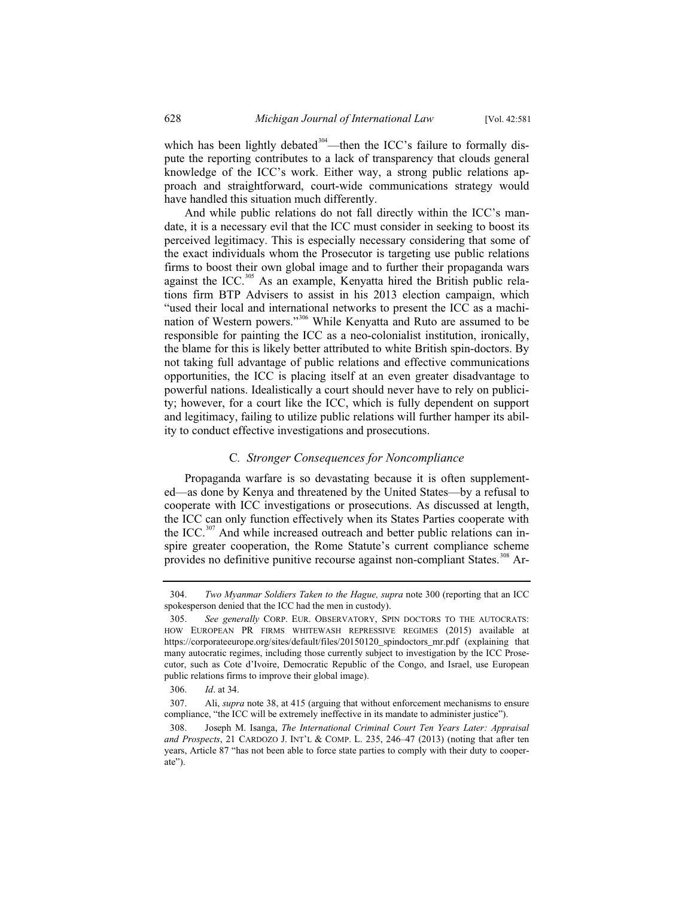which has been lightly debated<sup>304</sup>—then the ICC's failure to formally dispute the reporting contributes to a lack of transparency that clouds general knowledge of the ICC's work. Either way, a strong public relations approach and straightforward, court-wide communications strategy would have handled this situation much differently.

And while public relations do not fall directly within the ICC's mandate, it is a necessary evil that the ICC must consider in seeking to boost its perceived legitimacy. This is especially necessary considering that some of the exact individuals whom the Prosecutor is targeting use public relations firms to boost their own global image and to further their propaganda wars against the ICC.<sup>305</sup> As an example, Kenyatta hired the British public relations firm BTP Advisers to assist in his 2013 election campaign, which "used their local and international networks to present the ICC as a machination of Western powers."<sup>306</sup> While Kenyatta and Ruto are assumed to be responsible for painting the ICC as a neo-colonialist institution, ironically, the blame for this is likely better attributed to white British spin-doctors. By not taking full advantage of public relations and effective communications opportunities, the ICC is placing itself at an even greater disadvantage to powerful nations. Idealistically a court should never have to rely on publicity; however, for a court like the ICC, which is fully dependent on support and legitimacy, failing to utilize public relations will further hamper its ability to conduct effective investigations and prosecutions.

#### C*. Stronger Consequences for Noncompliance*

Propaganda warfare is so devastating because it is often supplemented—as done by Kenya and threatened by the United States—by a refusal to cooperate with ICC investigations or prosecutions. As discussed at length, the ICC can only function effectively when its States Parties cooperate with the ICC.<sup>307</sup> And while increased outreach and better public relations can inspire greater cooperation, the Rome Statute's current compliance scheme provides no definitive punitive recourse against non-compliant States.<sup>308</sup> Ar-

<sup>304.</sup> *Two Myanmar Soldiers Taken to the Hague, supra* note 300 (reporting that an ICC spokesperson denied that the ICC had the men in custody).

<sup>305.</sup> *See generally* CORP. EUR. OBSERVATORY, SPIN DOCTORS TO THE AUTOCRATS: HOW EUROPEAN PR FIRMS WHITEWASH REPRESSIVE REGIMES (2015) available at https://corporateeurope.org/sites/default/files/20150120\_spindoctors\_mr.pdf (explaining that many autocratic regimes, including those currently subject to investigation by the ICC Prosecutor, such as Cote d'Ivoire, Democratic Republic of the Congo, and Israel, use European public relations firms to improve their global image).

<sup>306.</sup> *Id*. at 34.

<sup>307.</sup> Ali, *supra* note 38, at 415 (arguing that without enforcement mechanisms to ensure compliance, "the ICC will be extremely ineffective in its mandate to administer justice").

<sup>308.</sup> Joseph M. Isanga, *The International Criminal Court Ten Years Later: Appraisal and Prospects*, 21 CARDOZO J. INT'L & COMP. L. 235, 246–47 (2013) (noting that after ten years, Article 87 "has not been able to force state parties to comply with their duty to cooperate").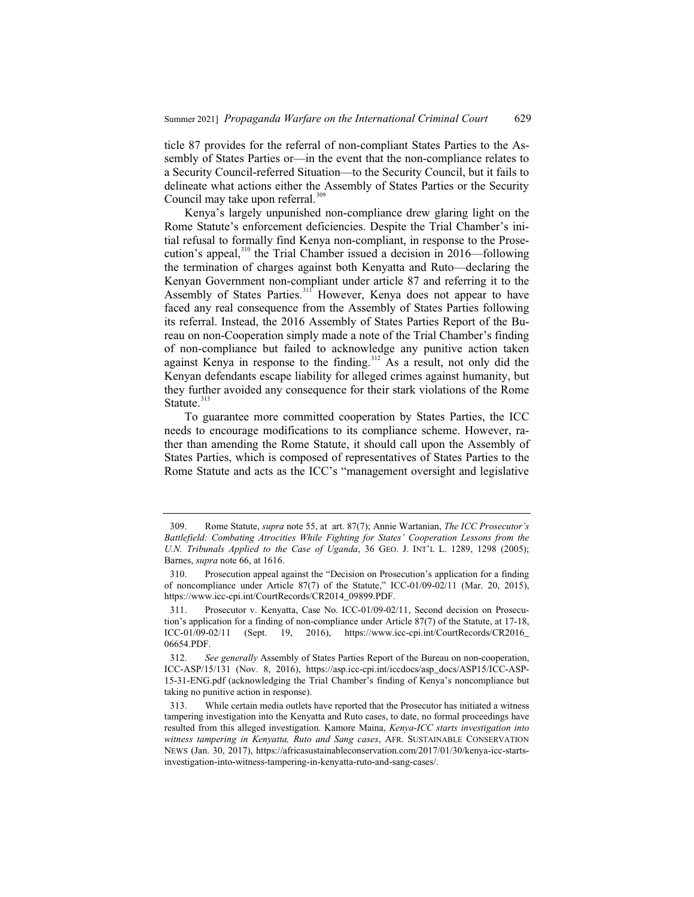ticle 87 provides for the referral of non-compliant States Parties to the Assembly of States Parties or—in the event that the non-compliance relates to a Security Council-referred Situation—to the Security Council, but it fails to delineate what actions either the Assembly of States Parties or the Security Council may take upon referral.<sup>309</sup>

Kenya's largely unpunished non-compliance drew glaring light on the Rome Statute's enforcement deficiencies. Despite the Trial Chamber's initial refusal to formally find Kenya non-compliant, in response to the Prosecution's appeal,<sup>310</sup> the Trial Chamber issued a decision in 2016—following the termination of charges against both Kenyatta and Ruto—declaring the Kenyan Government non-compliant under article 87 and referring it to the Assembly of States Parties.<sup>311</sup> However, Kenya does not appear to have faced any real consequence from the Assembly of States Parties following its referral. Instead, the 2016 Assembly of States Parties Report of the Bureau on non-Cooperation simply made a note of the Trial Chamber's finding of non-compliance but failed to acknowledge any punitive action taken against Kenya in response to the finding.<sup>312</sup> As a result, not only did the Kenyan defendants escape liability for alleged crimes against humanity, but they further avoided any consequence for their stark violations of the Rome Statute. $313$ 

To guarantee more committed cooperation by States Parties, the ICC needs to encourage modifications to its compliance scheme. However, rather than amending the Rome Statute, it should call upon the Assembly of States Parties, which is composed of representatives of States Parties to the Rome Statute and acts as the ICC's "management oversight and legislative

<sup>309.</sup> Rome Statute, *supra* note 55, at art. 87(7); Annie Wartanian, *The ICC Prosecutor's Battlefield: Combating Atrocities While Fighting for States' Cooperation Lessons from the U.N. Tribunals Applied to the Case of Uganda*, 36 GEO. J. INT'L L. 1289, 1298 (2005); Barnes, *supra* note 66, at 1616.

<sup>310.</sup> Prosecution appeal against the "Decision on Prosecution's application for a finding of noncompliance under Article 87(7) of the Statute," ICC-01/09-02/11 (Mar. 20, 2015), https://www.icc-cpi.int/CourtRecords/CR2014\_09899.PDF.

<sup>311.</sup> Prosecutor v. Kenyatta, Case No. ICC-01/09-02/11, Second decision on Prosecution's application for a finding of non-compliance under Article 87(7) of the Statute, at 17-18, ICC-01/09-02/11 (Sept. 19, 2016), https://www.icc-cpi.int/CourtRecords/CR2016\_ 06654.PDF.

<sup>312.</sup> *See generally* Assembly of States Parties Report of the Bureau on non-cooperation, ICC-ASP/15/131 (Nov. 8, 2016), https://asp.icc-cpi.int/iccdocs/asp\_docs/ASP15/ICC-ASP-15-31-ENG.pdf (acknowledging the Trial Chamber's finding of Kenya's noncompliance but taking no punitive action in response).

<sup>313.</sup> While certain media outlets have reported that the Prosecutor has initiated a witness tampering investigation into the Kenyatta and Ruto cases, to date, no formal proceedings have resulted from this alleged investigation. Kamore Maina, *Kenya-ICC starts investigation into witness tampering in Kenyatta, Ruto and Sang cases*, AFR. SUSTAINABLE CONSERVATION NEWS (Jan. 30, 2017), https://africasustainableconservation.com/2017/01/30/kenya-icc-startsinvestigation-into-witness-tampering-in-kenyatta-ruto-and-sang-cases/.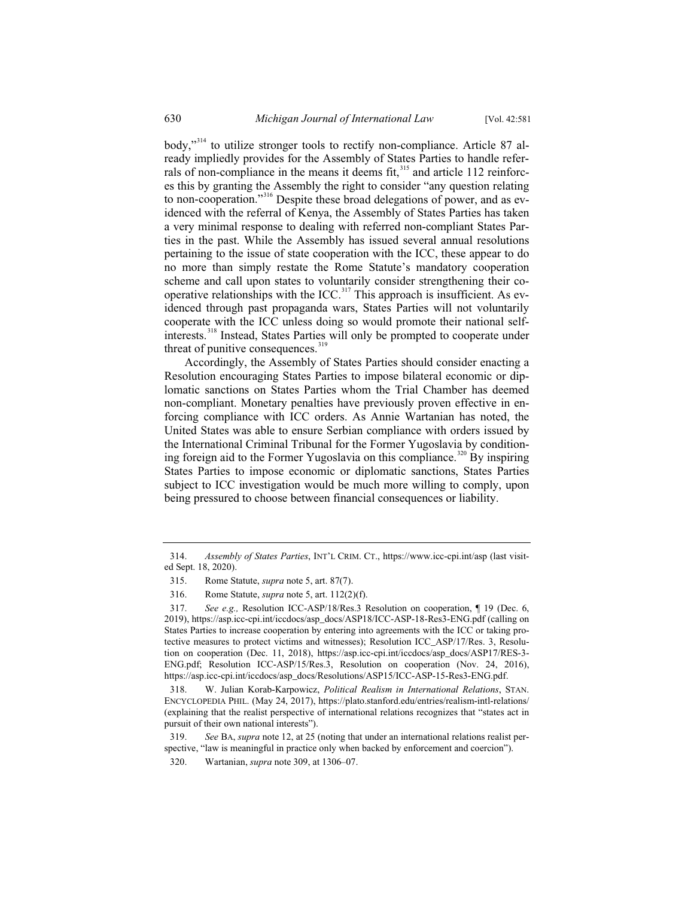body,"<sup>314</sup> to utilize stronger tools to rectify non-compliance. Article 87 already impliedly provides for the Assembly of States Parties to handle referrals of non-compliance in the means it deems fit, $315$  and article 112 reinforces this by granting the Assembly the right to consider "any question relating to non-cooperation."<sup>316</sup> Despite these broad delegations of power, and as evidenced with the referral of Kenya, the Assembly of States Parties has taken a very minimal response to dealing with referred non-compliant States Parties in the past. While the Assembly has issued several annual resolutions pertaining to the issue of state cooperation with the ICC, these appear to do no more than simply restate the Rome Statute's mandatory cooperation scheme and call upon states to voluntarily consider strengthening their cooperative relationships with the ICC.<sup>317</sup> This approach is insufficient. As evidenced through past propaganda wars, States Parties will not voluntarily cooperate with the ICC unless doing so would promote their national selfinterests.<sup>318</sup> Instead, States Parties will only be prompted to cooperate under threat of punitive consequences. $319$ 

Accordingly, the Assembly of States Parties should consider enacting a Resolution encouraging States Parties to impose bilateral economic or diplomatic sanctions on States Parties whom the Trial Chamber has deemed non-compliant. Monetary penalties have previously proven effective in enforcing compliance with ICC orders. As Annie Wartanian has noted, the United States was able to ensure Serbian compliance with orders issued by the International Criminal Tribunal for the Former Yugoslavia by conditioning foreign aid to the Former Yugoslavia on this compliance.<sup>320</sup> By inspiring States Parties to impose economic or diplomatic sanctions, States Parties subject to ICC investigation would be much more willing to comply, upon being pressured to choose between financial consequences or liability.

<sup>314.</sup> *Assembly of States Parties*, INT'L CRIM. CT., https://www.icc-cpi.int/asp (last visited Sept. 18, 2020).

<sup>315.</sup> Rome Statute, *supra* note 5, art. 87(7).

<sup>316.</sup> Rome Statute, *supra* note 5, art. 112(2)(f).

<sup>317.</sup> *See e.g.,* Resolution ICC-ASP/18/Res.3 Resolution on cooperation, ¶ 19 (Dec. 6, 2019), https://asp.icc-cpi.int/iccdocs/asp\_docs/ASP18/ICC-ASP-18-Res3-ENG.pdf (calling on States Parties to increase cooperation by entering into agreements with the ICC or taking protective measures to protect victims and witnesses); Resolution ICC\_ASP/17/Res. 3, Resolution on cooperation (Dec. 11, 2018), https://asp.icc-cpi.int/iccdocs/asp\_docs/ASP17/RES-3- ENG.pdf; Resolution ICC-ASP/15/Res.3, Resolution on cooperation (Nov. 24, 2016), https://asp.icc-cpi.int/iccdocs/asp\_docs/Resolutions/ASP15/ICC-ASP-15-Res3-ENG.pdf.

<sup>318.</sup> W. Julian Korab-Karpowicz, *Political Realism in International Relations*, STAN. ENCYCLOPEDIA PHIL. (May 24, 2017), https://plato.stanford.edu/entries/realism-intl-relations/ (explaining that the realist perspective of international relations recognizes that "states act in pursuit of their own national interests").

<sup>319.</sup> *See* BA, *supra* note 12, at 25 (noting that under an international relations realist perspective, "law is meaningful in practice only when backed by enforcement and coercion").

<sup>320.</sup> Wartanian, *supra* note 309, at 1306–07.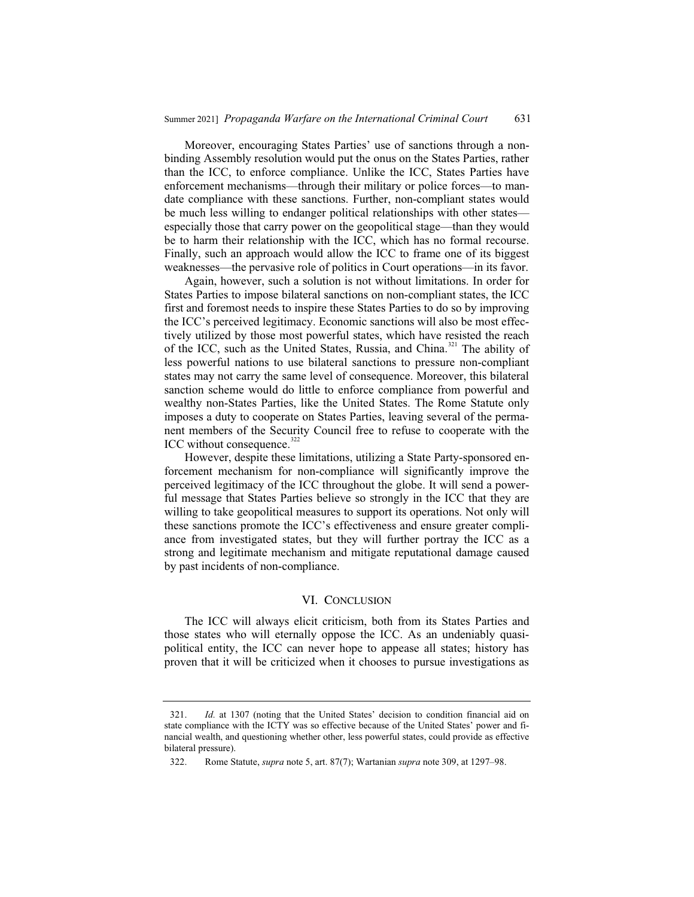Moreover, encouraging States Parties' use of sanctions through a nonbinding Assembly resolution would put the onus on the States Parties, rather than the ICC, to enforce compliance. Unlike the ICC, States Parties have enforcement mechanisms—through their military or police forces—to mandate compliance with these sanctions. Further, non-compliant states would be much less willing to endanger political relationships with other states especially those that carry power on the geopolitical stage—than they would be to harm their relationship with the ICC, which has no formal recourse. Finally, such an approach would allow the ICC to frame one of its biggest weaknesses—the pervasive role of politics in Court operations—in its favor.

Again, however, such a solution is not without limitations. In order for States Parties to impose bilateral sanctions on non-compliant states, the ICC first and foremost needs to inspire these States Parties to do so by improving the ICC's perceived legitimacy. Economic sanctions will also be most effectively utilized by those most powerful states, which have resisted the reach of the ICC, such as the United States, Russia, and China.<sup>321</sup> The ability of less powerful nations to use bilateral sanctions to pressure non-compliant states may not carry the same level of consequence. Moreover, this bilateral sanction scheme would do little to enforce compliance from powerful and wealthy non-States Parties, like the United States. The Rome Statute only imposes a duty to cooperate on States Parties, leaving several of the permanent members of the Security Council free to refuse to cooperate with the ICC without consequence.<sup>322</sup>

However, despite these limitations, utilizing a State Party-sponsored enforcement mechanism for non-compliance will significantly improve the perceived legitimacy of the ICC throughout the globe. It will send a powerful message that States Parties believe so strongly in the ICC that they are willing to take geopolitical measures to support its operations. Not only will these sanctions promote the ICC's effectiveness and ensure greater compliance from investigated states, but they will further portray the ICC as a strong and legitimate mechanism and mitigate reputational damage caused by past incidents of non-compliance.

#### VI. CONCLUSION

The ICC will always elicit criticism, both from its States Parties and those states who will eternally oppose the ICC. As an undeniably quasipolitical entity, the ICC can never hope to appease all states; history has proven that it will be criticized when it chooses to pursue investigations as

<sup>321.</sup> *Id.* at 1307 (noting that the United States' decision to condition financial aid on state compliance with the ICTY was so effective because of the United States' power and financial wealth, and questioning whether other, less powerful states, could provide as effective bilateral pressure).

<sup>322.</sup> Rome Statute, *supra* note 5, art. 87(7); Wartanian *supra* note 309, at 1297–98.